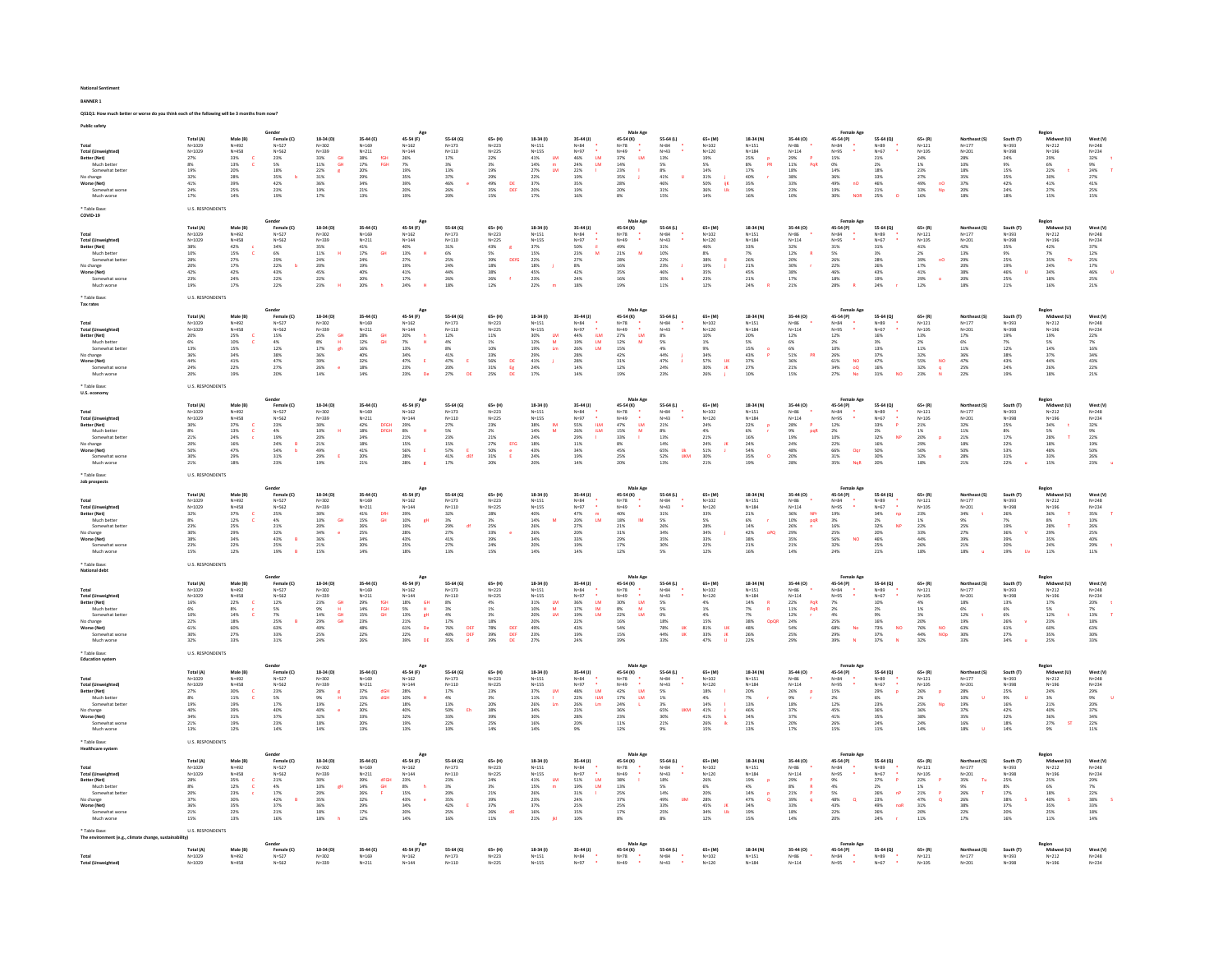| <b>Public safety</b>                                                                                                                                            |                                                                                                                   |                                                                                                    | Gender                                                                                                                                                             |                                                                                                                                                                                                                                |                                                                                                                                                       |                                                                                                                                                                                                                                            |                                                                                                                                                           |                                                                                                                        |                                                                                                                                                                          |                                                                                                                                                                      |                                                                                                                                                                     |                                                                                                                                                  |                                                                                                                                                                             |                                                                                                                                 |                                                                                                                                  | Female Ag                                                                                                                                                                                              |                                                                                                                                                               |                                                                                                                                      |                                                                                                                                                     |                                                                                                                            | Region                                                                                                                             |                                                                                             |
|-----------------------------------------------------------------------------------------------------------------------------------------------------------------|-------------------------------------------------------------------------------------------------------------------|----------------------------------------------------------------------------------------------------|--------------------------------------------------------------------------------------------------------------------------------------------------------------------|--------------------------------------------------------------------------------------------------------------------------------------------------------------------------------------------------------------------------------|-------------------------------------------------------------------------------------------------------------------------------------------------------|--------------------------------------------------------------------------------------------------------------------------------------------------------------------------------------------------------------------------------------------|-----------------------------------------------------------------------------------------------------------------------------------------------------------|------------------------------------------------------------------------------------------------------------------------|--------------------------------------------------------------------------------------------------------------------------------------------------------------------------|----------------------------------------------------------------------------------------------------------------------------------------------------------------------|---------------------------------------------------------------------------------------------------------------------------------------------------------------------|--------------------------------------------------------------------------------------------------------------------------------------------------|-----------------------------------------------------------------------------------------------------------------------------------------------------------------------------|---------------------------------------------------------------------------------------------------------------------------------|----------------------------------------------------------------------------------------------------------------------------------|--------------------------------------------------------------------------------------------------------------------------------------------------------------------------------------------------------|---------------------------------------------------------------------------------------------------------------------------------------------------------------|--------------------------------------------------------------------------------------------------------------------------------------|-----------------------------------------------------------------------------------------------------------------------------------------------------|----------------------------------------------------------------------------------------------------------------------------|------------------------------------------------------------------------------------------------------------------------------------|---------------------------------------------------------------------------------------------|
| Total<br><b>Total (Unweighted)</b><br>Better (Net)<br>Much better<br>Somewhat bette<br>No change<br>Worse (Net)<br>Somewhat worse<br>Much worse<br>* Table Base | Total (A)<br>N=1029<br>$N = 1029$<br>27%<br>$8\%$<br>19%<br>32%<br>41%<br>$\frac{24\%}{17\%}$<br>U.S. RESPONDENTS | Male (B)<br>$N = 492$<br>$N = 458$<br>33%<br>13%<br>20%<br>28%<br>39%<br>25%<br>14%                | Female (C)<br>$N = 527$<br>$N = 562$<br>23%<br>$5\%$ 18%<br>35%<br>42%<br>$23\%$<br>19%                                                                            | 18-34 (D)<br>$N = 302$<br>$N = 339$<br>$33\%$<br>GH<br>11%<br><b>GH</b><br>22%<br>$\mathbf{r}$<br>31%<br>36%<br>$\begin{array}{l} 19\% \\ 17\% \end{array}$                                                                    | 35-44 (E)<br>$N = 169$<br>$N = 211$<br>$38\%$<br>fGH<br>17%<br>FGH<br>20%<br>29%<br>34%<br>21%<br>13%                                                 | 45-54 (F)<br>$N = 162$<br>$N = 144$<br>26%<br>7%<br>19%<br>35%<br>39%<br>20%<br>19%                                                                                                                                                        | 55-64 (G)<br>$N = 173$<br>$N = 110$<br>$17\%$<br>3%<br>$13\%$<br>37%<br>46%<br>26%<br>20%                                                                 | $65 + (H)$<br>$N = 223$<br>$N = 225$<br>$22\%$<br>3%<br>19%<br>29%<br>49%<br>49%<br>35%<br>15%<br>$\mathsf{DE}$<br>DEF | 18-34 (1)<br>$N = 151$<br>$N=155$<br>$41\%$<br><b>LM</b><br>14%<br>$\blacksquare$<br>27%<br><b>LM</b><br>22%<br>37%<br>20%<br>17%                                        | 35-44 (J)<br>$N = 84$<br>$N=97$<br>$46\%$<br>$_{\text{LM}}$<br>$\begin{array}{l} 24\% \\ 22\% \end{array}$<br><b>LM</b><br>19%<br>35%<br>19%<br>16%                  | Male Ago<br>45-54 (K)<br>$N=78$<br>$N = 49$<br>37%<br>LM<br>14%<br>23%<br>35%<br>28%<br>20%<br>8%                                                                   | 55-64 (L)<br>$N = 84$<br>$N = 43$<br>13%<br>5%<br>$8\%$<br>$\begin{array}{l} 41\% \\ 46\% \end{array}$<br>31%<br>15%                             | $65+ (M)$<br>$N = 102$<br>$N = 120$<br>$19\%$<br>5%<br>$14\%$<br>31%<br>50%<br>50%<br>36%<br>14%<br>$\frac{1}{2}$<br><b>Uk</b>                                              | 18-34 (N)<br>$N = 151$<br>$N = 184$<br>25%<br>$\begin{array}{l} 8\% \\ 17\% \end{array}$<br>PR<br>40%<br>35%<br>19%<br>16%      | 35-44 (0)<br>$N=86$<br>$N=114$<br>$\begin{array}{l} 29\% \\ 11\% \end{array}$<br>P.<br>PoR<br>$18\%$<br>38%<br>33%<br>23%<br>10% | 45-54 (P)<br>N=84<br>N=95<br>15%<br>$0\%$ 14%<br>36%<br>49%<br>19%<br>19%<br>$nO$<br><b>NOR</b>                                                                                                        | 55-64 (Q)<br>$N=89$<br>$N = 67$<br>$21\%$<br>$\frac{2\%}{18\%}$<br>33%<br>46%<br>$\begin{array}{l} 21\% \\ 25\% \end{array}$                                  | $65 + (R)$<br>$N = 121$<br>$N = 105$<br>24%<br>1%<br>23%<br>27%<br>49%<br>33%<br>$\mathsf{no}$<br>Np<br>16%                          | Northeast (S)<br>$N = 177$<br>$N = 201$<br>28%<br>10%<br>18%<br>35%<br>37%<br>$\frac{20\%}{18\%}$                                                   | South (T)<br>$N = 393$<br>$N = 398$<br>24%<br>9%<br>15%<br>35%<br>42%<br>24%<br>18%                                        | Midwest (U)<br>$N = 212$<br>$N = 196$<br>29%<br>6%<br>22%<br>30%<br>41%<br>$\begin{array}{l} 27\% \\ 15\% \end{array}$             | West (V)<br>$N = 248$<br>$N = 234$<br>32%<br>9%<br>24%<br>$\frac{27\%}{41\%}$<br>25%<br>15% |
| COVID-19<br>Total<br><b>Total (Unweighted)</b><br>Better (Net)<br>Much better<br>Somewhat bett<br>No change<br>Worse (Net)<br>Somewhat worse<br>Much worse      | Total (A)<br>$N=1029$<br>$N=1029$<br>38%<br>10%<br>28%<br>20%<br>42%<br>23%<br>19%                                | Male (B)<br>$N = 492$<br>$N = 458$<br>$42\%$<br>15%<br>27%<br>17%<br>42%<br>24%<br>17%             | Gender<br>Female (C)<br>$N = 527$<br>$N = 562$<br>$34\%$ 6%<br>29%<br>$\begin{array}{l} 22\% \\ 43\% \end{array}$<br>$22\%$<br>22%                                 | 18-34 (D)<br>$N = 302$<br>$N = 339$<br>$35\%$<br>11%<br>$24\%$<br>20%<br>45%<br>$22\%$<br>23%                                                                                                                                  | 35-44 (E)<br>$N = 169$<br>$N = 211$<br>$41\%$<br>64<br>17%<br>$24\%$<br>19%<br>40%<br>20%<br>20%                                                      | App<br>45-54 (F)<br>$N = 162$<br>$N = 144$<br>$\begin{array}{l} 40\% \\ 13\% \end{array}$<br>٠ĸ,<br>$27\%$<br>$\frac{19\%}{41\%}$<br>$17\%$<br>24%                                                                                         | 55-64 (G)<br>$N = 173$<br>$N = 110$<br>$31\%$<br>6%<br>$25\%$<br>24%<br>$44\%$<br>26%<br>18%                                                              | $65 + (H)$<br>$N = 223$<br>$N = 225$<br>43%<br>5%<br>39%<br>DEfG<br>18%<br>38%<br>26%<br>12%                           | 18-34 (1)<br>$N = 151$<br>$N = 155$<br>$37\%$<br>15%<br>22%<br>18%<br>45%<br>$23\%$<br>22%                                                                               | $35-44$ (J)<br>$N = 84$<br>$N = 97$<br>$50\%$<br>$\mathbf{u}$<br>23%<br>M<br>$27\%$<br>$\begin{array}{l} 8\% \\ 42\% \end{array}$<br>24%<br>18%                      | Male Age<br>45-54 (K)<br>$N=78$<br>$N = 49$<br>49%<br>21%<br>M<br>28%<br>16%<br>35%<br>16%<br>19%                                                                   | 55-64 (L)<br>$N = 84$<br>$N = 43$<br>$31\%$<br>10%<br>$22\%$<br>$\begin{array}{l} 23\% \\ 46\% \end{array}$<br><b>J</b><br>$35\%$<br>×<br>$11\%$ | $65+ (M)$<br>$N = 102$<br>$N = 120$<br>$46\%$<br>8%<br>38%<br>19%<br>35%<br>$23\%$<br>12%                                                                                   | 18-34 (N)<br>$N = 151$<br>$N = 184$<br>33%<br>7%<br>26%<br>$\frac{21\%}{45\%}$<br>$21\%$<br>24%                                 | 35-44 (0)<br>$N=86$<br>$N=114$<br>$32\%$ 12%<br>$\mathbf{R}$<br>20%<br>30%<br>38%<br>$17\%$<br>21%                               | Female Age<br>$45 - 54 (P)$<br>$N = 84$<br>$N = 95$<br>$31\%$<br>5%<br>26%<br>22%<br>46%<br>$18\%$<br>28%                                                                                              | 55-64 (Q)<br>$N = 89$<br>$N=67$<br>$31\%$<br>$\frac{3\%}{28\%}$<br>$\begin{array}{l} 26\% \\ 43\% \end{array}$<br>$\begin{array}{l} 19\% \\ 24\% \end{array}$ | $65 + (R)$<br>$N = 121$<br>$N = 105$<br>41%<br>$2\%$<br>39%<br>nC<br>$\begin{array}{l} 17\% \\ 41\% \end{array}$<br>$29\%$<br>12%    | Northeast (S)<br>$N = 177$<br>$N = 201$<br>$\begin{array}{l} 42\% \\ 13\% \end{array}$<br>29%<br>20%<br>38%<br>$20\%$<br>18%                        | South (T)<br>$N = 393$<br>$N = 398$<br>$35\%$<br>9%<br>$25\%$<br>$\begin{array}{l} 19\% \\ 46\% \end{array}$<br>25%<br>21% | Region<br>Midwest (U)<br>$N = 212$<br>$N = 196$<br>42%<br>7%<br>35%<br>$\begin{array}{r} 24\% \\ 34\% \\ 18\% \end{array}$<br>16%  | West (V)<br>$N = 248$<br>$N = 234$<br>37%<br>12%<br>25%<br>25%<br>46%<br>25%<br>21%         |
| * Table Base:<br>Tax rates                                                                                                                                      | <b>U.S. RESPONDENTS</b>                                                                                           |                                                                                                    |                                                                                                                                                                    |                                                                                                                                                                                                                                |                                                                                                                                                       |                                                                                                                                                                                                                                            |                                                                                                                                                           |                                                                                                                        |                                                                                                                                                                          |                                                                                                                                                                      |                                                                                                                                                                     |                                                                                                                                                  |                                                                                                                                                                             |                                                                                                                                 |                                                                                                                                  |                                                                                                                                                                                                        |                                                                                                                                                               |                                                                                                                                      |                                                                                                                                                     |                                                                                                                            |                                                                                                                                    |                                                                                             |
| Total<br><b>Total (Unweighted)</b><br>Better (Net)<br>Much better<br>Somewhat bette<br>No change<br>Worse (Net)<br>Somewhat worse<br>Much worse                 | Total (A)<br>$N = 1029$<br>$N = 1029$<br>$\frac{20\%}{6\%}$<br>13%<br>36%<br>44%<br>24%<br>20%                    | Male (B)<br>$N = 492$<br>$N = 458$<br>25%<br>10%<br>15%<br>34%<br>41%<br>22%<br>19%                | Gender<br>Female (C)<br>$N = 527$<br>$N = 562$<br>$\frac{15\%}{4\%}$<br>$12\%$<br>38%<br>47%<br>27%<br>20%                                                         | 18-34 (D)<br>$N = 302$<br>$N = 339$<br>$\frac{25\%}{8\%}$<br>$\frac{GH}{H}$<br>$17\%$<br>$\mathsf{gh}% _{\mathsf{H}}\left( t\right) \equiv\mathsf{gh}_{\mathsf{H}}\left( t\right) ,$<br>36%<br>39%<br>26%<br>$\epsilon$<br>14% | 35-44 (E)<br>$N = 169$<br>$N = 211$<br>28%<br>12%<br>16%<br>40%<br>32%<br>18%<br>$14\%$                                                               | Age<br>45-54 (F)<br>$N = 162$<br>$N = 144$<br>20%<br>7%<br>$\frac{h}{H}$<br>13%<br>34%<br>47%<br>$\mathbf{E}$<br>23%<br>23%                                                                                                                | 55-64 (G)<br>$N = 173$<br>$N = 110$<br>$\frac{12\%}{4\%}$<br>$8\%$<br>41%<br>47%<br>20%<br>27%<br>- E                                                     | 65+ (H)<br>$N = 222$<br>$N = 225$<br>$\frac{11\%}{1\%}$<br>10%<br>33%<br>56%<br>31%<br>25%<br>DE<br>$rac{E}{D}$        | 18-34 (1)<br>$N = 151$<br>$N=155$<br>30%<br>12%<br>$\frac{\mathsf{LM}}{\mathsf{M}}$<br>19%<br>29%<br>41%<br>44%<br>24%<br>$\mathop{\mathrm{Im}}$                         | 35-44 (J)<br>$N = 84$<br>$N = 97$<br>44%<br>19%<br>26%<br>iLM<br>LM<br><b>LM</b><br>28%<br><b>28%</b><br>14%<br>14%                                                  | Male Age<br>45-54 (K)<br>$N=78$<br>$N=49$<br>$\begin{array}{l} 27\% \\ 12\% \end{array}$<br>$\frac{\text{LM}}{\text{M}}$<br>15%<br>42%<br>31%<br>12%<br>19%         | 55-64 (L)<br>$N = 84$<br>$N = 43$<br>8%<br>5%<br>$4\%$<br>44%<br>$47\%$<br>24%<br>23%                                                            | $65+ (M)$<br>$N = 102$<br>$N = 120$<br>$\frac{10\%}{1\%}$<br>9%<br>34%<br>57%<br>30%<br>26%<br>IJK<br>ж                                                                     | 18-34 (N)<br>$N = 151$<br>$N = 184$<br>$\frac{20\%}{5\%}$<br>15%<br>43%<br>$\frac{37\%}{27\%}$<br>10%                           | 35-44 (0)<br>$_{\mathsf{N=34}}^{\mathsf{N=86}}$<br>$^{12\%}_{6\%}$<br>$6\%$<br>51%<br>PR<br>36%<br>21%<br>15%                    | Female Age<br>45-54 (P)<br>$N = 84$<br>$N = 95$<br>$\begin{array}{r} 12\% \\ 2\% \\ 10\% \\ 26\% \\ 61\% \\ 34\% \\ 27\% \end{array}$<br>$\begin{array}{c} \nNO \\ \nOO \\ \nNO \\ \nNO \n\end{array}$ | 55-64 (Q)<br>$N = 89$<br>$N=67$<br>$\frac{16\%}{3\%}$<br>$13\%$<br>37%<br>$\begin{array}{r}47\%\\ 16\%\\ 31\% \end{array}$                                    | $65 + (R)$<br>$N = 121$<br>$N = 105$<br>$13\%$<br>2%<br>$11\%$<br>32%<br>$\frac{55\%}{32\%}$<br>$_{\rm NO}$<br>$\frac{q}{N}$<br>23%  | Northeast (S)<br>$N = 1.77$<br>$N = 201$<br>$17\%$<br>6%<br>$11\%$<br>36%<br>47%<br>25%<br>22%                                                      | South (T)<br>$N = 393$<br>$N = 398$<br>$\frac{19\%}{7\%}$<br>$12\%$<br>38%<br>$43\%$<br>24%<br>19%                         | Region<br>Midwest (U)<br>$N = 212$<br>$N = 196$<br>19%<br>5%<br>14%<br>37%<br>44%<br>26%<br>18%                                    | West (V)<br>$N = 248$<br>$N = 234$<br>$\frac{22\%}{7\%}$<br>16%<br>34%<br>43%<br>22%<br>21% |
| * Table Base:<br>U.S. economy                                                                                                                                   | <b>U.S. RESPONDENTS</b>                                                                                           |                                                                                                    |                                                                                                                                                                    |                                                                                                                                                                                                                                |                                                                                                                                                       |                                                                                                                                                                                                                                            |                                                                                                                                                           |                                                                                                                        |                                                                                                                                                                          |                                                                                                                                                                      |                                                                                                                                                                     |                                                                                                                                                  |                                                                                                                                                                             |                                                                                                                                 |                                                                                                                                  |                                                                                                                                                                                                        |                                                                                                                                                               |                                                                                                                                      |                                                                                                                                                     |                                                                                                                            |                                                                                                                                    |                                                                                             |
| Total<br>Total (Unweighted)<br>Better (Net)<br>Much better<br>Somewhat bette<br>No change<br>Worse (Net)<br>Somewhat worse<br>Much worse                        | Total (A<br>$N = 1029$<br>N=1029<br>30%<br>$8\%$<br>21%<br>20%<br>50%<br>30%<br>$21\%$                            | Male (B)<br>$N = 492$<br>$N = 458$<br>37%<br>13%<br>-c<br>24%<br>$\frac{16\%}{47\%}$<br>29%<br>18% | Gender<br>Female (C)<br>$N = 527$<br>$N = 562$<br>$\begin{array}{l} 23\% \\ 4\% \end{array}$<br>$\begin{array}{r} 19\% \\ 24\% \\ 54\% \\ 31\% \end{array}$<br>23% | 18-34 (D)<br>$N = 302$<br>N=339<br>30%<br>10%<br>$\mathbf{H}$<br>20%<br>21%<br>21%<br>49%<br><b>I</b><br>19%                                                                                                                   | 35-44 (E)<br>$N = 169$<br>$N = 211$<br>$\begin{array}{l} 42\% \\ 18\% \end{array}$<br><b>DFGH</b><br>DFGH<br>$24\%$<br>$^{18\%}_{41\%}$<br>20%<br>21% | Age<br>45-54 (F)<br>$N = 162$<br>$N = 144$<br>$\frac{29\%}{8\%}$<br>$\overline{\mathbf{H}}$<br>21%<br>15%<br>56%<br>28%<br>$\mathsf E$<br>28%                                                                                              | 55-64 (G)<br>$N = 173$<br>$N = 110$<br>$\frac{27\%}{5\%}$<br>$23\%$<br>$\begin{array}{l} 15\% \\ 57\% \\ 41\% \end{array}$<br>$\epsilon$<br>dEf<br>$17\%$ | $65 + (H)$<br>$N = 223$<br>$N = 225$<br>23%<br>$2\%$<br>21%<br>27%<br>50%<br>31%<br>EFG<br>20%                         | 18-34 (1)<br>$N = 151$<br>$N=155$<br>$\frac{38\%}{14\%}$<br>$\frac{\mathsf{IM}}{\mathsf{M}}$<br>24%<br>18%<br>43%<br>24%<br>20%                                          | 35-44 (J)<br>$N = 84$<br>$N=97$<br>55%<br>26%<br>ILM<br>iLM<br>29%<br>11%<br>34%<br>19%<br>14%                                                                       | Male Age<br>45-54 (K)<br>$N=78$<br>$N=49$<br>$\begin{array}{l} 47\% \\ 15\% \end{array}$<br>$\frac{\text{LM}}{\text{M}}$<br>33%<br>$\frac{8\%}{45\%}$<br>25%<br>20% | 55-64 (L)<br>$N = 84$<br>$N = 43$<br>$21\%$<br>$8\%$<br>$13\%$<br>14%<br>65%<br>52%<br>uk<br>UKM<br>13%                                          | $65+ (M)$<br>$N = 102$<br>$N = 120$<br>$\begin{array}{l} 24\% \\ 4\% \end{array}$<br>$21\%$<br>$\begin{array}{r} 24\% \\ 51\% \\ 30\% \end{array}$<br>$\frac{18}{3}$<br>21% | 18-34 (N)<br>$N = 151$<br>$N = 184$<br>$\begin{array}{l} 22\% \\ 6\% \end{array}$<br>16%<br>24%<br>54%<br>35%<br>$\circ$<br>19% | 35-44 (0)<br>$N = 86$<br>$N = 114$<br>28%<br>9%<br><b>P</b><br>pqR<br><b>19%</b><br>$\substack{24\% \\ 48\%}$<br>20%<br>28%      | <b>Female Age</b><br>45-54 (P)<br>$N = 84$<br>$N = 95$<br>12%<br>2%<br>2%<br>22%<br>66%<br>31%<br>Oqr<br>35%<br>Not                                                                                    | 55-64 (Q)<br>$N = 89$<br>$N=67$<br>$33\%$ 2%<br>$\mathbf{P}$<br>32%<br>NF<br>16%<br>50%<br>30%<br>20%                                                         | $65 + (R)$<br>$N = 121$<br>$N = 105$<br>$21\%$<br>$1\%$<br>$20\%$<br>29%<br>50%<br>32%<br>18%                                        | Northeast (S)<br>$N = 177$<br>$N = 201$<br>$\begin{array}{l} 32\% \\ 11\% \end{array}$<br>$21\%$<br>18%<br>50%<br>28%<br>21%                        | South (T)<br>$N = 393$<br>$N = 398$<br>$25\%$<br>8%<br>$17\%$<br>22%<br>$53\%$<br>31%<br>22%                               | Region<br>Midwest (U)<br>$N = 212$<br>$N = 196$<br>$\frac{34\%}{5\%}$<br>28%<br>$\frac{18\%}{48\%}$<br>33%<br>15%                  | West (V)<br>$N = 248$<br>$N = 234$<br>32%<br>9%<br>22%<br>19%<br>50%<br>26%<br>23%          |
| * Table Base:<br>Job prospects                                                                                                                                  | <b>U.S. RESPONDENTS</b>                                                                                           |                                                                                                    |                                                                                                                                                                    |                                                                                                                                                                                                                                |                                                                                                                                                       |                                                                                                                                                                                                                                            |                                                                                                                                                           |                                                                                                                        |                                                                                                                                                                          |                                                                                                                                                                      |                                                                                                                                                                     |                                                                                                                                                  |                                                                                                                                                                             |                                                                                                                                 |                                                                                                                                  |                                                                                                                                                                                                        |                                                                                                                                                               |                                                                                                                                      |                                                                                                                                                     |                                                                                                                            |                                                                                                                                    |                                                                                             |
|                                                                                                                                                                 | Total (A)                                                                                                         | Male (B)                                                                                           | Gender<br>Female (C)                                                                                                                                               | 18-34 (D)                                                                                                                                                                                                                      | 35-44 (E)                                                                                                                                             | Age<br>45-54 (F)                                                                                                                                                                                                                           | 55-64 (G)                                                                                                                                                 | 65+ (H)                                                                                                                | 18-34 (1)                                                                                                                                                                | 35-44 (J)                                                                                                                                                            | Male Age<br>45-54 (K)                                                                                                                                               | 55-64 (L)                                                                                                                                        | $65+ (M)$                                                                                                                                                                   | 18-34 (N)                                                                                                                       | 35-44 (0)                                                                                                                        | Female Age<br>45-54 (P)                                                                                                                                                                                | 55-64 (Q)                                                                                                                                                     | $65 + (R)$                                                                                                                           | Northeast (S)                                                                                                                                       |                                                                                                                            | Region                                                                                                                             | West (V)                                                                                    |
| Total<br><b>Total (Unweighted)</b><br>Better (Net)<br>Much better<br>Somewhat bette<br>No change<br>Worse (Net)<br>Somewhat worse<br>Much worse                 | $N = 1029$<br>N=1029<br>32%<br>$8\%$<br>23%<br>30%<br>38%<br>23%<br>15%                                           | $N = 492$<br>$N = 458$<br>37%<br>$12\%$<br>$25\%$<br>29%<br>34%<br>22%<br>12%                      | $N = 527$<br>$N = 562$<br>25%<br>$4\%$<br>$\frac{21\%}{32\%}$<br>43%<br>25%<br>19%<br>$\,$ B                                                                       | $N = 302$<br>N=339<br>30%<br>10%<br>GH<br>20%<br>34%<br>$36\%$<br>21%<br>$15\%$                                                                                                                                                | $N = 169$<br>$N = 211$<br>41%<br><b>DfH</b><br>$15\%$<br><b>GH</b><br>26%<br>25%<br>34%<br>20%<br>14%                                                 | $N = 162$<br>$\mathsf{N}{=}144$<br>29%<br>10%<br>19%<br>19%<br>28%<br>gН<br>$43\%$<br>25%<br>18%                                                                                                                                           | $N = 173$<br>$N = 110$<br>32%<br>$3\%$<br>29%<br>27%<br>$41\%$<br>27%<br>13%                                                                              | $N = 223$<br>$N = 225$<br>28%<br>3%<br>25%<br>33%<br>39%<br>24%<br>15%                                                 | $N = 151$<br>$N=155$<br>40%<br>$14\%$<br>$26\%$ 26%<br>34%<br>20%<br>14%                                                                                                 | $N = 84$<br>$N=97$<br>$\bullet$<br>47%<br>m<br>$20\%$<br>$\mathsf{M}$<br>$\substack{27\% \\ 20\%}$<br>33%<br>19%<br>14%                                              | $N=78$<br>$N = 49$<br>40%<br>18%<br>M<br>21%<br>31%<br>29%<br>17%<br>12%                                                                                            | $N = 84$<br>$N = 43$<br>31%<br>$5\%$<br>26%<br>34%<br>$35\%$<br>30%<br>5%                                                                        | $N = 102$<br>$N = 120$<br>33%<br>$5\%$<br>28%<br>34%<br>$33\%$<br>22%<br>12%                                                                                                | $N = 151$<br>$N = 184$<br>21%<br>$6\%$<br>14%<br>42%<br>oPO<br>38%<br>21%<br>16%                                                | $N = 86$<br>$N = 114$<br><b>NP</b><br>36%<br>10%<br>26%<br>29%<br>pqR<br>35%<br>21%<br>14%                                       | $N = 84$<br>N=95<br>N=95<br>19%<br>3%<br>16%<br>25%<br>56%<br>32%<br>NO<br>24%                                                                                                                         | $N = 89$<br>$N=67$<br>34%<br>np<br>$2\%$<br>NP<br>32%<br>20%<br>46%<br>25%<br>$21\%$                                                                          | $N = 121$<br>$N = 105$<br>23%<br>$1\%$<br>22%<br>33%<br>44%<br>26%<br>18%                                                            | $N = 177$<br>$N = 201$<br>34%<br>$9\%$<br>25%<br>27%<br>39%<br>21%<br>$18\%$                                                                        | South (T)<br>N=393<br>N=398<br>26%<br>$7\%$<br>19%<br>36%<br>$39\%$<br>20%<br>$19\%$                                       | Midwest (U)<br>N=212<br>$N = 196$<br>36%<br>$8\%$<br>28%<br>29%<br>35%<br>$\frac{24\%}{11\%}$                                      | $N = 248$<br>$N = 234$<br>35%<br>$10\%$<br>26%<br>25%<br>40%<br>29%<br>11%                  |
| * Table Base<br><b>National debt</b>                                                                                                                            | U.S. RESPONDENTS                                                                                                  |                                                                                                    |                                                                                                                                                                    |                                                                                                                                                                                                                                |                                                                                                                                                       |                                                                                                                                                                                                                                            |                                                                                                                                                           |                                                                                                                        |                                                                                                                                                                          |                                                                                                                                                                      |                                                                                                                                                                     |                                                                                                                                                  |                                                                                                                                                                             |                                                                                                                                 |                                                                                                                                  |                                                                                                                                                                                                        |                                                                                                                                                               |                                                                                                                                      |                                                                                                                                                     |                                                                                                                            |                                                                                                                                    |                                                                                             |
| Total<br>Total (Unweighted)<br>Better (Net)<br>Much better<br>Somewhat bette<br>No change<br>Worse (Net)<br>Somewhat worse<br>Much worse                        | Total (A)<br>$N = 1029$<br>N=1029<br>16%<br>6%<br>10%<br>22%<br>61%<br>30%<br>32%                                 | Male (B)<br>$N = 492$<br>$N = 458$<br>22%<br>8%<br>14%<br>$18\%$<br>60%<br>27%<br>33%              | Gender<br>Female (C)<br>$N = 527$<br>$N = 562$<br>$\begin{array}{r} 12\% \\ 5\% \\ 7\% \\ 25\% \end{array}$<br>63%<br>33%<br>31%                                   | 18-34 (D)<br>$N = 302$<br>N=339<br>23%<br>9%<br>14%<br>29%<br>$\begin{array}{ccc} \mathfrak{F} & \mathfrak{F} & \mathfrak{F} \\ \mathfrak{F} & \mathfrak{F} & \mathfrak{F} \end{array}$<br>49%<br>25%<br>24%                   | 35-44 (E)<br>$N = 169$<br>$N = 211$<br>29%<br>14%<br>fGH<br>FGH<br>15%<br><b>GH</b><br><b>23%</b><br>$48\%$<br>22%<br>26%                             | 45-54 (F)<br>$N = 162$<br>$N = 144$<br>$\begin{array}{l} 18\% \\ 5\% \\ 13\% \end{array}$<br>$\frac{\mathsf{GH}}{\mathsf{H}}$<br>$\mathbf{g}\mathbf{H}$<br>$21\%$<br>De<br>$\begin{array}{l} 61\% \\ 22\% \end{array}$<br>39%<br><b>DE</b> | 55-64 (G)<br>$N = 173$<br>$N = 110$<br>$_{3\%}^{\text{8\%}}$<br>$\begin{array}{r} 4\% \\ 17\% \\ 76\% \\ 40\% \end{array}$<br>DEF<br>DEF<br>35%           | $65 + (H)$<br>$N = 223$<br>$N = 225$<br>$\frac{4\%}{1\%}$<br>3%<br>18%<br>78%<br>39%<br><b>DEF</b><br>DEF<br>39%<br>DE | 18-34 (1)<br>$N = 151$<br>$N=155$<br>$\begin{array}{r} 31\% \\ 10\% \\ 20\% \\ 20\% \\ 49\% \\ 23\% \end{array}$<br>$\frac{\mathsf{LM}}{\mathsf{M}}$<br><b>LM</b><br>27% | $35-44$ (J)<br>$N = 84$<br>$N=97$<br>36%<br>17%<br>19%<br>22%<br>$\Delta$<br>$\frac{LM}{IM}$<br><b>LM</b><br>$43\%$<br>19%<br>24%                                    | Male Age<br>45-54 (K)<br>$N=78$<br>$N=49$<br>$\frac{\text{LM}}{\text{M}}$<br>30%<br>8%<br>22%<br><b>LM</b><br>16%<br>54%<br>15%<br>39%                              | 55-64 (L)<br>$N = 84$<br>$N = 43$<br>5%<br>5%<br>$0\%$<br>$18\%$<br>78%<br>44%<br>$\frac{\text{UK}}{\text{UK}}$<br>33%                           | $65+ (M)$<br>$N = 102$<br>$N = 120$<br>$\begin{array}{l} 4\% \\ 1\% \end{array}$<br>4%<br>$15\%$<br>$\begin{array}{l} 81\% \\ 33\% \end{array}$<br>$_{\rm{HK}}$<br>47%      | 18-34 (N)<br>$N = 151$<br>$N = 184$<br>$\frac{14\%}{7\%}$<br>7%<br>38%<br>OpQF<br>$\frac{48\%}{26\%}$<br>22%                    | 35-44 (0)<br>$N = 86$<br>$N = 114$<br>22%<br>11%<br>12%<br>PqR<br>PqR<br>24%<br>54%<br>25%<br>29%                                | <b>Female Ago</b><br>45-54 (P)<br>$N = 84$<br>$N = 95$<br>7%<br>2%<br>4%<br>4%<br>25%<br>68%<br>29%<br>No<br>39%                                                                                       | 55-64 (Q)<br>$N = 89$<br>$N=67$<br>$\begin{array}{r} 10\% \\ 2\% \\ 9\% \\ 16\% \\ 73\% \\ 37\% \end{array}$<br>$\mathsf{NO}$<br>37%                          | $65 + (R)$<br>$N = 121$<br>$N = 105$<br>$\frac{4\%}{1\%}$<br>3%<br>20%<br>76%<br>44%<br>$\frac{\rm NO}{\rm NOp}$<br>32%              | Northeast (S)<br>$N = 177$<br>$N = 201$<br>$\begin{array}{l} 18\% \\ 6\% \end{array}$<br>12%<br>19%<br>63%<br>30%<br>33%                            | South (T)<br>$N = 393$<br>N=398<br>$^{13\%}_{6\%}$<br>6%<br>$26\%$<br>$\frac{61\%}{27\%}$<br>34%                           | Region<br>Midwest (U)<br>$N = 212$<br>$N = 196$<br>$\begin{array}{r} 17\% \\ 5\% \\ 12\% \\ 23\% \end{array}$<br>60%<br>35%<br>25% | West (V)<br>$N = 248$<br>$N = 234$<br>20%<br>7%<br>13%<br>$18\%$<br>63%<br>30%<br>33%       |
| * Table Base:<br><b>Education system</b>                                                                                                                        | U.S. RESPONDENTS                                                                                                  |                                                                                                    |                                                                                                                                                                    |                                                                                                                                                                                                                                |                                                                                                                                                       |                                                                                                                                                                                                                                            |                                                                                                                                                           |                                                                                                                        |                                                                                                                                                                          |                                                                                                                                                                      |                                                                                                                                                                     |                                                                                                                                                  |                                                                                                                                                                             |                                                                                                                                 |                                                                                                                                  |                                                                                                                                                                                                        |                                                                                                                                                               |                                                                                                                                      |                                                                                                                                                     |                                                                                                                            |                                                                                                                                    |                                                                                             |
| Total<br><b>Total (Unweighted)</b><br>Better (Net)<br>Much bette<br>Somewhat better<br>No change<br>Worse (Net)<br>Somewhat worse<br>Much worse                 | Total (A<br>$N = 1029$<br>N=1029<br>27%<br>8%<br>19%<br>40%<br>34%<br>21%<br>13%                                  | Male (B)<br>$N = 492$<br>$N = 458$<br>30%<br>$11\%$<br>19%<br>39%<br>31%<br>19%<br>12%             | Female (C)<br>$N = 527$<br>$N = 562$<br>23%<br>$5\%$<br>17%<br>40%<br>37%<br>23%<br>14%                                                                            | 18-34 (D)<br>$N = 302$<br>$N = 339$<br>28%<br>$9\%$<br>19%<br>40%<br>32%<br>$18\%$<br>14%                                                                                                                                      | 35-44 (E)<br>$N = 169$<br>$N = 211$<br>37%<br>dGH<br>15%<br>dGH<br>22%<br>30%<br>33%<br>20%<br>13%                                                    | 45-54 (F)<br>$N = 162$<br>$N = 144$<br>$\begin{array}{l} 28\% \\ 10\% \\ 18\% \end{array}$<br>$\frac{40\%}{32\%}$<br>$19\%$<br>13%                                                                                                         | 55-64 (G)<br>$N = 173$<br>$N = 110$<br>17%<br>$4\%$<br>13%<br>$50\%$<br>33%<br>$22\%$<br>10%                                                              | $65 + (H)$<br>$N = 223$<br>$N = 225$<br>23%<br>3%<br>20%<br>38%<br>39%<br>25%<br>14%                                   | 18-34 (f)<br>$N = 151$<br>$N = 155$<br>37%<br><b>LM</b><br>11%<br>26%<br>34%<br>30%<br><b>Lm</b><br>16%<br>14%                                                           | $35-44$ (J)<br>$N=84$<br>$\epsilon$<br>$\frac{\mathsf{N=97}}{48\%}$<br><b>LM</b><br>22%<br>26%<br>23%<br><b>ILM</b><br><b>Lm</b><br>28%<br>$20\%$<br>9%              | Male Age<br>45-54 (K)<br>$N=78$<br>$N=49$<br><b>LM</b><br>42%<br>$17\%$<br>LM<br>$\frac{24\%}{36\%}$<br>23%<br>$11\%$<br>12%                                        | 55-64 (L)<br>$N = 84$<br>$N = 43$<br>5%<br>$1\%$<br>$3\%$<br>65%<br><b>UKM</b><br>30%<br>$21\%$<br>9%                                            | $65 + (M)$<br>$N = 102$<br>$N = 120$<br>18%<br>$4\%$<br>$^{14\%}_{41\%}$<br>41%<br>-k<br>$26\%$<br>ik.<br>15%                                                               | 18-34 (N)<br>$N = 151$<br>$N = 184$<br>20%<br>7%<br>13%<br>46%<br>34%<br>$21\%$<br>13%                                          | 35-44 (0)<br>$N=86$<br>$N = 114$<br>26%<br>$9\%$<br>18%<br>37%<br>37%<br>20%<br>17%                                              | Female Age<br>45-54 (P)<br>$N = 84$<br>$\begin{array}{c} \text{N=95} \\ 15\% \end{array}$<br>2%<br>12%<br>45%<br>41%<br>26%<br>15%                                                                     | 55-64 (Q)<br>$N = 89$<br>$N = 67$<br>29%<br>6%<br>23%<br><b>36%</b><br>35%<br>$24\%$<br>11%                                                                   | $65 + (R)$<br>$N = 121$<br>$N = 105$<br>26%<br>$2\%$<br>25%<br>No<br>36%<br>38%<br>24%<br>14%                                        | Northeast (S)<br>$N = 177$<br>$N = 201$<br>$\begin{array}{l} 28\% \\ 10\% \\ 19\% \\ 37\% \end{array}$<br><b>U</b><br>35%<br>16%<br>18%<br><b>A</b> | South (T)<br>$N = 393$<br>$N=398$<br>25%<br>$9\%$<br>16%<br>42%<br>32%<br>$18\%$<br>14%                                    | Region<br>Midwest (U)<br>$N = 212$<br>$N = 196$<br>24%<br>3%<br>$\frac{21\%}{40\%}$<br>36%<br>27%<br>9%                            | West (V)<br>$N = 248$<br>$N = 234$<br>29%<br>9%<br>20%<br>37%<br>34%<br>22%<br>11%          |
| * Table Base<br><b>Healthcare system</b>                                                                                                                        | U.S. RESPONDENTS                                                                                                  |                                                                                                    |                                                                                                                                                                    |                                                                                                                                                                                                                                |                                                                                                                                                       |                                                                                                                                                                                                                                            |                                                                                                                                                           |                                                                                                                        |                                                                                                                                                                          |                                                                                                                                                                      |                                                                                                                                                                     |                                                                                                                                                  |                                                                                                                                                                             |                                                                                                                                 |                                                                                                                                  |                                                                                                                                                                                                        |                                                                                                                                                               |                                                                                                                                      |                                                                                                                                                     |                                                                                                                            |                                                                                                                                    |                                                                                             |
| Total<br><b>Total (Unweighted)</b><br>Better (Net)<br>Much better<br>Somewhat bette<br>No change<br>Worse (Net)<br>Somewhat worse<br>Much worse                 | Total (A)<br>$N = 1029$<br>$N = 1029$<br>28%<br>8%<br>20%<br>37%<br>36%<br>21%<br>15%                             | Male (B)<br>$N = 492$<br>$N = 458$<br>35%<br>$12\%$<br>23%<br>30%<br>35%<br>22%<br>13%             | Female (C)<br>$N=527$<br>$N = 562$<br>$21\%$<br>$\begin{array}{c} 4\% \\ 17\% \end{array}$<br>42%<br>37%<br>$21\%$<br>16%                                          | 18-34 (D)<br>$N = 302$<br>$N = 339$<br>30%<br>10%<br>20%<br>35%<br>gH<br>$36\%$ 18%<br>18%                                                                                                                                     | 35-44 (E)<br>$N = 169$<br>$N = 211$<br>$\frac{39\%}{14\%}$<br><b>dFGH</b><br>GH<br>$32\%$<br>$\begin{array}{l} 29\% \\ 17\% \end{array}$<br>12%       | 45-54 (F)<br>$N = 162$<br>$N = 144$<br>23%<br>$\begin{array}{l} 8\% \\ 15\% \end{array}$<br>h<br>43%<br>34%<br>20%<br>14%                                                                                                                  | 55.64 (6)<br>$N = 173$<br>$N = 110$<br>23%<br>$3\%$<br>20%<br>$35\%$<br>42%<br>$25\%$<br>16%                                                              | 65+ (H)<br>$v = 223$<br>$N = 225$<br>24%<br>$\frac{3\%}{21\%}$<br>39%<br>37%<br>26%<br>dE<br>11%                       | 18-34 (f)<br>$N = 151$<br>$N = 155$<br>$41\%$<br><b>LM</b><br>15%<br>26%<br>$\bar{m}$<br>23%<br>37%<br>16%<br>21%                                                        | 35-44 (J)<br>$N=84$<br>$\epsilon$<br>$N=97$<br>$51\%$<br>$\mathsf{M}$<br>$\begin{array}{c} 19\% \\ 31\% \end{array}$<br>${\sf LM}$<br>$24\%$<br>25%<br>$15\%$<br>10% | Male Age<br>45-54 (K)<br>$N=78$<br>$N = 49$<br>38%<br>$13\%$<br>25%<br>37%<br>25%<br>17%<br>8%                                                                      | 55-64 (L)<br>$N=84$<br>$N = 43$<br>$18\%$<br>5%<br>14%<br>$49\%$<br><b>UM</b><br>33%<br>$25\%$<br>8%                                             | $65 + (M)$<br>$N = 102$<br>$N = 120$<br>26%<br>$6\%$<br>20%<br>28%<br>45%<br>34%<br>$\frac{dK}{dR}$<br>12%                                                                  | 18-34 (N)<br>$N = 151$<br>$N = 184$<br>19%<br>$\blacksquare$<br>$\frac{4\%}{14\%}$<br>$47\%$<br>34%<br>19%<br>15%               | 35-44 (0)<br>$N = 86$<br>$N = 114$<br>$29%$<br>$8%$<br>$21%$<br>$\overline{P}$<br>39%<br>33%<br>$18\%$<br>14%                    | Female Ago<br>45-54 (P)<br>$N = 84$<br>$N = 95$<br>$9\%$<br>$\begin{array}{l} 4\% \\ 5\% \end{array}$<br>$\begin{array}{l} 48\% \\ 43\% \\ 22\% \end{array}$<br>$\alpha$<br>20%                        | 55-64 (Q)<br>$N = 89$<br>$\blacksquare$<br>$N = 67$<br>27%<br>2%<br>26%<br>23%<br>49%<br>26%<br>$\mathsf{nP}$<br>noR<br>24%                                   | $65 + 181$<br>$N = 121$<br>$N = 105$<br>22%<br>$\frac{1\%}{21\%}$<br>$\overline{P}$<br>47%<br>$\alpha$<br>$\frac{31\%}{20\%}$<br>11% | Northeast (S)<br>$N = 177$<br>$\frac{\mathsf{N}=201}{35\%}$<br>Tu<br>9%<br>26%<br>26%<br>38%<br>22%<br>17%                                          | South (T)<br>$N = 393$<br>$N = 398$<br>25%<br>$\frac{8\%}{17\%}$<br>$38\%$<br>37%<br>20%<br>16%                            | Regior<br>Midwest (U)<br>$N = 212$<br>$N = 196$<br>25%<br>6%<br>18%<br>40%<br>35%<br>25%<br>11%                                    | West (V)<br>$N = 248$<br>$N = 234$<br>29%<br>7%<br>22%<br>38%<br>33%<br>18%<br>14%          |
| * Table Base:<br>The environment (e.g., climate change, susta                                                                                                   | <b>U.S. RESPONDENTS</b>                                                                                           |                                                                                                    |                                                                                                                                                                    |                                                                                                                                                                                                                                |                                                                                                                                                       |                                                                                                                                                                                                                                            |                                                                                                                                                           |                                                                                                                        |                                                                                                                                                                          |                                                                                                                                                                      |                                                                                                                                                                     |                                                                                                                                                  |                                                                                                                                                                             |                                                                                                                                 |                                                                                                                                  |                                                                                                                                                                                                        |                                                                                                                                                               |                                                                                                                                      |                                                                                                                                                     |                                                                                                                            |                                                                                                                                    |                                                                                             |
| Total                                                                                                                                                           | Total (A)<br>N=1029                                                                                               | Male (B)<br>$N = 492$                                                                              | Gender<br>Female (C)<br>$N = 527$                                                                                                                                  | 18-34 (D)<br>$N = 302$                                                                                                                                                                                                         | 35-44 (E)<br>$N = 169$                                                                                                                                | Age<br>45-54 (F)<br>$N = 162$                                                                                                                                                                                                              | 55-64 (G)<br>$N = 173$                                                                                                                                    | $65 + (H)$<br>$N = 223$                                                                                                | 18-34 (1)<br>$N = 151$                                                                                                                                                   | $35-44$ (J)<br>$_{\mathsf{N=}\mathsf{84}}$                                                                                                                           | Male Age<br>45-54 (K)<br>$N=78$                                                                                                                                     | 55-64 (L)<br>$N=84$                                                                                                                              | $65 + (M)$<br>$N = 102$                                                                                                                                                     | 18-34 (N)<br>N=151                                                                                                              | 35-44 (0)<br>$N = 86$                                                                                                            | Female Age<br>45-54 (P)<br>$N=84$                                                                                                                                                                      | 55-64 (Q)<br>$N = 89$                                                                                                                                         | $65 + (R)$<br>$N = 121$                                                                                                              | Northeast (S)<br>$N = 177$                                                                                                                          | South (T)<br>N=393                                                                                                         | Region<br>Midwest (U)<br>$N = 212$                                                                                                 | West (V)<br>$N = 248$                                                                       |
| Total (Unweighted)                                                                                                                                              | $N = 1029$                                                                                                        | $N = 45.8$                                                                                         | $N = 562$                                                                                                                                                          | $N = 229$                                                                                                                                                                                                                      | $N = 211$                                                                                                                                             | $N = 144$                                                                                                                                                                                                                                  | $N = 110$                                                                                                                                                 | $N = 225$                                                                                                              | $N = 155$                                                                                                                                                                | $N=97$                                                                                                                                                               | $N=49$                                                                                                                                                              | $N = 43$                                                                                                                                         | $N = 120$                                                                                                                                                                   | $N = 1.84$                                                                                                                      | $N = 114$                                                                                                                        | $N = 95$                                                                                                                                                                                               | $N = 67$                                                                                                                                                      | $N = 105$                                                                                                                            | $N = 201$                                                                                                                                           | $N = 398$                                                                                                                  | $N = 196$                                                                                                                          | $N = 234$                                                                                   |

National Sentin BANNER 1

better or worse do you think each of the following will be 3 months from now?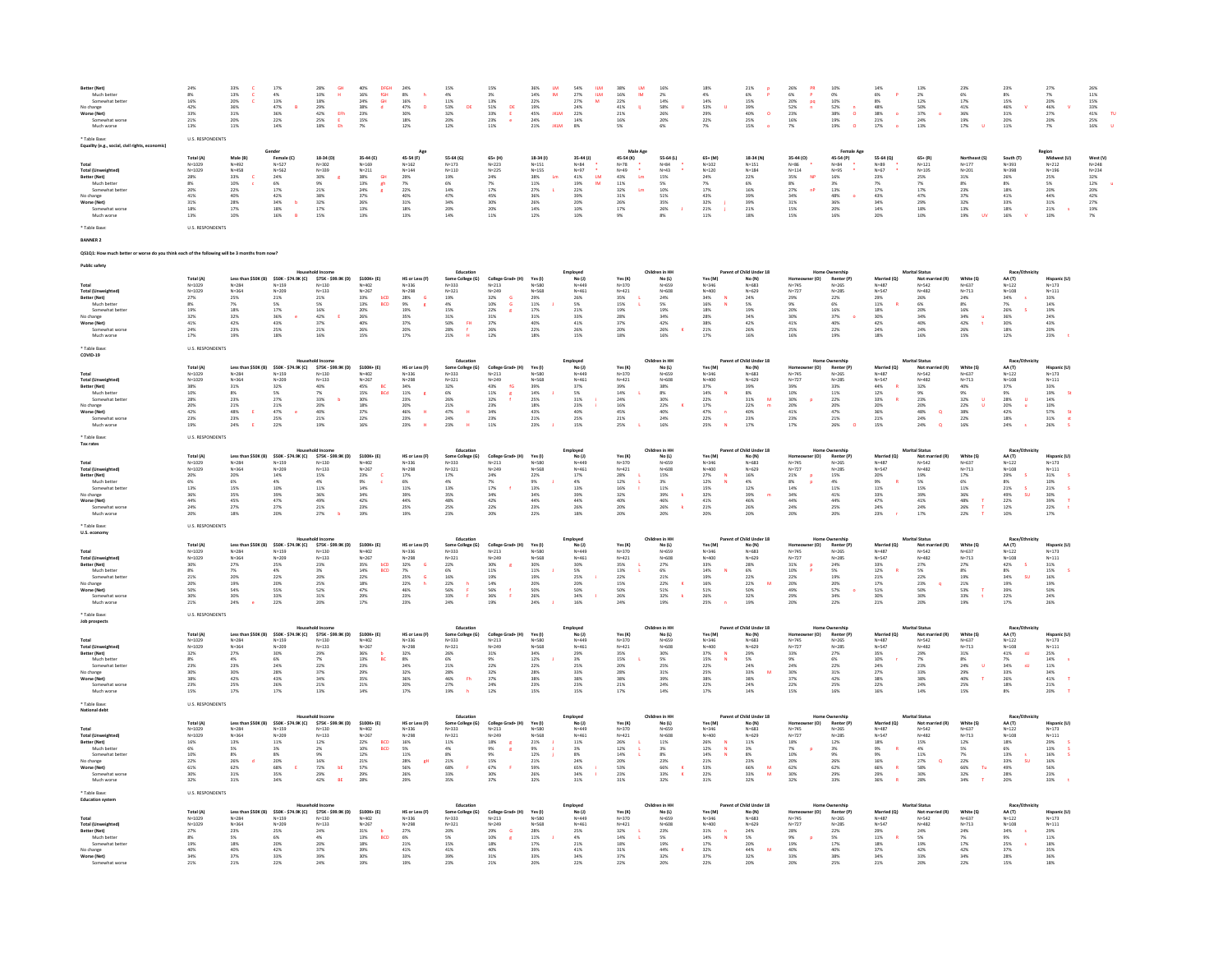| Better (Net)<br>Much better<br>Somewhat better<br>No change<br>Worse (Net)<br>Somewhat worse<br>Much worse                                               | 8%<br>16%<br>42%<br>33%<br>21%<br>13%                                                                                                           | 13%<br>20%<br>36%<br>31%<br>20%<br>11%                                                                                   | $17\%$<br>$\begin{array}{r} 4\% \\ 13\% \\ 47\% \\ 36\% \\ 22\% \end{array}$<br>14%                                                                                                                                       | $\begin{array}{r} 28\% \\ 10\% \\ 18\% \\ 29\% \\ 42\% \\ 25\% \\ 18\% \end{array}$<br>$\frac{GH}{H}$<br>$\begin{array}{c} \text{EPh} \\ \text{E} \\ \text{Eh} \end{array}$ | $\begin{array}{r} 40\% \\ 16\% \\ 24\% \\ 38\% \\ 23\% \\ 15\% \\ \hline \end{array}$<br>DFGH<br>fGH<br>GH                                                                                                                                                                                                                                                                                                   | $\begin{array}{r} 24\% \\ 8\% \\ 16\% \\ 47\% \\ 30\% \\ 18\% \end{array}$<br>h<br>12%                                                               | $\begin{array}{r}4\%\\4\%\\11\%\\53\%\\32\%\\20\% \end{array}$<br>12%                                                                                                                                                               | $\begin{array}{r} 3\% \\ 13\% \\ 51\% \\ 33\% \\ 23\% \end{array}$<br>$\frac{1}{\epsilon}$<br>11%                                                                                                                                                                                                                                                                                                                                 | $\frac{\text{LM}}{\text{IM}}$<br>$\begin{array}{l} 36\% \\ 14\% \\ 22\% \\ 19\% \\ 45\% \\ 24\% \\ 21\% \end{array}$<br><b>IKLM</b>           | $\begin{array}{r} 54\% \\ 27\% \\ 27\% \\ 24\% \\ 22\% \\ 14\% \\ \end{array}$<br>$\frac{\text{RIM}}{\text{RIM}}$<br>8%                         | $\begin{array}{r} 38\% \\ 16\% \\ 22\% \\ 41\% \\ 21\% \\ 16\% \\ \hline \end{array}$<br>$\frac{\text{LM}}{\text{IM}}$<br>5%        | $\begin{array}{r} 16\% \\ 2\% \\ 14\% \\ 58\% \\ 26\% \\ 20\% \\ \end{array}$                                                                    | $\begin{array}{r} 18\% \\ 4\% \\ 14\% \\ 53\% \\ 29\% \\ 22\% \end{array}$                                             | 21%<br>6%<br>15%<br>15%<br>39%<br>40%<br>25%<br>$\frac{\mathsf{p}}{\mathsf{p}}$<br>$\bullet$<br>15%                                                                            | 26%<br>6%<br>20%<br>52%<br>52%<br>23%<br>16%<br>$\frac{PR}{P}$                                                | 10%<br>0%<br>10%<br>52%<br>38%<br>19%<br>$\overset{\mathsf{n}}{\circ}$<br>19%                                                                                                                                           | $\begin{array}{r} 14\% \\ 6\% \\ 8\% \\ 48\% \\ 38\% \\ 21\% \\ \hline \end{array}$<br>$\mathbf{P}$<br>$\langle \rangle$ o | 2%<br>12%<br>50%<br>37%<br>24%<br>$\bullet$                                                                                                       | 6%<br>17%<br>41%<br>41%<br>36%<br>19%<br>17%                                                                                | 8%<br>15%<br>46%<br>31%<br>20%                                                                                    | 7%<br>20%<br>20%<br>46%<br>27%<br>20%                                                                                                                              | $\begin{array}{r} 26\% \\ 11\% \\ 15\% \\ 33\% \\ 41\% \\ 25\% \\ 16\% \end{array}$                                  |
|----------------------------------------------------------------------------------------------------------------------------------------------------------|-------------------------------------------------------------------------------------------------------------------------------------------------|--------------------------------------------------------------------------------------------------------------------------|---------------------------------------------------------------------------------------------------------------------------------------------------------------------------------------------------------------------------|-----------------------------------------------------------------------------------------------------------------------------------------------------------------------------|--------------------------------------------------------------------------------------------------------------------------------------------------------------------------------------------------------------------------------------------------------------------------------------------------------------------------------------------------------------------------------------------------------------|------------------------------------------------------------------------------------------------------------------------------------------------------|-------------------------------------------------------------------------------------------------------------------------------------------------------------------------------------------------------------------------------------|-----------------------------------------------------------------------------------------------------------------------------------------------------------------------------------------------------------------------------------------------------------------------------------------------------------------------------------------------------------------------------------------------------------------------------------|-----------------------------------------------------------------------------------------------------------------------------------------------|-------------------------------------------------------------------------------------------------------------------------------------------------|-------------------------------------------------------------------------------------------------------------------------------------|--------------------------------------------------------------------------------------------------------------------------------------------------|------------------------------------------------------------------------------------------------------------------------|--------------------------------------------------------------------------------------------------------------------------------------------------------------------------------|---------------------------------------------------------------------------------------------------------------|-------------------------------------------------------------------------------------------------------------------------------------------------------------------------------------------------------------------------|----------------------------------------------------------------------------------------------------------------------------|---------------------------------------------------------------------------------------------------------------------------------------------------|-----------------------------------------------------------------------------------------------------------------------------|-------------------------------------------------------------------------------------------------------------------|--------------------------------------------------------------------------------------------------------------------------------------------------------------------|----------------------------------------------------------------------------------------------------------------------|
| Table Base:<br>Equality (e.g., social, civil rights, economic)                                                                                           | <b>U.S. RESPONDENTS</b>                                                                                                                         |                                                                                                                          |                                                                                                                                                                                                                           |                                                                                                                                                                             |                                                                                                                                                                                                                                                                                                                                                                                                              |                                                                                                                                                      |                                                                                                                                                                                                                                     |                                                                                                                                                                                                                                                                                                                                                                                                                                   |                                                                                                                                               |                                                                                                                                                 |                                                                                                                                     |                                                                                                                                                  |                                                                                                                        |                                                                                                                                                                                |                                                                                                               |                                                                                                                                                                                                                         |                                                                                                                            |                                                                                                                                                   |                                                                                                                             |                                                                                                                   |                                                                                                                                                                    |                                                                                                                      |
| <b>Total (Unweighted)</b><br>Better (Net)<br>Much better<br>Somewhat better<br>No change<br>Worse (Net)<br>Somewhat worse<br>Much worse                  | Total (A)<br>N=1029<br>N=1029<br>28%<br>8%<br>20%<br>$\begin{array}{c} 41\% \\ 31\% \end{array}$<br>$\begin{array}{l} 18\% \\ 13\% \end{array}$ | Male (B)<br>$N = 492$<br>$N = 458$<br>33%<br>10%<br>22%<br>40%<br>28%<br>17%<br>10%                                      | Gender<br>enuer<br>Female (C)<br>N=562<br>N=562<br>24%<br>6%<br>6%<br>17%<br>42%<br>34%<br>34%<br>18%<br>16%<br>$\blacksquare$                                                                                            | 18-34 (D)<br>$N = 302$<br>$N = 339$<br>30%<br>9%<br>21%<br>38%<br>32%<br>$\begin{array}{l} 17\% \\ 15\% \end{array}$                                                        | 35-44 (E)<br>$N=169$<br>$N=211$<br>$\begin{array}{r} 38\% \\ 13\% \\ 24\% \\ 37\% \\ 26\% \\ 13\% \\ 13\% \\ \end{array}$<br>$\frac{GH}{gh}$                                                                                                                                                                                                                                                                 | Age<br>45-54 (F)<br>45-54 (P<br>N=162<br>N=144<br>29%<br>7%<br>22%<br>40%<br>31%<br>$\begin{array}{l} 18\% \\ 13\% \end{array}$                      | 55-64 (G)<br>$N = 173$<br>$N = 110$<br>$\begin{array}{l} 19\% \\ 6\% \\ 14\% \end{array}$<br>$\frac{47\%}{34\%}$<br>20%                                                                                                             | $65 + (H)$<br>$N = 223$<br>$N = 225$<br>$\begin{array}{l} 24\% \\ 7\% \\ 17\% \\ 45\% \\ 30\% \\ 20\% \\ 11\% \end{array}$                                                                                                                                                                                                                                                                                                        | 18-34 (1)<br>$N = 151$<br>$N = 155$<br>$\begin{array}{l} 38\% \\ 38\% \\ 11\% \\ 27\% \\ 36\% \\ 26\% \\ 14\% \\ 12\% \end{array}$<br>$\,$ Lm | 35-44 (J)<br>N=84<br>N=97<br>41%<br>41%<br>22%<br>39%<br>20%<br>10%<br>10%<br>$\frac{\text{LM}}{\text{IM}}$                                     | Male Age<br>Male Ag<br>45-54 (K)<br>$N=78$<br>$k=29$<br>43%<br>43%<br>41%<br>31%<br>31%<br>26%<br>17%<br>9%<br>$\mathop{\text{Im}}$ | 55-64 (L)<br>$\begin{array}{r} N = 84 \\ N = 43 \\ 15\% \\ 5\% \\ 10\% \\ 51\% \\ 35\% \\ 26\% \\ \end{array}$                                   | $65 + (M)$<br>$N=102$<br>$N=120$<br>$\begin{array}{r} 24\% \\ 7\% \\ 17\% \\ 43\% \\ 32\% \\ 21\% \\ 11\% \end{array}$ | 18-34 (N)<br>$N=151$<br>$N=184$<br>22%<br>6%<br>16%<br>39%<br>39%<br>$21\%$                                                                                                    | 35-44 (O)<br>N=86<br>N=114<br>35%<br>35%<br>27%<br>34%<br>31%<br>31%<br>15%<br>15%<br>NP                      | <b>Female Age</b><br>$45-54 (P)$<br>$N=84$<br>$N=95$<br>$16\%$<br>$3\%$<br>$13\%$<br>48%<br>36%<br>20%<br>16%                                                                                                           | 55-64 (Q)<br>$N=89$<br>$N=67$<br>23%<br>7%<br>17%<br>$\begin{array}{r} 43\% \\ 34\% \\ 14\% \\ 20\% \end{array}$           | $65 + (R)$<br>$N=121$<br>$N=105$<br>25%<br>25%<br>7%<br>17%<br>47%<br>29%<br>18%                                                                  | Northeast (S)<br>N=177<br>N=201<br>$\begin{array}{r} 31\% \\ 8\% \\ 23\% \\ 37\% \\ 32\% \end{array}$<br>13%                | South (T)<br>N=393<br>N=398<br>$\begin{array}{r} 26\% \\ 8\% \\ 18\% \\ 41\% \\ 33\% \\ 18\% \\ 16\% \end{array}$ | Region<br>Midwest (U)<br>N=212<br>N=196<br>25%<br>5%<br>20%<br>44%<br>44%<br>31%<br>21%<br>10%                                                                     | West (V)<br>$N=248$<br>$N=234$<br>$\begin{array}{r} 32\% \\ 12\% \\ 20\% \\ 42\% \\ 27\% \\ 19\% \\ 7\% \end{array}$ |
| * Table Base:<br><b>BANNER 2</b>                                                                                                                         | <b>U.S. RESPONDENTS</b>                                                                                                                         |                                                                                                                          |                                                                                                                                                                                                                           |                                                                                                                                                                             |                                                                                                                                                                                                                                                                                                                                                                                                              |                                                                                                                                                      |                                                                                                                                                                                                                                     |                                                                                                                                                                                                                                                                                                                                                                                                                                   |                                                                                                                                               |                                                                                                                                                 |                                                                                                                                     |                                                                                                                                                  |                                                                                                                        |                                                                                                                                                                                |                                                                                                               |                                                                                                                                                                                                                         |                                                                                                                            |                                                                                                                                                   |                                                                                                                             |                                                                                                                   |                                                                                                                                                                    |                                                                                                                      |
| Q\$1Q1: How much better or worse do you think each of the following will be 3 months from now?                                                           |                                                                                                                                                 |                                                                                                                          |                                                                                                                                                                                                                           |                                                                                                                                                                             |                                                                                                                                                                                                                                                                                                                                                                                                              |                                                                                                                                                      |                                                                                                                                                                                                                                     |                                                                                                                                                                                                                                                                                                                                                                                                                                   |                                                                                                                                               |                                                                                                                                                 |                                                                                                                                     |                                                                                                                                                  |                                                                                                                        |                                                                                                                                                                                |                                                                                                               |                                                                                                                                                                                                                         |                                                                                                                            |                                                                                                                                                   |                                                                                                                             |                                                                                                                   |                                                                                                                                                                    |                                                                                                                      |
| <b>Public safety</b>                                                                                                                                     |                                                                                                                                                 |                                                                                                                          |                                                                                                                                                                                                                           |                                                                                                                                                                             |                                                                                                                                                                                                                                                                                                                                                                                                              |                                                                                                                                                      |                                                                                                                                                                                                                                     |                                                                                                                                                                                                                                                                                                                                                                                                                                   |                                                                                                                                               |                                                                                                                                                 |                                                                                                                                     |                                                                                                                                                  |                                                                                                                        |                                                                                                                                                                                |                                                                                                               |                                                                                                                                                                                                                         |                                                                                                                            |                                                                                                                                                   |                                                                                                                             |                                                                                                                   |                                                                                                                                                                    |                                                                                                                      |
| Total<br>Total (Unweighted)<br>Better (Net)<br>Much better<br>Somewhat bett<br>No change<br>Worse (Net)<br>Somewhat worse<br>Much worse<br>* Table Base: | Total (A)<br>N=1029<br>N=1029<br>27%<br>27%<br>32%<br>41%<br>41%<br>$\begin{array}{l} 24\% \\ 17\% \end{array}$<br><b>U.S. RESPONDENTS</b>      | $N = 284$<br>$N=364$<br>25%<br>7%<br>$18\%$<br>32%<br>$42\%$<br>23%<br>19%                                               | Less than \$50K (B) \$50K - \$74.9K (C) \$75K - \$99.9K (D)<br>$N = 159$<br>N=159<br>N=209<br>21%<br>5%<br>17%<br>36%<br>43%<br>25%<br>$^{\circ}$                                                                         | 5/56 = 3<br>N=130<br>N=133<br>21%<br>5%<br>16%<br>42%<br>37%<br>21%<br>16%                                                                                                  | \$100K+ (E)<br>51<br>N=402<br>N=267<br>33%<br>33%<br>13%<br>20%<br>40%<br>40%<br>26%<br>bCD<br>BCD<br>15%                                                                                                                                                                                                                                                                                                    | HS or Less (F)<br>H5 ur ue<br>N=336<br>N=298<br>28%<br>20%<br>35%<br>37%<br>20%<br>20%                                                               | Education<br>Some College (G)<br>N=333<br>N=321<br>19%<br>4%<br>15%<br>115%<br>116<br>31%<br>50%<br>50%<br>28%<br>21%<br>$\frac{m}{t}$                                                                                              | College Grad+ (H)<br>N=213<br>N=249<br>22%<br>10%<br>S<br>22%<br>31%<br>26%<br>22%                                                                                                                                                                                                                                                                                                                                                | Yes (I)<br>ves <sub>tu</sub><br>N=580<br>N=568<br>29%<br>11%<br>17%<br>31%<br>40%<br>18%                                                      | Employed<br>No. (J)<br>N=449<br>N=461<br>26%<br>S%<br>33%<br>41%<br>26%<br>IS%<br>IS%                                                           | Yes(K)<br>$N=370$<br>$N=421$<br>$35%$<br>$15%$<br>$19%$<br>28%<br>37%<br>20%<br>18%                                                 | Children in HH<br>No (L)<br>$N=659$<br>$N=608$<br>$24%$<br>$5%$<br>$19%$<br>34%<br>42%<br>26%<br>16%                                             | Yes (M)<br>res (M)<br>N=346<br>N=400<br>34%<br>16%<br>18%<br>28%<br>28%<br>21%                                         | of Child Under 18<br>No (N)<br>No (m)<br>N=683<br>N=629<br>24%<br>5%<br>5%<br>42%<br>42%<br>42%<br>16%                                                                         | Homeov<br>N=745<br>29%<br>20%<br>20%<br>30%<br>41%<br>25%                                                     | Ownership<br>Renter (P)<br>N=265<br>N=285<br>22%<br>6%<br>40%<br>40%<br>22%<br>19%                                                                                                                                      | Married (Q)<br>Married<br>N=487<br>29%<br>29%<br>11%<br>18%<br>42%<br>24%<br>18%                                           | Marital Status<br>Not marrie<br>N=542<br>N=482<br>26%<br>26%<br>6%<br>24%<br>40%<br>24%<br>16%<br>24%<br>16%                                      | White (S)<br>Write ()<br>N=637<br>N=713<br>24%<br>34%<br>16%<br>34%<br>42%<br>26%                                           | Race/E<br>AA (T)<br>N=122<br>N=108<br>34%<br>26%<br>26%<br>30%<br>18%<br>12%                                      | Hispanic (U)<br>N=173<br>N=111<br>33%<br>14%<br>14%<br>24%<br>24%<br>20%<br>23%                                                                                    |                                                                                                                      |
| COVID-19                                                                                                                                                 |                                                                                                                                                 |                                                                                                                          |                                                                                                                                                                                                                           | usehold Income                                                                                                                                                              |                                                                                                                                                                                                                                                                                                                                                                                                              |                                                                                                                                                      | Education                                                                                                                                                                                                                           |                                                                                                                                                                                                                                                                                                                                                                                                                                   |                                                                                                                                               |                                                                                                                                                 |                                                                                                                                     | Children in HH                                                                                                                                   |                                                                                                                        | Parent of Child Under 18                                                                                                                                                       |                                                                                                               | <b>Home Ownership</b>                                                                                                                                                                                                   |                                                                                                                            | <b>Marital Status</b>                                                                                                                             |                                                                                                                             | Race/Ethnicity                                                                                                    |                                                                                                                                                                    |                                                                                                                      |
| Total<br>Total (Unweighted)<br>Better (Net)<br>west)<br>Much better<br>Somewhat bette<br>No change<br>Worse (Net)<br>Somewhat worse<br>Much worse        | Total (A)<br>N=1029<br>$N=1029$<br>$N=1029$<br>$38\%$<br>$10\%$<br>$28\%$<br>$20\%$<br>$42\%$<br>$23\%$<br>19%                                  | $N = 364$<br>$\frac{31\%}{8\%}$<br>$\frac{23\%}{21\%}$<br>$\mathbf{E}^{\mathbf{r}}$<br>48%<br>23%<br>24%<br>$\mathbf{r}$ | Less than \$50K (B) \$50K - \$74.9K (C) \$75K - \$99.9K (D) \$100K+ (E)<br>N=284 N=159 N=159 N=130 N=402<br>$N = 209$<br>N-203<br>32%<br>5%<br>27%<br>21%<br>47%<br>25%<br>$\mathbf{e}$<br>22%                            | $N=133$<br>$40\%$<br>$7\%$<br>$33\%$<br>$20\%$<br>$40\%$<br>$21\%$<br>$\overline{b}$<br>19%                                                                                 | $N = 267$<br>$\begin{array}{r}\n 845 \times 10^{14} \\  45 \times 10^{14} \\  30 \times 10^{14} \\  30 \times 10^{14} \\  37 \times 10^{14} \\  22 \times 10^{14} \\  37 \times 10^{14} \\  37 \times 10^{14} \\  37 \times 10^{14} \\  37 \times 10^{14} \\  37 \times 10^{14} \\  37 \times 10^{14} \\  37 \times 10^{14} \\  37 \times 10^{14} \\  37 \times 10^{14} \\  37 \times 10^{14} \\  37$<br>16% | HS or Less (F)<br>N=336<br>N=330<br>N=298<br>34%<br>11%<br>23%<br>20%<br>46%<br>23%<br>$\overline{\phantom{a}}$<br>$\cdot$ H $\cdot$<br>$\mathbf{H}$ | Some College (G)<br>N=333<br>$N = 321$<br>N=323<br>32%<br>6%<br>6%<br>26%<br>24%<br>24%<br>23%<br>$\mathbf{H}$                                                                                                                      | $\begin{array}{cc} \textbf{College Grad+(H)} & \textbf{Yes (I)} \\ \mathsf{N}{=}213 & \mathsf{N}{=}580 \\ \mathsf{N}{=}249 & \mathsf{N}{=}568 \\ \mathsf{A}3\% & \mathsf{fc} & 39\% \\ \mathsf{A}3\% & \mathsf{fc} & 24\% \\ \mathsf{A}2\% & \mathsf{fc} & 25\% \\ \mathsf{A}2\% & \mathsf{A} & 43\% \\ \mathsf{A}4\% & \mathsf{A} & 34\% \\ \end{array}$<br>$N=249$<br>$43%$<br>$11%$<br>$32%$<br>$23%$<br>$23%$<br>$23%$<br>11% | $21\%$<br>23%<br>$\sim$                                                                                                                       | Employed<br>No (J)<br>N=449<br>N=461<br>37%<br>S%<br>23%<br>40%<br>25%<br>25%<br>25%<br>15%                                                     | Yes (K)<br>N=370<br>N=421<br>39%<br>14%<br>24%<br>24%<br>16%<br>45%<br>$21\%$<br>25%<br>10.                                         | $No (L)$<br>$N=659$<br>$N = 608$<br>$n = 600$<br>38%<br>8%<br>8%<br>30%<br>22%<br>40%<br>24%<br>16%                                              | Yes (M)<br>N=346<br>N=400<br>37%<br>14%<br>22%<br>17%<br>47%<br>22%<br>22%<br>$\mathbf{n}$<br>$\sim$<br>25%            | $N = (N)$<br>$N = 683$<br>$N=629$<br>$N=629$<br>$8\%$<br>$8\%$<br>$31\%$<br>$22\%$<br>$40\%$<br>$23\%$<br>M<br>17%                                                             | er (O)<br>Homeov<br>N=745<br>N=727<br>39%<br>30%<br>30%<br>20%<br>41%<br>23%<br>17%<br>$\mathbf{p}$           | Protocom<br>Renter (P)<br>N=265<br>N=285<br>33%<br>11%<br>22%<br>20%<br>47%<br>$\frac{21\%}{26\%}$<br>$\alpha$                                                                                                          | Married (Q)<br>N=487<br>N=547<br>$12\%$<br>$44\%$<br>$12\%$<br>$33\%$<br>$20\%$<br>$36\%$<br>$21\%$<br>15%                 | Not married $(R)$<br>N=542<br>N=542<br>N=482<br>32%<br>9%<br>23%<br>24%<br>24%<br>24%<br>$\alpha$<br>$\alpha$                                     | White (S)<br>$_{\rm N=637}$<br>$N = 713$<br>$N = 7.13$<br>40%<br>9%<br>32%<br>32%<br>22%<br>38%<br>16%                      | AA (T)<br>N=122<br>N=108<br>37%<br>9%<br>28%<br>28%<br>20%<br>42%<br>18%<br>$\sim$<br>24%                         | Hispanic (U)<br>N=173<br>N=111<br>33%<br>19%<br>19%<br>14%<br>10%<br>57%<br>St<br>26%                                                                              |                                                                                                                      |
| Table Base:<br>Tax rates                                                                                                                                 | <b>U.S. RESPONDENTS</b>                                                                                                                         |                                                                                                                          |                                                                                                                                                                                                                           |                                                                                                                                                                             |                                                                                                                                                                                                                                                                                                                                                                                                              |                                                                                                                                                      |                                                                                                                                                                                                                                     |                                                                                                                                                                                                                                                                                                                                                                                                                                   |                                                                                                                                               |                                                                                                                                                 |                                                                                                                                     |                                                                                                                                                  |                                                                                                                        |                                                                                                                                                                                |                                                                                                               |                                                                                                                                                                                                                         |                                                                                                                            |                                                                                                                                                   |                                                                                                                             |                                                                                                                   |                                                                                                                                                                    |                                                                                                                      |
| Total<br>Total (Unweighted)<br>Better (Net)<br>Much better<br>Somewhat bette<br>No change<br>Worse (Net)<br>Somewhat worse<br>Much worse                 | Total (A)<br>$N=1029$<br>$N=1029$<br>20%<br>6%<br>13%<br>36%<br>44%<br>24%<br>20%                                                               | 20%<br>6%<br>15%<br>35%<br>45%<br>27%                                                                                    | Less than \$50K (B) \$50K - \$74.9K (C) \$100K + (E)<br>N=284 N=159 N=159 N=130 N=402<br>N=364 N=209 N=233 N=267<br>$\begin{array}{r} 14\% \\ 4\% \\ 10\% \\ 39\% \\ 47\% \\ 27\% \end{array}$                            | 15%<br>15%<br>4%<br>11%<br>36%<br>49%<br>21%                                                                                                                                | $\begin{array}{r} 23\% \\ 23\% \\ 9\% \\ 34\% \\ 42\% \\ 23\% \end{array}$                                                                                                                                                                                                                                                                                                                                   | HS or Less (F)<br>$N = 336$<br>$N = 298$<br>$\begin{array}{l} 17\% \\ 6\% \\ 11\% \\ 39\% \\ 44\% \end{array}$<br>25%                                | Education                                                                                                                                                                                                                           | Education (Scaling Grad+ (M) Ves (I)<br>19-233 (N-212) 19-249 (N-568)<br>19-321 (N-249 (N-568)<br>19-321 (N-249 (N-568)<br>19-56 (N-689 (N-689 (N-568)<br>19-56 (N-689 (N-689 (N-689 (N-689 (N-689 (N-689 (N-689 (N-689 (N-689 (N-689 (N                                                                                                                                                                                          |                                                                                                                                               | Employed<br>No (J)<br>N=449<br>N=461<br>17%<br>4%<br>4%<br>29%<br>26%<br>26%<br>26%                                                             | Yes(K)<br>ves (K)<br>N=370<br>N=421<br>28%<br>12%<br>16%<br>32%<br>40%<br>20%                                                       | Children in HH<br>No(L)<br>$N=659$<br>$N=608$<br>$\begin{array}{r} 15\% \\ 3\% \\ 11\% \\ 39\% \\ 46\% \\ 26\% \\ 20\% \end{array}$              | Yes (M)<br>765 (m)<br>N=346<br>N=400<br>27%<br>12%<br>12%<br>32%<br>41%<br>$\begin{array}{l} 21\% \\ 20\% \end{array}$ | Parent of Child Under 18<br>Mo (N)<br>N=683<br>N=629<br>N=629<br>16%<br>46%<br>39%<br>46%                                                                                      |                                                                                                               |                                                                                                                                                                                                                         | Married (Q)<br>N=487<br>N=547<br>20%<br>S36<br>S36<br>11%<br>33%<br>47%<br>24%                                             | <b>Marital Status</b><br>car status<br>Mot married (R)<br>N=542<br>19%<br>5%<br>5%<br>41%<br>41%<br>41%<br>24%                                    | White (S)<br>N=637<br>$N = 713$<br>$\begin{array}{r} 17\% \\ 17\% \\ 6\% \\ 11\% \\ 36\% \\ 26\% \\ 22\% \end{array}$       | AA (T)<br>N=122<br>N=108<br>$\begin{array}{r} 29\% \\ 8\% \\ 21\% \\ 49\% \\ 22\% \\ 12\% \\ 10\% \end{array}$    | <b>Hispanic (U)</b><br>N=173<br>N=111<br>31%<br>31%<br>10%<br>21%<br>30%<br>39%<br>$\tau$<br>$\pm$                                                                 |                                                                                                                      |
| * Table Base:<br>U.S. economy                                                                                                                            | <b>U.S. RESPONDENTS</b>                                                                                                                         |                                                                                                                          |                                                                                                                                                                                                                           |                                                                                                                                                                             |                                                                                                                                                                                                                                                                                                                                                                                                              |                                                                                                                                                      |                                                                                                                                                                                                                                     |                                                                                                                                                                                                                                                                                                                                                                                                                                   |                                                                                                                                               |                                                                                                                                                 |                                                                                                                                     |                                                                                                                                                  |                                                                                                                        |                                                                                                                                                                                |                                                                                                               |                                                                                                                                                                                                                         |                                                                                                                            |                                                                                                                                                   |                                                                                                                             |                                                                                                                   |                                                                                                                                                                    |                                                                                                                      |
| Total<br>Total (Unweighted)<br>Better (Net)<br>Much better<br>Somewhat bett<br>No change<br>Worse (Net)<br>Somewhat worse<br>Much worse                  | Total (A)<br>N=1029<br>N=1029<br>30%<br>8%<br>21%<br>20%<br>50%<br>30%<br>21%                                                                   | $N = 364$<br>27%<br>$7\%$<br>$20\%$<br>19%<br>54%<br>30%<br>24%                                                          | Less than \$50K (B) \$50K - \$74.9K (C)<br>N=284 N=159<br>$N = 209$<br>25%<br>$\begin{array}{l} 4\% \\ 22\% \end{array}$<br>20%<br>55%<br>33%<br>22%                                                                      | $575K - 599.9K (D)$ $5100K + (E)$<br>N=130 N=402<br>$N=133$<br>$23%$<br>$\frac{3\%}{20\%}$<br>25%<br>$52\%$ 31%<br>20%                                                      | $N = 267$<br>N=2b/<br>35%<br>14%<br>22%<br>18%<br>47%<br>29%<br>bCD<br>BCD<br>17%                                                                                                                                                                                                                                                                                                                            | HS or Less (F)<br>N=336<br>N=33b<br>N=298<br>32%<br>32%<br>25%<br>25%<br>46%<br>46%<br>$\mathbf G$<br>23%                                            | Education<br>Some College (G)<br>N=333<br>N=333<br>N=321<br>22%<br>6%<br>6%<br>16%<br>22%<br>56%<br>33%<br>$\frac{\mathfrak{h}}{\mathfrak{p}}$<br>24%                                                                               | College Grad+ (H) Yes (I)<br>N=213 N=580<br>N=249 N=580<br>30% R 30%<br>30% R 30%<br>11% 11% 11%<br>16% f 50%<br>56% f 50%<br>19%                                                                                                                                                                                                                                                                                                 | 24%                                                                                                                                           | Employed<br>No (J)<br>N=449<br>$N=461$<br>$N=461$<br>$30\%$<br>$5\%$<br>$25\%$<br>$20\%$<br>$50\%$<br>$34\%$<br>$\sim$<br>16%                   | Yes (K)<br>N=370<br>N=421<br>N=421<br>35%<br>13%<br>22%<br>15%<br>50%<br>26%<br>24%                                                 | Children in HH<br>No $(L)$<br>$N = 659$<br>$N = 608$<br>N=608<br>27%<br>6%<br>21%<br>22%<br>51%<br>32%<br>19%                                    | Yes (M)<br>N=346<br>N=340<br>N=400<br>33%<br>14%<br>19%<br>16%<br>51%<br>26%<br>$\sim$<br>25%<br>$\blacksquare$        | Parent of Child Under 18<br>hild Unde<br>No (N)<br>N=683<br>N=629<br>28%<br>28%<br>22%<br>22%<br>50%<br>32%<br>19%                                                             | ner (O)<br>Homeov<br>N=745<br>N=727<br>31%<br>10%<br>22%<br>20%<br>49%<br>29%<br>$\frac{P}{P}$<br>20%         | Home Ownershi<br>: Ownership<br>Renter (P)<br>N=285<br>24%<br>20%<br>57%<br>20%<br>20%<br>34%<br>34%<br>$\bullet$<br>22%                                                                                                | Married (Q)<br>N=487<br>N=547<br>N=54)<br>33%<br>12%<br>21%<br>21%<br>51%<br>51%<br>21%                                    | Marital Status<br>an status<br>Not marrie<br>N=542<br>N=542<br>N=482<br>27%<br>5%<br>50%<br>23%<br>30%                                            | White (S)<br>N=637<br>$N = 713$<br>N=71:<br>27%<br>8%<br>8%<br>19%<br>21%<br>53%<br>19%                                     | Race/Fthe<br>Race <sub>)</sub><br>AA (T)<br>N=122<br>N=108<br>42%<br>8%<br>39%<br>39%<br>39%<br>22%<br>17%        | Hispanic (U)<br>$N=173$<br>N=1/3<br>N=111<br>31%<br>15%<br>16%<br>16%<br>50%<br>50%<br>26%                                                                         |                                                                                                                      |
| * Table Base:<br>Job prospects                                                                                                                           | <b>U.S. RESPONDENTS</b>                                                                                                                         |                                                                                                                          |                                                                                                                                                                                                                           |                                                                                                                                                                             |                                                                                                                                                                                                                                                                                                                                                                                                              |                                                                                                                                                      |                                                                                                                                                                                                                                     |                                                                                                                                                                                                                                                                                                                                                                                                                                   |                                                                                                                                               |                                                                                                                                                 |                                                                                                                                     |                                                                                                                                                  |                                                                                                                        |                                                                                                                                                                                |                                                                                                               |                                                                                                                                                                                                                         |                                                                                                                            |                                                                                                                                                   |                                                                                                                             |                                                                                                                   |                                                                                                                                                                    |                                                                                                                      |
| <b>Total (Unweighted)</b><br>Better (Net)<br>Much better<br>Somewhat better<br>No change<br>Worse (Net)<br>Somewhat worse<br>Much worse                  | Total (A)<br>$N=1029$<br>$N = 1029$<br>32%<br>8%<br>23%<br>30%<br>30%<br>23%<br>15%                                                             | $N = 364$<br>$\frac{27\%}{4\%}$<br>23%<br>$30%$<br>$42%$<br>25%<br>17%                                                   | Less than \$50K (B) \$50K - \$74.9K (C) \$75K - \$99.9K (D) \$100K+ (E)<br>N=284 N=159 N=159 N=130 N=402<br>$N = 209$<br>30%<br>6%<br>6%<br>24%<br>28%<br>43%<br>$26\%$ 17%                                               | $N = 133$<br>N-133<br>29%<br>7%<br>22%<br>37%<br>34%<br>21%<br>13%                                                                                                          | 3100NT<br>N=402<br>N=267<br>36%<br>13%<br>23%<br>29%<br>35%<br>21%<br>14%                                                                                                                                                                                                                                                                                                                                    | HS or Less (F)<br>N=336<br>N=298<br>32%<br>32%<br>24%<br>32%<br>36%<br>20%<br>20%                                                                    | Education<br>Education College Grad+ (M) Ves (I)<br>Education College Grad+ (M) Ves (I)<br>N=331 N=249 N=568<br>26% 31% 34% 22%<br>26% 27% 22% 22%<br>21% 22% 32% 22%<br>40% Fh 37% 23% 28%<br>28%<br>28%<br>46%<br>27%<br>19%<br>h | 24%<br>12%                                                                                                                                                                                                                                                                                                                                                                                                                        | 28%<br>38%<br>23%<br>15%                                                                                                                      | $\begin{array}{r} \text{Employee} \\ \text{No (J)} \\ \text{N=449} \\ \text{N=461} \end{array}$<br>29%<br>3%<br>25%<br>33%<br>38%<br>23%<br>15% | Yes (K)<br>N=370<br>N=421<br>35%<br>35%<br>15%<br>20%<br>28%<br>$\pm$<br>38%<br>$\begin{array}{l} 21\% \\ 17\% \end{array}$         | Children in HH<br>$No (L)$<br>$N=659$<br>$N = 608$<br>$30\%$<br>$5\%$<br>$25\%$<br>$31\%$<br>$\begin{array}{c} 39\% \\ 24\% \\ 14\% \end{array}$ | Yes (M)<br>N=346<br>N=400<br>37%<br>37%<br>15%<br>22%<br>25%<br>38%<br>22%<br>17%                                      | Parent of Child Under 18<br>No (N)<br>N=683<br>N=629<br>N=629<br>29%<br>S%<br>38%<br>24%<br>38%<br>24%<br>24%                                                                  | N=745<br>N=745<br>N=727<br>$\begin{array}{r} 33\% \\ 9\% \\ 24\% \\ 30\% \\ 37\% \\ 22\% \\ 15\% \end{array}$ | Home Ownership<br>$\frac{1}{N}$<br>$\frac{1}{N}$<br>$\frac{1}{N}$<br>$\frac{1}{N}$<br>$\frac{1}{N}$<br>$\frac{1}{N}$<br>$\frac{1}{N}$<br>$\frac{1}{N}$<br>$27%$<br>6%<br>22%<br>$31\%$<br>$42\%$<br>$\frac{25\%}{16\%}$ | Married (Q)<br>N=487<br>N=547<br>N-34<br>35%<br>10%<br>24%<br>27%<br>38%<br>22%<br>16%                                     | <b>Marital Status</b><br>Not married $(R)$<br>N=542<br>$N = 482$<br>29%<br>7%<br>23%<br>33%<br>38%<br>$\begin{array}{l} 24\% \\ 14\% \end{array}$ | White (S)<br>N=637<br>N=713<br>$\begin{array}{l} 31\% \\ 8\% \\ 24\% \\ 29\% \\ 40\% \\ 25\% \\ 15\% \end{array}$<br>$\tau$ | Race/Ethr<br>AA (T)<br>N=122<br>N=108<br>41%<br>41%<br>34%<br>33%<br>26%<br>18%<br>18%                            | Hispanic (U)<br>N=173<br>N=111<br>$\begin{array}{l} 25\% \\ 14\% \\ 11\% \end{array}$<br>$34\%$<br>$41\%$<br>$\langle \tau \rangle$<br>21%<br>20%<br>$\mathcal{A}$ |                                                                                                                      |
| * Table Base:<br>National debt                                                                                                                           | <b>U.S. RESPONDENTS</b>                                                                                                                         |                                                                                                                          |                                                                                                                                                                                                                           |                                                                                                                                                                             |                                                                                                                                                                                                                                                                                                                                                                                                              |                                                                                                                                                      |                                                                                                                                                                                                                                     |                                                                                                                                                                                                                                                                                                                                                                                                                                   |                                                                                                                                               |                                                                                                                                                 |                                                                                                                                     |                                                                                                                                                  |                                                                                                                        |                                                                                                                                                                                |                                                                                                               |                                                                                                                                                                                                                         |                                                                                                                            |                                                                                                                                                   |                                                                                                                             |                                                                                                                   |                                                                                                                                                                    |                                                                                                                      |
| Total<br><b>Total (Unweighted)</b><br>Better (Net)<br>Much better<br>Somewhat bette<br>No change<br>Worse (Net)<br>Somewhat worse<br>Much worse          | Total (A)<br>$N=1029$<br>$N=1029$<br>16%<br>$6\%$<br>10%<br>22%<br>61%<br>30%<br>32%                                                            | $N = 284$<br>$N = 364$<br>13%<br>$\frac{5\%}{8\%}$<br>26%<br>62%<br>$\mathbf{d}$<br>31%<br>31%                           | Less than \$50K (B) \$50K - \$74.9K (C) \$75K - \$99.9K (D) \$100K+ (E)<br>$N = 159$<br>$\begin{array}{l} N{=}159\\ N{=}209\\ 11\%\\ 3\%\\ 8\%\\ 20\%\\ 68\%\\ 35\%\\ 35\%\\ 35\%\\ \end{array}$<br>$\mathbb{R}^n$<br>34% | 5756 = 3<br>N=130<br>N=133<br>12%<br>2%<br>9%<br>16%<br>72%<br>29%<br>${\bf b} {\bf E}$<br>BE                                                                               | 8100K+1<br>N=402<br>N=267<br>22%<br>10%<br>12%<br>23%<br>29%<br>29%<br>BCD<br>BCD                                                                                                                                                                                                                                                                                                                            | HS or Less (F)<br>HS or Le<br>N=336<br>N=298<br>16%<br>16%<br>56%<br>28%<br>26%<br>26%<br>gH                                                         | Education<br>Some College (G)<br>N=333<br>$N=321$<br>$\begin{array}{r} 11\% \\ 4\% \\ 8\% \\ 21\% \\ 68\% \\ 33\% \end{array}$<br>$\sim$ F $_{\odot}$<br>35%                                                                        | College Grad+ (H)<br>N=213<br>N=249<br>18%<br>9%<br>9%<br>S7%<br>G7%<br>G7%<br>20%                                                                                                                                                                                                                                                                                                                                                | Yes (I)<br>N=580<br>N=568<br>21%<br>9%<br>9%<br>12%<br>21%<br>59%<br>26%<br>32%                                                               | Employed<br>No (J)<br>N=449<br>N=461<br>N=461<br>11%<br>3%<br>8%<br>24%<br>65%<br>34%<br>34%                                                    | Yes $(K)$<br>res (K)<br>N=370<br>N=421<br>26%<br>12%<br>14%<br>20%<br>53%<br>23%<br>31%                                             | $\begin{array}{c} \text{Children in HH} \\ \text{No (L)} \end{array}$<br>$N = 659$<br>$N = 608$<br>11%<br>3%<br>8%<br>8%<br>23%<br>66%<br>33%    | Yes (M)<br>res (m)<br>N=346<br>N=400<br>26%<br>12%<br>14%<br>21%<br>21%<br>22%                                         | Parent of Child Under 18<br>)<br>No (N)<br>N=683<br>N 11%<br>N 11%<br>N 23%<br>23%<br>23%<br>66%<br>23%<br>23%<br>23%<br>23%<br>$\begin{array}{c}\nM \\ M\n\end{array}$<br>32% |                                                                                                               | Home Ownershi                                                                                                                                                                                                           | Married (Q)<br>N=487<br>N=547<br>18%<br>9%<br>9%<br>66%<br>66%<br>R<br>29%<br>29%<br>29%<br>R<br>$\mathbf{R}^{\top}$       | <b>Marital Status</b><br>tal Status<br>Not married (R)<br>N=542<br>N=482<br>15%<br>4%<br>11%<br>27%<br>28%<br>30%<br>28%                          | White (S)<br>White ()<br>N=637<br>N=713<br>12%<br>5%<br>5%<br>2%<br>66%<br>32%<br>34%<br>$T\alpha$                          | Race/Ethn<br>AA (T)<br>N=122<br>N=108<br>18%<br>6%<br>6%<br>33%<br>49%<br>28%<br>28%                              | Hispanic (U)<br>N=173<br>N=111<br>29%<br>S<br>S<br>13%<br>S<br>6%<br>16%<br>23%<br>23%<br>23%<br>33%<br>$\mathbf{t}$                                               |                                                                                                                      |
| * Table Rase:<br><b>Education system</b>                                                                                                                 | <b>U.S. RESPONDENTS</b>                                                                                                                         |                                                                                                                          |                                                                                                                                                                                                                           |                                                                                                                                                                             |                                                                                                                                                                                                                                                                                                                                                                                                              |                                                                                                                                                      |                                                                                                                                                                                                                                     |                                                                                                                                                                                                                                                                                                                                                                                                                                   |                                                                                                                                               |                                                                                                                                                 |                                                                                                                                     |                                                                                                                                                  |                                                                                                                        |                                                                                                                                                                                |                                                                                                               |                                                                                                                                                                                                                         |                                                                                                                            |                                                                                                                                                   |                                                                                                                             |                                                                                                                   |                                                                                                                                                                    |                                                                                                                      |
| Total<br><b>Total (Unweighted)</b><br>Better (Net)<br>Much better<br>Somewhat bette<br>No change<br>Worse (Net)<br>Somewhat worse                        | Total (A)<br>$N=1029$<br>N=1029<br>27%<br>8%<br>8%<br>19%<br>40%<br>34%<br>21%                                                                  | $N = 364$<br>23%<br>5%<br>$\frac{18\%}{40\%}$<br>$\frac{37\%}{21\%}$                                                     | Less than \$50K (B) \$50K - \$74.9K (C) \$75K - \$99.9K (D)<br>N=284 N=159 N=130<br>$N = 209$<br>$25\%$<br>6%<br>20%<br>42%<br>33%<br>22%                                                                                 | Household Income<br>$N = 133$<br>$24\%$<br>$4\%$<br>$4\%$<br>$20\%$<br>$37\%$<br>39%<br>24%                                                                                 | \$100K+(E)<br>N=402<br>$N = 267$<br>N-407<br>31%<br>13%<br>18%<br>30%<br>30%<br>19%<br><b>BCD</b>                                                                                                                                                                                                                                                                                                            | HS or Less (F)<br>N=336<br>$N = 298$<br>$27\%$<br>$21\%$<br>$41\%$<br>$33\%$<br>$19\%$                                                               | Education<br>Some College (G)<br>N=333<br>$N = 321$<br>20%<br>20%<br>5%<br>15%<br>41%<br>39%<br>23%                                                                                                                                 | College Grad+ (H)<br>N=213<br>$N = 249$<br>v=243<br>29%<br>10%<br>18%<br>40%<br>31%<br>21%                                                                                                                                                                                                                                                                                                                                        | Yes (I)<br>N=580<br>N=568<br>28%<br>28%<br>11%<br>17%<br>39%<br>33%                                                                           | Employed<br>No (J)<br>$N=449$<br>$N = 461$<br>25%<br>4%<br>21%<br>41%<br>$\frac{34\%}{22\%}$                                                    | Yes (K)<br>N=370<br>N=421<br>32%<br>14%<br>18%<br>18%<br>31%<br>37%<br>22%                                                          | Children in HH<br>No (L)<br>N=659<br>$N = 608$<br>N-008<br>23%<br>5%<br>5%<br>44%<br>42%<br>32%<br>20%                                           | Yes (M)<br>N=346<br>N=400<br>31%<br>31%<br>14%<br>17%<br>32%<br>37%                                                    | Parent of Child Under 18<br>hild Unde<br>No (N)<br>N=683<br>N=629<br>24%<br>S%<br>20%<br>44%<br>32%<br>20%<br>$\mathbf{M}$                                                     | Homeov<br>N=745<br>N=727<br>ner (O)<br>N-727<br>28%<br>9%<br>19%<br>40%<br>33%<br>20%<br>$\mathbf{p}$         | <b>Home Ownership</b><br>Renter (P)<br>N=265<br>$N = 285$<br>N-28:<br>22%<br>5%<br>5%<br>17%<br>40%<br>38%<br>25%                                                                                                       | Married (Q)<br>$_{\rm N=487}$<br>$N = 547$<br>29%<br>29%<br>11%<br>18%<br>37%<br>$\frac{34\%}{21\%}$                       | <b>Marital Status</b><br>Not married (R)<br>N=542<br>$N = 482$<br>24%<br>5%<br>5%<br>19%<br>42%                                                   | White (S)<br>$_{\rm N=637}$<br>$N = 713$<br>$24\%$<br>$7\%$<br>$17\%$<br>$42\%$                                             | Race/Ethnicity<br>Race)<br>AA (T)<br>N=122<br>N=108<br>34%<br>S%<br>25%<br>25%<br>25%<br>15%                      | Hispanic (U)<br>N=173<br>N=111<br>29%<br>11%<br>18%<br>18%                                                                                                         |                                                                                                                      |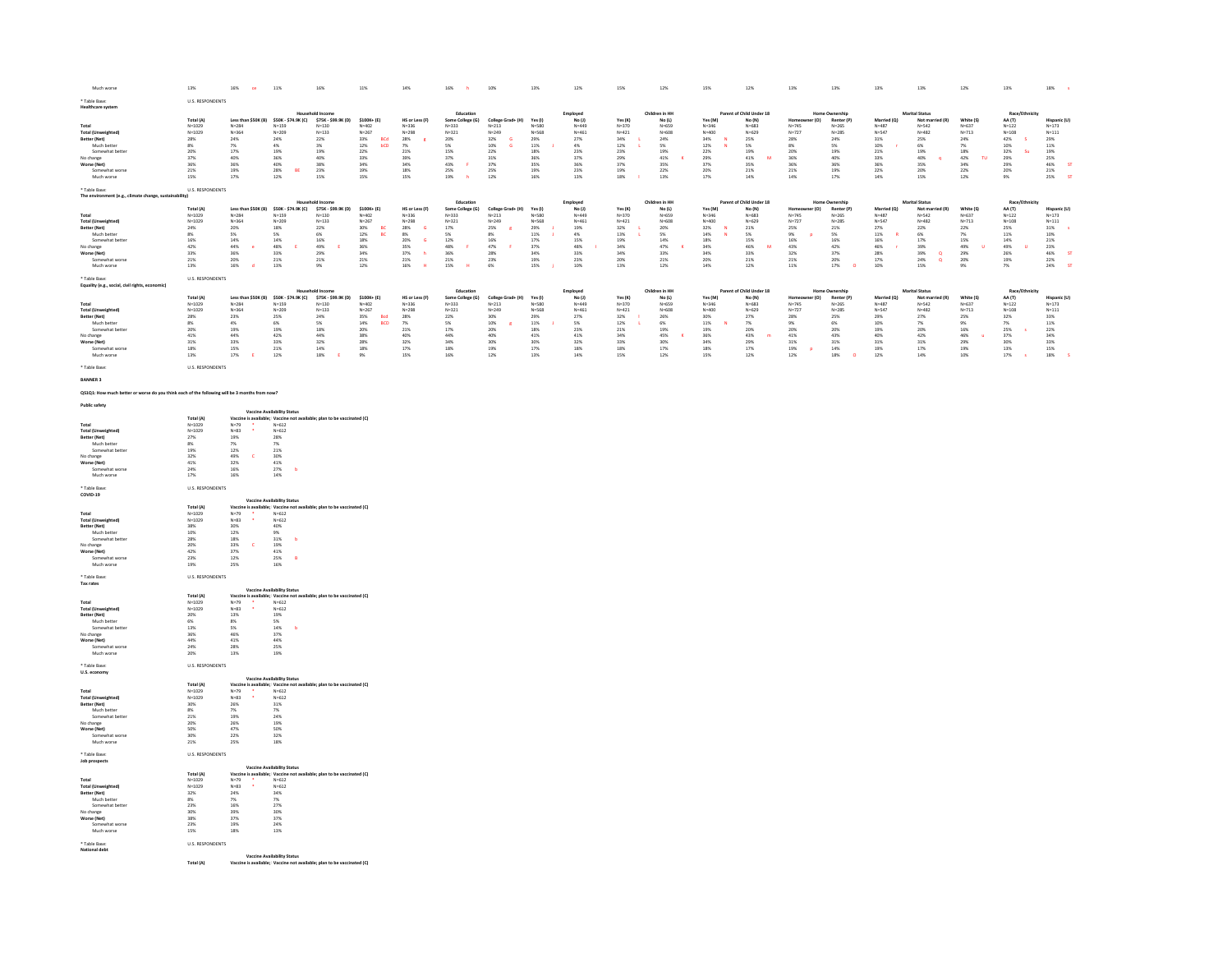| Much worse                                                                                    | 13%                                                                                                        | 16% ce 11%                                                                              |                                                                                                              | 16%                                                                      | 11%                                                                 | 14%                                                            | 16% h                                                                | 10%                                     | 13%                                                                         | 12%                                                 | 15%                                                                         | 12%                                                 | 15%                                                                         | 12%                                                 | 13%                                                             | 13%                                                                | 13%                                                            | 13%                                                  | 12%                                                                        | 13%                                                      | 18%                                            |
|-----------------------------------------------------------------------------------------------|------------------------------------------------------------------------------------------------------------|-----------------------------------------------------------------------------------------|--------------------------------------------------------------------------------------------------------------|--------------------------------------------------------------------------|---------------------------------------------------------------------|----------------------------------------------------------------|----------------------------------------------------------------------|-----------------------------------------|-----------------------------------------------------------------------------|-----------------------------------------------------|-----------------------------------------------------------------------------|-----------------------------------------------------|-----------------------------------------------------------------------------|-----------------------------------------------------|-----------------------------------------------------------------|--------------------------------------------------------------------|----------------------------------------------------------------|------------------------------------------------------|----------------------------------------------------------------------------|----------------------------------------------------------|------------------------------------------------|
| * Table Base:<br><b>Healthcare system</b>                                                     | U.S. RESPONDENTS                                                                                           |                                                                                         |                                                                                                              |                                                                          |                                                                     |                                                                |                                                                      |                                         |                                                                             |                                                     |                                                                             |                                                     |                                                                             |                                                     |                                                                 |                                                                    |                                                                |                                                      |                                                                            |                                                          |                                                |
|                                                                                               |                                                                                                            |                                                                                         |                                                                                                              |                                                                          |                                                                     |                                                                | Education                                                            |                                         |                                                                             | Employed<br>No (J)                                  |                                                                             | Children in HH                                      |                                                                             | Parent of Child Under 18                            |                                                                 |                                                                    |                                                                | <b>Marital Status</b>                                |                                                                            | Race/Eth                                                 |                                                |
|                                                                                               | Total (A)                                                                                                  |                                                                                         | Less than \$50K (B) \$50K - \$74.9K (C) \$75K - \$99.9K (D) \$100K+ (E)                                      |                                                                          |                                                                     | HS or Less (F)                                                 | Some College (G)                                                     | College Grad+ (H) Yes (I)               |                                                                             |                                                     | Yes (K)                                                                     | No(L)                                               | Yes (M)                                                                     | No (N)                                              | ner (O)                                                         | Renter (P)                                                         | Married (Q)                                                    | Not married (R)<br>$N=542$                           | White (S)                                                                  | AA (T)<br>N=122<br>N=108                                 | Hispanic (U)                                   |
| Total<br>Total (Unweighted)                                                                   | $N=1029$<br>$N=1029$                                                                                       | $N = 284$<br>$N = 364$                                                                  | $N = 159$<br>$N = 209$                                                                                       | $N=130$<br>$N=133$                                                       | $N=402$<br>$N=267$                                                  | $N = 336$<br>$N = 298$                                         | N=333<br>N=333<br>N=321                                              | $N = 213$<br>$N = 249$                  | N=580<br>N=580<br>N=568                                                     | N=449<br>N=449<br>N=461                             |                                                                             | $N = 659$<br>$N = 608$                              | $N = 346$<br>$N = 400$                                                      | $N=683$<br>$N=629$                                  | N=745<br>N=745                                                  | N=265<br>N=285                                                     | N=487<br>N=547                                                 | $N = 482$                                            | $N=637$<br>$N=713$                                                         |                                                          | $N=173$<br>$N=111$                             |
| Better (Net)<br>Much better                                                                   |                                                                                                            |                                                                                         | $\begin{array}{l} 24\% \\ 4\% \end{array}$                                                                   | $\frac{22\%}{3\%}$                                                       | BCd<br>$\begin{array}{l} 33\% \\ 12\% \end{array}$<br>bCD           |                                                                |                                                                      | $32\%$ 10%<br>$\mathbf{G}$              | $\begin{array}{l} 29\% \\ 11\% \end{array}$                                 | $\frac{27\%}{4\%}$                                  |                                                                             | 24%<br>5%                                           | $\frac{34\%}{12\%}$                                                         | 25%<br>5%                                           |                                                                 | 24%<br>5%                                                          | $\begin{array}{l} 31\% \\ 10\% \end{array}$                    | 25%<br>6%                                            | $\frac{24\%}{7\%}$                                                         |                                                          |                                                |
| Somewhat better                                                                               |                                                                                                            | $\begin{array}{r} 24\% \\ 7\% \\ 17\% \end{array}$                                      | 19%                                                                                                          | 19%                                                                      |                                                                     |                                                                | $\frac{20\%}{5\%}$<br>15%                                            |                                         |                                                                             | 23%                                                 |                                                                             |                                                     |                                                                             | 19%                                                 | 28%<br>8%<br>20%<br>36%                                         | 19%                                                                |                                                                |                                                      |                                                                            | <b>Su</b>                                                | 29%<br>29%<br>11%<br>19%<br>25%                |
| No change                                                                                     |                                                                                                            | $40\%$                                                                                  | 36%                                                                                                          | 40%                                                                      |                                                                     | 28%<br>7%<br>21%<br>39%<br>34%                                 | 37%<br>$\mathbf{r}$                                                  |                                         | 18%<br>36%<br>35%                                                           | $37\%$                                              |                                                                             | $^{19\%}_{41\%}$                                    | $\begin{array}{r} 22\% \\ 29\% \\ 37\% \end{array}$                         | $41\%$<br>$\overline{M}$                            |                                                                 | 40%                                                                | 21%<br>33%                                                     | $\frac{19\%}{40\%}$<br>$\,$ $\,$                     | TU.                                                                        |                                                          |                                                |
| Worse (Net)<br>Somewhat worse                                                                 | 28%<br>8%<br>8%<br>20%<br>37%<br>36%<br>21%                                                                | 36%<br>$19\%$                                                                           | 40%<br>28%<br>BE                                                                                             | 38%<br>23%                                                               | $\begin{array}{r} 22\% \\ 33\% \\ 34\% \\ 19\% \\ 15\% \end{array}$ | 18%                                                            | 43%<br>25%                                                           | 22%<br>31%<br>37%<br>25%                | $19\%$                                                                      | 36%<br>$23\%$                                       | N=370<br>N=421<br>34%<br>34%<br>23%<br>29%<br>37%<br>37%                    | 35%<br>$22\%$                                       | 20%                                                                         | 35%<br>$21\%$                                       | 36%<br>$21\%$                                                   | 36%<br>19%<br>17%                                                  | 36%<br>$22\%$                                                  | 35%<br>$20\%$                                        | $\begin{array}{r} 18\% \\ 42\% \\ 34\% \\ 22\% \end{array}$                | $42\%$<br>$10\%$<br>$32\%$<br>$29\%$<br>$29\%$<br>$20\%$ | ST<br>$\frac{46\%}{21\%}$                      |
| Much worse                                                                                    | 15%                                                                                                        | 17%                                                                                     | 12%                                                                                                          | 15%                                                                      |                                                                     | 15%                                                            | $\mathbf{h}$<br>19%                                                  | 12%                                     | 16%                                                                         | 13%                                                 | $\mathbf{r}$<br>18%                                                         | 13%                                                 | 17%                                                                         | 14%                                                 | 14%                                                             |                                                                    | 14%                                                            | 15%                                                  | 12%                                                                        | 9%                                                       | S<br>25%                                       |
| * Table Base:                                                                                 | U.S. RESPONDENTS                                                                                           |                                                                                         |                                                                                                              |                                                                          |                                                                     |                                                                |                                                                      |                                         |                                                                             |                                                     |                                                                             |                                                     |                                                                             |                                                     |                                                                 |                                                                    |                                                                |                                                      |                                                                            |                                                          |                                                |
| The environment (e.g., climate change, sustainability)                                        |                                                                                                            |                                                                                         |                                                                                                              |                                                                          |                                                                     |                                                                |                                                                      |                                         |                                                                             |                                                     |                                                                             |                                                     |                                                                             |                                                     |                                                                 |                                                                    |                                                                |                                                      |                                                                            |                                                          |                                                |
|                                                                                               | Total (A)                                                                                                  |                                                                                         | Less than \$50K (B) \$50K - \$74.9K (C) \$75K - \$99.9K (D) \$100K+ (E)                                      | hold Income                                                              |                                                                     |                                                                | Education<br>Some College (G)                                        |                                         |                                                                             | Employed<br>No (J)<br>$N=449$                       |                                                                             | Children in HH                                      |                                                                             | Parent of Child Under 18                            | er (O)<br>Home                                                  | Home Ownership                                                     |                                                                | <b>Marital Status</b>                                | White (S)                                                                  | Race/Ethnicity                                           | Hispanic (U)                                   |
| $_{\rm Total}$                                                                                | $N = 1029$                                                                                                 | $N = 284$                                                                               | $N = 159$                                                                                                    | $N = 130$                                                                | $N = 402$                                                           | HS or Less (F)<br>$_{\rm N=336}$                               | $N = 333$                                                            | College Grad+ (H)<br>N=213              | Yes (I)<br>N=580                                                            |                                                     | Yes (K)<br>$N=370$                                                          | No (L)<br>N=659                                     | Yes (M)<br>N=346                                                            | No (N)<br>N=683                                     | $N=745$                                                         | Renter (P)<br>N=265                                                | Married (Q)<br>N=487                                           | Not married (R)<br>$_{\mathrm{N=542}}$               | $N = 637$                                                                  | AA (T)<br>N=122                                          | $N = 173$                                      |
| <b>Total (Unweighted)</b><br>Better (Net)                                                     | $N = 1029$                                                                                                 | $N = 364$                                                                               | $N = 209$                                                                                                    | $N = 133$                                                                | $N = 267$                                                           | $N = 298$<br>$\mathsf{G}$                                      | $N = 321$                                                            | $N = 249$                               | $N = 568$                                                                   | $N = 461$                                           | $N = 421$                                                                   | $N = 608$                                           | $N = 400$                                                                   | $N = 629$                                           | $N = 727$                                                       | $N = 285$                                                          | $N = 547$                                                      | $N = 482$                                            | $N = 713$                                                                  | $N = 108$                                                | $N = 111$<br>$\sim$                            |
| Much better                                                                                   |                                                                                                            | $\frac{20\%}{5\%}$                                                                      |                                                                                                              |                                                                          | BC<br>BC                                                            |                                                                |                                                                      |                                         | J.                                                                          | $\frac{19\%}{4\%}$                                  |                                                                             |                                                     | $\frac{N}{N}$                                                               |                                                     | <b>P</b>                                                        | $\frac{21\%}{5\%}$                                                 | $\mathbf R$                                                    |                                                      |                                                                            | $\begin{array}{l} 25\% \\ 11\% \end{array}$              | $\frac{31\%}{10\%}$                            |
| Somewhat better<br>No change                                                                  | $\begin{array}{r} \n 24\% \\ \n 24\% \\ \n 8\% \\ \n 16\% \\ \n 42\% \\ \n 33\% \\ \n 21\% \n \end{array}$ | $\begin{array}{l} 14\% \\ 44\% \end{array}$<br>$\mathbf{e}$                             | N-203<br>18%<br>5%<br>14%<br>48%<br>33%<br>21%<br>$\mathbf{E}$                                               | $n = 133$<br>22%<br>6%<br>6%<br>16%<br>49%<br>29%<br>21%<br>$\mathsf{E}$ | 30%<br>12%<br>18%<br>36%                                            | N-25%<br>28%<br>8%<br>20%<br>35%<br>37%<br>21%<br>$\mathsf{G}$ | N-32:<br>17%<br>5%<br>5%<br>12%<br>48%<br>36%<br>21%<br>$\mathbf{r}$ | 25%<br>8%<br>16%<br>47%<br>$\mathbf{r}$ | $\begin{array}{l} 29\% \\ 11\% \\ 17\% \\ 37\% \\ 34\% \\ 19\% \end{array}$ | $\begin{array}{l} 15\% \\ 48\% \end{array}$         | $\begin{array}{r} 32\% \\ 13\% \\ 19\% \\ 34\% \\ 34\% \\ 20\% \end{array}$ | 20%<br>5%<br>5%<br>14%<br>47%<br>$\bar{\mathbf{x}}$ | $\begin{array}{r} 32\% \\ 14\% \\ 18\% \\ 34\% \\ 20\% \\ 14\% \end{array}$ | $21\%$<br>$5\%$<br>$15\%$<br>$46\%$<br>$\mathbf{M}$ | 25%<br>9%<br>16%<br>16%                                         | $\frac{16\%}{42\%}$                                                | 27%<br>27%<br>11%<br>16%<br>46%<br>28%<br>17%<br>$\mathcal{A}$ | N=482<br>22%<br>6%<br>6%<br>17%<br>39%<br>39%<br>24% | $22\%$<br>$7\%$<br>$15\%$<br>$49\%$<br>$29\%$<br>$20\%$<br><b>u</b>        | 14%<br>49%<br>26%<br>19%<br>$\mathbf{u}$                 | $\frac{21\%}{23\%}$                            |
| Worse (Net)                                                                                   |                                                                                                            |                                                                                         |                                                                                                              |                                                                          | $\frac{34\%}{21\%}$                                                 | $^{\rm h}$                                                     |                                                                      | 28%<br>23%                              |                                                                             | 33%<br>23%                                          |                                                                             | $\frac{33\%}{21\%}$                                 |                                                                             | $\frac{33\%}{21\%}$                                 | $\frac{32\%}{21\%}$                                             |                                                                    |                                                                | $\overset{\mathbf{Q}}{\mathbf{Q}}$                   |                                                                            |                                                          | ST<br>46%<br>22%                               |
| Somewhat worse<br>Much worse                                                                  | $13\%$                                                                                                     | 36%<br>20%<br>16%<br><b>d</b>                                                           | 13%                                                                                                          | $9\%$                                                                    | 12%                                                                 | $\overline{H}$<br>16%                                          | $\mathbf{H}$<br>15%                                                  | 6%                                      | 15%<br>×.                                                                   | 10%                                                 | $13\%$                                                                      | 12%                                                 |                                                                             | 12%                                                 | $11\%$                                                          | 37%<br>20%<br>17%<br>$\circ$                                       | 10%                                                            | 15%                                                  | $9\%$                                                                      | $7\%$                                                    | ST<br>24%                                      |
|                                                                                               |                                                                                                            |                                                                                         |                                                                                                              |                                                                          |                                                                     |                                                                |                                                                      |                                         |                                                                             |                                                     |                                                                             |                                                     |                                                                             |                                                     |                                                                 |                                                                    |                                                                |                                                      |                                                                            |                                                          |                                                |
| * Table Base:<br>Equality (e.g., social, civil rights, economic)                              | <b>U.S. RESPONDENTS</b>                                                                                    |                                                                                         |                                                                                                              |                                                                          |                                                                     |                                                                |                                                                      |                                         |                                                                             |                                                     |                                                                             |                                                     |                                                                             |                                                     |                                                                 |                                                                    |                                                                |                                                      |                                                                            |                                                          |                                                |
|                                                                                               |                                                                                                            |                                                                                         |                                                                                                              | lousehold Income                                                         |                                                                     |                                                                | Education                                                            |                                         |                                                                             |                                                     |                                                                             | Children in HH                                      |                                                                             | Parent of Child Under 18                            |                                                                 | Home Ownership                                                     |                                                                | <b>Marital Status</b>                                |                                                                            | Race/Ethnicity                                           |                                                |
| Total                                                                                         | Total (A)<br>$N=1029$                                                                                      |                                                                                         | Less than \$50K (B) \$50K - \$74.9K (C)<br>N=284 N=159                                                       | $$75K - $99.9K (D)$ $$100K + (E)$<br>N=130 N=402                         |                                                                     | HS or Less (F)<br>$N=336$                                      | Some College (G)<br>N=333                                            | College Grad+ (H)<br>N=213              | Yes (I)<br>N=580                                                            | Employed<br>No (J)<br>$N=449$                       | Yes (K)<br>N=370                                                            | $No (L)$<br>$N=659$                                 | Yes (M)<br>N=346                                                            | $No(N)$<br>$N=683$                                  | r(0)<br>Home<br>$N=745$                                         | Renter (P)<br>$N=265$                                              | Married (Q)<br>N=487                                           | Not married $(R)$<br>N=542                           | White (S)<br>$_{\rm N=637}$                                                | $AA(T)$<br>N=122                                         | Hispanic (U)<br>$N=173$                        |
| <b>Total (Unweighted)</b>                                                                     | $N = 1029$                                                                                                 | $N = 364$                                                                               | $N = 209$                                                                                                    | $N = 133$                                                                | $N = 267$                                                           | $N = 298$                                                      | $N = 321$                                                            | $N = 249$                               | $N = 568$                                                                   | $N = 461$                                           |                                                                             | $N = 608$                                           | $N = 400$                                                                   | $N = 629$                                           | $N = 727$                                                       | $N = 285$                                                          |                                                                | $N = 482$                                            | $N = 713$                                                                  | $N = 108$                                                | $N = 111$                                      |
| Better (Net)<br>Much better                                                                   |                                                                                                            | 23%                                                                                     |                                                                                                              |                                                                          | Bod<br>BCD                                                          |                                                                |                                                                      | $\mathbf{R}$                            |                                                                             | 27%                                                 |                                                                             |                                                     | $\overline{\phantom{a}}$                                                    |                                                     |                                                                 | 25%                                                                |                                                                |                                                      |                                                                            | $32\%$                                                   |                                                |
| Somewhat better                                                                               |                                                                                                            | $\frac{4\%}{19\%}$                                                                      | 25%<br>6%<br>19%                                                                                             | n=133<br>24%<br>5%<br>18%                                                |                                                                     | 28%<br>7%<br>21%                                               | 22%<br>5%<br>17%                                                     | 30%<br>10%<br>20%                       |                                                                             | 5%<br>23%                                           |                                                                             | 26%<br>6%<br>19%                                    |                                                                             | 27%<br>27%<br>20%                                   | 28%<br>9%<br>9%<br>20%                                          |                                                                    |                                                                | 27%<br>7%<br>20%                                     | $\begin{array}{l} 25\% \\ 9\% \\ 16\% \\ 46\% \\ 29\% \\ 19\% \end{array}$ | 7%<br>25%<br>$\sim$                                      |                                                |
|                                                                                               |                                                                                                            |                                                                                         |                                                                                                              |                                                                          |                                                                     |                                                                |                                                                      |                                         |                                                                             |                                                     |                                                                             | $\mathbf{x}$                                        |                                                                             | $\blacksquare$                                      |                                                                 |                                                                    |                                                                |                                                      | . e                                                                        |                                                          |                                                |
| No change<br>Worse (Net)<br>Somewhat worse                                                    | 28%<br>8%<br>8%<br>20%<br>41%<br>41%<br>31%                                                                | 44%<br>33%<br>15%                                                                       | $\begin{array}{r} 42\% \\ 33\% \\ 21\% \end{array}$                                                          | 44%<br>32%<br>14%                                                        | N=2b<br>35%<br>14%<br>20%<br>38%<br>28%<br>28%                      | 40%<br>32%<br>17%                                              | $\begin{array}{c} 44\% \\ 34\% \\ 18\% \end{array}$                  | 40%<br>30%<br>19%                       | 29%<br>29%<br>11%<br>18%<br>41%<br>30%<br>17%                               | $\begin{array}{r} 41\% \\ 32\% \\ 18\% \end{array}$ | N=421<br>N=421<br>32%<br>12%<br>12%<br>34%<br>34%<br>33%                    | 45%<br>30%<br>17%                                   | 30%<br>30%<br>11%<br>19%<br>36%<br>34%<br>18%                               | 43%<br>29%<br>17%                                   | $\begin{array}{r} 41\% \\ 31\% \\ 19\% \end{array}$<br><b>P</b> | $\begin{array}{r} 6\% \\ 20\% \\ 43\% \\ 31\% \\ 14\% \end{array}$ | N=467<br>N=547<br>29%<br>10%<br>19%<br>40%<br>31%<br>19%       | $\begin{array}{r} 42\% \\ 31\% \\ 17\% \end{array}$  |                                                                            | 37%<br>30%<br>13%                                        | N=11<br>33%<br>11%<br>22%<br>24%<br>34%<br>33% |
| Much worse                                                                                    | $13\%$                                                                                                     | $\mathbf{E}$<br>17%                                                                     | 12%                                                                                                          | E<br>18%                                                                 | 9%                                                                  | 15%                                                            | 16%                                                                  | 12%                                     | 13%                                                                         | 14%                                                 | 15%                                                                         | 12%                                                 | 15%                                                                         | 12%                                                 | 12%                                                             | 18%<br>$\bullet$                                                   | 12%                                                            | 14%                                                  | 10%                                                                        | 17%<br>$\sim$ s $^{-}$                                   | $\rightarrow$<br>18%                           |
| * Table Base:                                                                                 | <b>ILS RESPONDENTS</b>                                                                                     |                                                                                         |                                                                                                              |                                                                          |                                                                     |                                                                |                                                                      |                                         |                                                                             |                                                     |                                                                             |                                                     |                                                                             |                                                     |                                                                 |                                                                    |                                                                |                                                      |                                                                            |                                                          |                                                |
| <b>BANNER 3</b>                                                                               |                                                                                                            |                                                                                         |                                                                                                              |                                                                          |                                                                     |                                                                |                                                                      |                                         |                                                                             |                                                     |                                                                             |                                                     |                                                                             |                                                     |                                                                 |                                                                    |                                                                |                                                      |                                                                            |                                                          |                                                |
|                                                                                               |                                                                                                            |                                                                                         |                                                                                                              |                                                                          |                                                                     |                                                                |                                                                      |                                         |                                                                             |                                                     |                                                                             |                                                     |                                                                             |                                                     |                                                                 |                                                                    |                                                                |                                                      |                                                                            |                                                          |                                                |
| QS1Q1: How much better or worse do you think each of the following will be 3 months from now? |                                                                                                            |                                                                                         |                                                                                                              |                                                                          |                                                                     |                                                                |                                                                      |                                         |                                                                             |                                                     |                                                                             |                                                     |                                                                             |                                                     |                                                                 |                                                                    |                                                                |                                                      |                                                                            |                                                          |                                                |
| <b>Public safety</b>                                                                          |                                                                                                            |                                                                                         |                                                                                                              |                                                                          |                                                                     |                                                                |                                                                      |                                         |                                                                             |                                                     |                                                                             |                                                     |                                                                             |                                                     |                                                                 |                                                                    |                                                                |                                                      |                                                                            |                                                          |                                                |
|                                                                                               | Total (A)                                                                                                  |                                                                                         | <b>Vaccine Availability Status</b><br>Vaccine is available; Vaccine not available; plan to be vaccinated (C) |                                                                          |                                                                     |                                                                |                                                                      |                                         |                                                                             |                                                     |                                                                             |                                                     |                                                                             |                                                     |                                                                 |                                                                    |                                                                |                                                      |                                                                            |                                                          |                                                |
| Total                                                                                         | $N = 1029$                                                                                                 | $N=79$ $N=83$<br>÷                                                                      | $N = 612$                                                                                                    |                                                                          |                                                                     |                                                                |                                                                      |                                         |                                                                             |                                                     |                                                                             |                                                     |                                                                             |                                                     |                                                                 |                                                                    |                                                                |                                                      |                                                                            |                                                          |                                                |
| <b>Total (Unweighted)</b><br>Better (Net)                                                     | $N = 1029$                                                                                                 | 19%                                                                                     | $N = 612$<br>28%                                                                                             |                                                                          |                                                                     |                                                                |                                                                      |                                         |                                                                             |                                                     |                                                                             |                                                     |                                                                             |                                                     |                                                                 |                                                                    |                                                                |                                                      |                                                                            |                                                          |                                                |
| Much better                                                                                   |                                                                                                            | $\frac{7\%}{12\%}$                                                                      | $\frac{7\%}{21\%}$                                                                                           |                                                                          |                                                                     |                                                                |                                                                      |                                         |                                                                             |                                                     |                                                                             |                                                     |                                                                             |                                                     |                                                                 |                                                                    |                                                                |                                                      |                                                                            |                                                          |                                                |
| Somewhat better                                                                               |                                                                                                            | $^{\circ}$ C $^{\circ}$                                                                 |                                                                                                              |                                                                          |                                                                     |                                                                |                                                                      |                                         |                                                                             |                                                     |                                                                             |                                                     |                                                                             |                                                     |                                                                 |                                                                    |                                                                |                                                      |                                                                            |                                                          |                                                |
| No change<br>Worse (Net)                                                                      |                                                                                                            | 49%<br>32%                                                                              | $\frac{30\%}{41\%}$                                                                                          |                                                                          |                                                                     |                                                                |                                                                      |                                         |                                                                             |                                                     |                                                                             |                                                     |                                                                             |                                                     |                                                                 |                                                                    |                                                                |                                                      |                                                                            |                                                          |                                                |
| Somewhat worse<br>Much worse                                                                  | 27%<br>8%<br>19%<br>19%<br>32%<br>41%<br>24%<br>17%                                                        | $\begin{array}{l} 16\% \\ 16\% \end{array}$                                             | $\frac{27\%}{14\%}$<br>$\mathbf{b}$                                                                          |                                                                          |                                                                     |                                                                |                                                                      |                                         |                                                                             |                                                     |                                                                             |                                                     |                                                                             |                                                     |                                                                 |                                                                    |                                                                |                                                      |                                                                            |                                                          |                                                |
|                                                                                               |                                                                                                            |                                                                                         |                                                                                                              |                                                                          |                                                                     |                                                                |                                                                      |                                         |                                                                             |                                                     |                                                                             |                                                     |                                                                             |                                                     |                                                                 |                                                                    |                                                                |                                                      |                                                                            |                                                          |                                                |
| * Table Base<br>COVID-19                                                                      | U.S. RESPONDENTS                                                                                           |                                                                                         |                                                                                                              |                                                                          |                                                                     |                                                                |                                                                      |                                         |                                                                             |                                                     |                                                                             |                                                     |                                                                             |                                                     |                                                                 |                                                                    |                                                                |                                                      |                                                                            |                                                          |                                                |
|                                                                                               |                                                                                                            |                                                                                         | <b>Vaccine Availability Status</b>                                                                           |                                                                          |                                                                     |                                                                |                                                                      |                                         |                                                                             |                                                     |                                                                             |                                                     |                                                                             |                                                     |                                                                 |                                                                    |                                                                |                                                      |                                                                            |                                                          |                                                |
| Total                                                                                         | Total (A)                                                                                                  |                                                                                         | Vaccine is available; Vaccine not available; plan to be vaccinated (C)                                       |                                                                          |                                                                     |                                                                |                                                                      |                                         |                                                                             |                                                     |                                                                             |                                                     |                                                                             |                                                     |                                                                 |                                                                    |                                                                |                                                      |                                                                            |                                                          |                                                |
| <b>Total (Unweighted)</b>                                                                     | $N=1029$<br>$N=1029$                                                                                       | $N = 79$<br>$N = 83$                                                                    | $N=612$<br>$N=612$                                                                                           |                                                                          |                                                                     |                                                                |                                                                      |                                         |                                                                             |                                                     |                                                                             |                                                     |                                                                             |                                                     |                                                                 |                                                                    |                                                                |                                                      |                                                                            |                                                          |                                                |
| Better (Net)<br>Much better                                                                   |                                                                                                            | 30%<br>12%                                                                              | $\frac{40\%}{9\%}$<br>31%                                                                                    |                                                                          |                                                                     |                                                                |                                                                      |                                         |                                                                             |                                                     |                                                                             |                                                     |                                                                             |                                                     |                                                                 |                                                                    |                                                                |                                                      |                                                                            |                                                          |                                                |
|                                                                                               | $\begin{array}{r} 38\% \\ 10\% \\ 28\% \\ 20\% \\ 42\% \end{array}$                                        |                                                                                         | $-6$                                                                                                         |                                                                          |                                                                     |                                                                |                                                                      |                                         |                                                                             |                                                     |                                                                             |                                                     |                                                                             |                                                     |                                                                 |                                                                    |                                                                |                                                      |                                                                            |                                                          |                                                |
| Somewhat better<br>No change<br>Worse (Net)                                                   |                                                                                                            | 18%<br>33%<br>37%<br>$\mathbf{c}$                                                       | $\frac{19\%}{41\%}$                                                                                          |                                                                          |                                                                     |                                                                |                                                                      |                                         |                                                                             |                                                     |                                                                             |                                                     |                                                                             |                                                     |                                                                 |                                                                    |                                                                |                                                      |                                                                            |                                                          |                                                |
| Somewhat worse<br>Much worse                                                                  | 23%<br>19%                                                                                                 | $12\%$                                                                                  | $\frac{25\%}{16\%}$<br>$\blacksquare$<br>B                                                                   |                                                                          |                                                                     |                                                                |                                                                      |                                         |                                                                             |                                                     |                                                                             |                                                     |                                                                             |                                                     |                                                                 |                                                                    |                                                                |                                                      |                                                                            |                                                          |                                                |
|                                                                                               |                                                                                                            | 25%                                                                                     |                                                                                                              |                                                                          |                                                                     |                                                                |                                                                      |                                         |                                                                             |                                                     |                                                                             |                                                     |                                                                             |                                                     |                                                                 |                                                                    |                                                                |                                                      |                                                                            |                                                          |                                                |
| * Table Base:                                                                                 | U.S. RESPONDENTS                                                                                           |                                                                                         |                                                                                                              |                                                                          |                                                                     |                                                                |                                                                      |                                         |                                                                             |                                                     |                                                                             |                                                     |                                                                             |                                                     |                                                                 |                                                                    |                                                                |                                                      |                                                                            |                                                          |                                                |
| Tax rates                                                                                     |                                                                                                            |                                                                                         | <b>Vaccine Availability Status</b>                                                                           |                                                                          |                                                                     |                                                                |                                                                      |                                         |                                                                             |                                                     |                                                                             |                                                     |                                                                             |                                                     |                                                                 |                                                                    |                                                                |                                                      |                                                                            |                                                          |                                                |
|                                                                                               | Total (A)                                                                                                  |                                                                                         | Vaccine is available; Vaccine not available; plan to be vaccinated (C)                                       |                                                                          |                                                                     |                                                                |                                                                      |                                         |                                                                             |                                                     |                                                                             |                                                     |                                                                             |                                                     |                                                                 |                                                                    |                                                                |                                                      |                                                                            |                                                          |                                                |
| Total<br><b>Total (Unweighted)</b>                                                            | $N=1029$<br>$N=1029$                                                                                       | $N = 79$<br>$N = 83$                                                                    | $N=612$<br>$N=612$                                                                                           |                                                                          |                                                                     |                                                                |                                                                      |                                         |                                                                             |                                                     |                                                                             |                                                     |                                                                             |                                                     |                                                                 |                                                                    |                                                                |                                                      |                                                                            |                                                          |                                                |
| Better (Net)<br>Much better                                                                   | $\frac{20\%}{6\%}$                                                                                         | $13\%$                                                                                  | $\frac{19\%}{5\%}$                                                                                           |                                                                          |                                                                     |                                                                |                                                                      |                                         |                                                                             |                                                     |                                                                             |                                                     |                                                                             |                                                     |                                                                 |                                                                    |                                                                |                                                      |                                                                            |                                                          |                                                |
| Somewhat better                                                                               |                                                                                                            | $8\%$                                                                                   |                                                                                                              |                                                                          |                                                                     |                                                                |                                                                      |                                         |                                                                             |                                                     |                                                                             |                                                     |                                                                             |                                                     |                                                                 |                                                                    |                                                                |                                                      |                                                                            |                                                          |                                                |
| No change                                                                                     |                                                                                                            | 5%<br>46%                                                                               | $\frac{14\%}{37\%}$                                                                                          |                                                                          |                                                                     |                                                                |                                                                      |                                         |                                                                             |                                                     |                                                                             |                                                     |                                                                             |                                                     |                                                                 |                                                                    |                                                                |                                                      |                                                                            |                                                          |                                                |
| Worse (Net)<br>Somewhat worse                                                                 | 13%<br>36%<br>44%<br>24%                                                                                   | $\begin{array}{l} 41\% \\ 28\% \end{array}$                                             | $\frac{44\%}{25\%}$                                                                                          |                                                                          |                                                                     |                                                                |                                                                      |                                         |                                                                             |                                                     |                                                                             |                                                     |                                                                             |                                                     |                                                                 |                                                                    |                                                                |                                                      |                                                                            |                                                          |                                                |
| Much worse                                                                                    | 20%                                                                                                        | 13%                                                                                     | 19%                                                                                                          |                                                                          |                                                                     |                                                                |                                                                      |                                         |                                                                             |                                                     |                                                                             |                                                     |                                                                             |                                                     |                                                                 |                                                                    |                                                                |                                                      |                                                                            |                                                          |                                                |
| * Table Base:                                                                                 | U.S. RESPONDENTS                                                                                           |                                                                                         |                                                                                                              |                                                                          |                                                                     |                                                                |                                                                      |                                         |                                                                             |                                                     |                                                                             |                                                     |                                                                             |                                                     |                                                                 |                                                                    |                                                                |                                                      |                                                                            |                                                          |                                                |
| U.S. economy                                                                                  |                                                                                                            |                                                                                         | <b>Vaccine Availability Status</b>                                                                           |                                                                          |                                                                     |                                                                |                                                                      |                                         |                                                                             |                                                     |                                                                             |                                                     |                                                                             |                                                     |                                                                 |                                                                    |                                                                |                                                      |                                                                            |                                                          |                                                |
|                                                                                               |                                                                                                            |                                                                                         | Vaccine is available: Vaccine not available: plan to be vaccinated (C)                                       |                                                                          |                                                                     |                                                                |                                                                      |                                         |                                                                             |                                                     |                                                                             |                                                     |                                                                             |                                                     |                                                                 |                                                                    |                                                                |                                                      |                                                                            |                                                          |                                                |
| Total                                                                                         | Total (A)<br>$N=1029$                                                                                      | $N = 79$                                                                                | $N = 612$                                                                                                    |                                                                          |                                                                     |                                                                |                                                                      |                                         |                                                                             |                                                     |                                                                             |                                                     |                                                                             |                                                     |                                                                 |                                                                    |                                                                |                                                      |                                                                            |                                                          |                                                |
| <b>Total (Unweighted)</b><br>Better (Net)                                                     | N=1029<br>30%<br>8%                                                                                        | $N=83$                                                                                  | $N = 612$                                                                                                    |                                                                          |                                                                     |                                                                |                                                                      |                                         |                                                                             |                                                     |                                                                             |                                                     |                                                                             |                                                     |                                                                 |                                                                    |                                                                |                                                      |                                                                            |                                                          |                                                |
| Much better                                                                                   |                                                                                                            | $\frac{26\%}{7\%}$                                                                      | $\frac{31\%}{7\%}$                                                                                           |                                                                          |                                                                     |                                                                |                                                                      |                                         |                                                                             |                                                     |                                                                             |                                                     |                                                                             |                                                     |                                                                 |                                                                    |                                                                |                                                      |                                                                            |                                                          |                                                |
| Somewhat better<br>No change                                                                  |                                                                                                            |                                                                                         |                                                                                                              |                                                                          |                                                                     |                                                                |                                                                      |                                         |                                                                             |                                                     |                                                                             |                                                     |                                                                             |                                                     |                                                                 |                                                                    |                                                                |                                                      |                                                                            |                                                          |                                                |
| Worse (Net)                                                                                   | 21%<br>20%<br>50%<br>50%                                                                                   | $\begin{array}{r} \text{19\%} \\ \text{26\%} \\ \text{47\%} \\ \text{22\%} \end{array}$ | 24%<br>19%<br>50%<br>32%                                                                                     |                                                                          |                                                                     |                                                                |                                                                      |                                         |                                                                             |                                                     |                                                                             |                                                     |                                                                             |                                                     |                                                                 |                                                                    |                                                                |                                                      |                                                                            |                                                          |                                                |
| Somewhat worse<br>Much worse                                                                  | 21%                                                                                                        | 25%                                                                                     | 18%                                                                                                          |                                                                          |                                                                     |                                                                |                                                                      |                                         |                                                                             |                                                     |                                                                             |                                                     |                                                                             |                                                     |                                                                 |                                                                    |                                                                |                                                      |                                                                            |                                                          |                                                |
|                                                                                               |                                                                                                            |                                                                                         |                                                                                                              |                                                                          |                                                                     |                                                                |                                                                      |                                         |                                                                             |                                                     |                                                                             |                                                     |                                                                             |                                                     |                                                                 |                                                                    |                                                                |                                                      |                                                                            |                                                          |                                                |
|                                                                                               |                                                                                                            |                                                                                         |                                                                                                              |                                                                          |                                                                     |                                                                |                                                                      |                                         |                                                                             |                                                     |                                                                             |                                                     |                                                                             |                                                     |                                                                 |                                                                    |                                                                |                                                      |                                                                            |                                                          |                                                |
| * Table Base:                                                                                 | U.S. RESPONDENTS                                                                                           |                                                                                         |                                                                                                              |                                                                          |                                                                     |                                                                |                                                                      |                                         |                                                                             |                                                     |                                                                             |                                                     |                                                                             |                                                     |                                                                 |                                                                    |                                                                |                                                      |                                                                            |                                                          |                                                |
| Job prospects                                                                                 |                                                                                                            |                                                                                         | <b>Vaccine Availability Status</b>                                                                           |                                                                          |                                                                     |                                                                |                                                                      |                                         |                                                                             |                                                     |                                                                             |                                                     |                                                                             |                                                     |                                                                 |                                                                    |                                                                |                                                      |                                                                            |                                                          |                                                |
|                                                                                               |                                                                                                            |                                                                                         |                                                                                                              |                                                                          |                                                                     |                                                                |                                                                      |                                         |                                                                             |                                                     |                                                                             |                                                     |                                                                             |                                                     |                                                                 |                                                                    |                                                                |                                                      |                                                                            |                                                          |                                                |
| $_{\rm Total}$                                                                                | Total (A)<br>N=1029                                                                                        | ÷<br>$N=83$                                                                             | Vaccine is available; Vaccine not available; plan to be vaccinated (C) $N=79$ * $N=612$<br>$N = 612$         |                                                                          |                                                                     |                                                                |                                                                      |                                         |                                                                             |                                                     |                                                                             |                                                     |                                                                             |                                                     |                                                                 |                                                                    |                                                                |                                                      |                                                                            |                                                          |                                                |
| Total (Unweighted)<br>Better (Net)<br>Much better                                             | $N=1029$<br>32%                                                                                            | $24\%$                                                                                  | 34%                                                                                                          |                                                                          |                                                                     |                                                                |                                                                      |                                         |                                                                             |                                                     |                                                                             |                                                     |                                                                             |                                                     |                                                                 |                                                                    |                                                                |                                                      |                                                                            |                                                          |                                                |
| Somewhat better                                                                               |                                                                                                            | $\frac{7\%}{16\%}$                                                                      | $\frac{7\%}{27\%}$                                                                                           |                                                                          |                                                                     |                                                                |                                                                      |                                         |                                                                             |                                                     |                                                                             |                                                     |                                                                             |                                                     |                                                                 |                                                                    |                                                                |                                                      |                                                                            |                                                          |                                                |
|                                                                                               |                                                                                                            |                                                                                         |                                                                                                              |                                                                          |                                                                     |                                                                |                                                                      |                                         |                                                                             |                                                     |                                                                             |                                                     |                                                                             |                                                     |                                                                 |                                                                    |                                                                |                                                      |                                                                            |                                                          |                                                |
| No change<br>Worse (Net)<br>Somewhat worse                                                    | 8%<br>8%<br>23%<br>30%<br>38%<br>23%                                                                       | 39%<br>37%<br>19%                                                                       | 30%<br>37%<br>24%                                                                                            |                                                                          |                                                                     |                                                                |                                                                      |                                         |                                                                             |                                                     |                                                                             |                                                     |                                                                             |                                                     |                                                                 |                                                                    |                                                                |                                                      |                                                                            |                                                          |                                                |
| Much worse                                                                                    | $15\%$                                                                                                     | 18%                                                                                     | 13%                                                                                                          |                                                                          |                                                                     |                                                                |                                                                      |                                         |                                                                             |                                                     |                                                                             |                                                     |                                                                             |                                                     |                                                                 |                                                                    |                                                                |                                                      |                                                                            |                                                          |                                                |
| * Table Base:                                                                                 | <b>U.S. RESPONDENTS</b>                                                                                    |                                                                                         |                                                                                                              |                                                                          |                                                                     |                                                                |                                                                      |                                         |                                                                             |                                                     |                                                                             |                                                     |                                                                             |                                                     |                                                                 |                                                                    |                                                                |                                                      |                                                                            |                                                          |                                                |
| <b>National debt</b>                                                                          | Total (A)                                                                                                  |                                                                                         | Varcine Availability Status                                                                                  | ble: plan to be vaccinat                                                 |                                                                     |                                                                |                                                                      |                                         |                                                                             |                                                     |                                                                             |                                                     |                                                                             |                                                     |                                                                 |                                                                    |                                                                |                                                      |                                                                            |                                                          |                                                |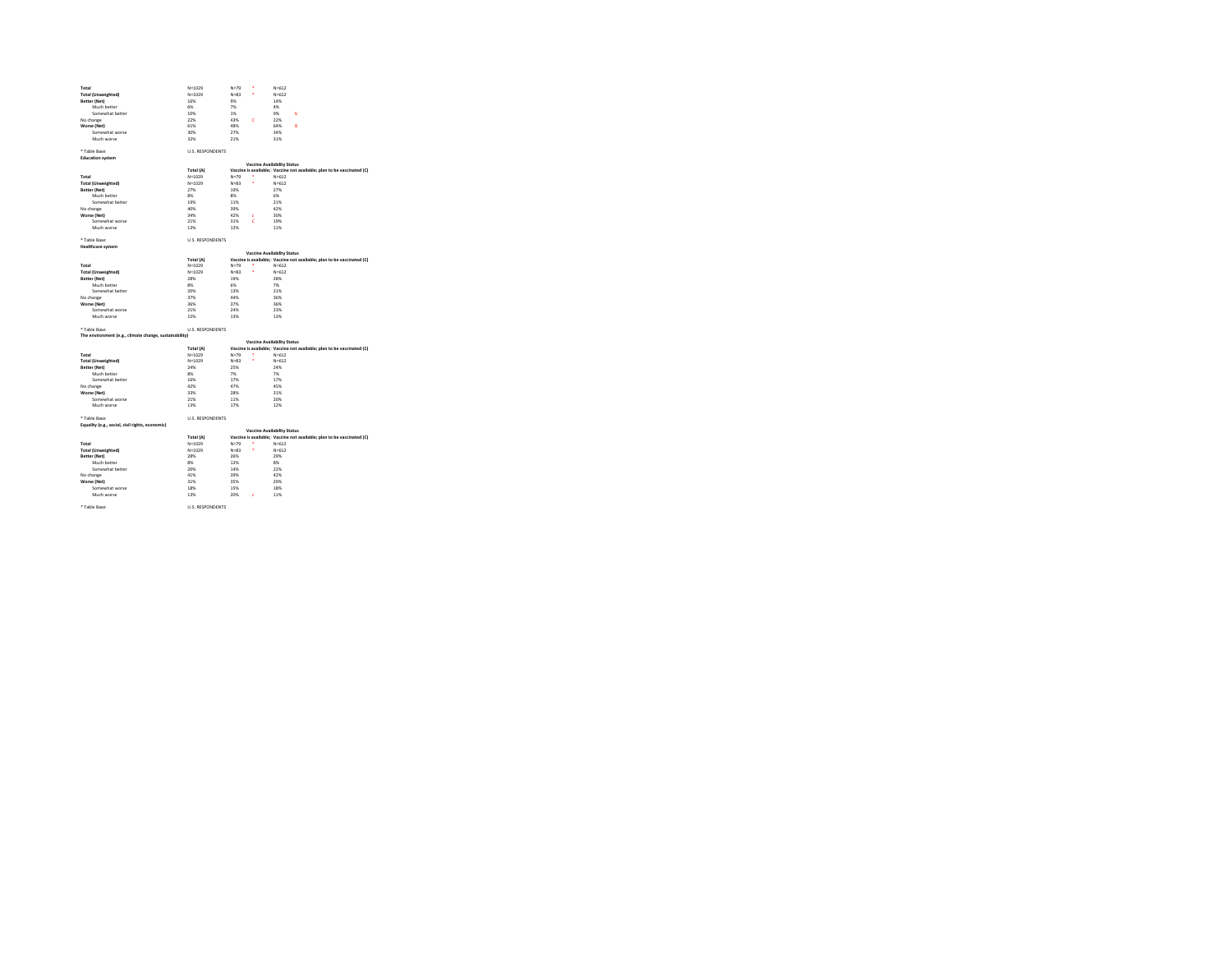| Total                                                                                                                                                                                                                         | $N = 1029$               | $N = 79$              |           |                                                                                     |
|-------------------------------------------------------------------------------------------------------------------------------------------------------------------------------------------------------------------------------|--------------------------|-----------------------|-----------|-------------------------------------------------------------------------------------|
|                                                                                                                                                                                                                               |                          |                       | ×         | $N = 612$                                                                           |
| <b>Total (Unweighted)</b>                                                                                                                                                                                                     | $N = 1029$               | $N = 83$              | ×         | $N = 612$                                                                           |
| Better (Net)                                                                                                                                                                                                                  | 16%                      | <b>Q</b> <sub>K</sub> |           | 14%                                                                                 |
| Much hattar                                                                                                                                                                                                                   | <b>CNC</b>               | 7%                    |           | 4%                                                                                  |
| Somewhat better                                                                                                                                                                                                               | 10%                      | 1%                    |           | 9%<br>Ь                                                                             |
| No change                                                                                                                                                                                                                     | 22%                      | 43%                   | ċ         | 22%                                                                                 |
| Worse (Net)                                                                                                                                                                                                                   | 61%                      | A DIV.                |           | 64%<br>Ŕ                                                                            |
| Somewhat worse                                                                                                                                                                                                                | 30%                      | 27%                   |           | 34%                                                                                 |
| Much worse                                                                                                                                                                                                                    | 32%                      | 21%                   |           | 31%                                                                                 |
|                                                                                                                                                                                                                               |                          |                       |           |                                                                                     |
| * Table Base:                                                                                                                                                                                                                 | <b>U.S. RESPONDENTS</b>  |                       |           |                                                                                     |
| <b>Education system</b>                                                                                                                                                                                                       |                          |                       |           |                                                                                     |
|                                                                                                                                                                                                                               |                          |                       |           | <b>Vaccine Availability Status</b>                                                  |
|                                                                                                                                                                                                                               | Total (A)                |                       |           | Vaccine is available; Vaccine not available; plan to be vaccinated (C)              |
|                                                                                                                                                                                                                               |                          | $N = 79$              | $\bullet$ | $N = 612$                                                                           |
| Total<br><b>Total (Unweighted)</b>                                                                                                                                                                                            | $N = 1029$<br>$N = 1029$ | $N = 83$              | ×         | $N = 612$                                                                           |
|                                                                                                                                                                                                                               | 27%                      | 19%                   |           | 27%                                                                                 |
| Better (Net)                                                                                                                                                                                                                  |                          |                       |           |                                                                                     |
| Much better                                                                                                                                                                                                                   | 8%                       | $8\%$                 |           | 6%                                                                                  |
| Somewhat better                                                                                                                                                                                                               | 19%                      | 11%                   |           | 21%                                                                                 |
| No change                                                                                                                                                                                                                     | 40%                      | 20M                   |           | 42%                                                                                 |
| Worse (Net)                                                                                                                                                                                                                   | 34%                      | 42%                   | ×         | 30%                                                                                 |
| Somewhat worse                                                                                                                                                                                                                | 21%                      | 31%                   | ċ         | 19%                                                                                 |
| Much worse                                                                                                                                                                                                                    | 13%                      | 12%                   |           | 11%                                                                                 |
|                                                                                                                                                                                                                               |                          |                       |           |                                                                                     |
| * Table Base:                                                                                                                                                                                                                 | <b>U.S. RESPONDENTS</b>  |                       |           |                                                                                     |
| <b>Healthcare system</b>                                                                                                                                                                                                      |                          |                       |           |                                                                                     |
|                                                                                                                                                                                                                               |                          |                       |           | <b>Vaccine Availability Status</b>                                                  |
|                                                                                                                                                                                                                               | Total (A)                |                       |           | Vaccine is available: Vaccine not available: plan to be vaccinated (C)              |
| Total                                                                                                                                                                                                                         | $N = 1029$               | $N = 79$              |           | $N = 612$                                                                           |
| <b>Total (Unweighted)</b>                                                                                                                                                                                                     | $N = 1029$               | $N = 83$              | ä         | $N = 612$                                                                           |
|                                                                                                                                                                                                                               |                          | 19%                   |           | 28%                                                                                 |
| Better (Net)                                                                                                                                                                                                                  | 28%                      |                       |           |                                                                                     |
| Much better                                                                                                                                                                                                                   | on:                      | CHC.                  |           | $7\%$<br>21%                                                                        |
| Somewhat better                                                                                                                                                                                                               | 20%                      | 13%                   |           |                                                                                     |
| No change                                                                                                                                                                                                                     | 37%                      | 44%                   |           | 36%                                                                                 |
|                                                                                                                                                                                                                               |                          |                       |           |                                                                                     |
|                                                                                                                                                                                                                               | 36%                      | 37%                   |           | 36%                                                                                 |
| Worse (Net)<br>Somewhat worse                                                                                                                                                                                                 | 21%                      | 24%                   |           | 2200                                                                                |
| Much worse                                                                                                                                                                                                                    | 15%                      | 13%                   |           | 13%                                                                                 |
|                                                                                                                                                                                                                               |                          |                       |           |                                                                                     |
|                                                                                                                                                                                                                               | <b>U.S. RESPONDENTS</b>  |                       |           |                                                                                     |
|                                                                                                                                                                                                                               |                          |                       |           |                                                                                     |
|                                                                                                                                                                                                                               |                          |                       |           | <b>Vaccine Availability Status</b>                                                  |
|                                                                                                                                                                                                                               | Total (A)                |                       |           | Vaccine is available; Vaccine not available; plan to be vaccinated (C)              |
|                                                                                                                                                                                                                               | $N = 1029$               | $N = 70$              | $\bullet$ | $N = 612$                                                                           |
|                                                                                                                                                                                                                               | $N = 1029$               | $N = 82$              | ٠         | $N = 612$                                                                           |
|                                                                                                                                                                                                                               | 24%                      | 25%                   |           | 24%                                                                                 |
| Much better                                                                                                                                                                                                                   | 8%                       | 7%                    |           | 7%                                                                                  |
| Somewhat better                                                                                                                                                                                                               | 16%                      | 17%                   |           | 17%                                                                                 |
|                                                                                                                                                                                                                               |                          | A <sub>7</sub> M      |           | <b>ASSO</b>                                                                         |
|                                                                                                                                                                                                                               | 42%<br>33%               | 20M                   |           | 2196                                                                                |
|                                                                                                                                                                                                                               |                          |                       |           |                                                                                     |
| Somewhat worse                                                                                                                                                                                                                | 21%                      | 11%                   |           | 20%                                                                                 |
| Much worse                                                                                                                                                                                                                    | 13%                      | 17%                   |           | 12%                                                                                 |
|                                                                                                                                                                                                                               |                          |                       |           |                                                                                     |
|                                                                                                                                                                                                                               | <b>U.S. RESPONDENTS</b>  |                       |           |                                                                                     |
| * Table Base:<br>The environment (e.g., climate change, sustainability)<br>Total<br><b>Total (Unweighted)</b><br>Better (Net)<br>No change<br>Worse (Net)<br>* Table Base:<br>Equality (e.g., social, civil rights, economic) |                          |                       |           |                                                                                     |
|                                                                                                                                                                                                                               |                          |                       |           | <b>Vaccine Availability Status</b>                                                  |
|                                                                                                                                                                                                                               | Total (A)                |                       |           |                                                                                     |
|                                                                                                                                                                                                                               | $N = 1029$               | $N = 79$              |           | $N = 612$                                                                           |
|                                                                                                                                                                                                                               | $N = 1029$               | $N = 83$              | ×         | Vaccine is available: Vaccine not available: plan to be vaccinated (C)<br>$N = 612$ |
|                                                                                                                                                                                                                               | 28%                      | 26%                   |           | 29%                                                                                 |
| Much better                                                                                                                                                                                                                   | 8%                       | 12%                   |           | 8%                                                                                  |
| Somewhat better                                                                                                                                                                                                               | 20%                      | 1.6%                  |           | 22%                                                                                 |
|                                                                                                                                                                                                                               | 41%                      | 39%                   |           | 42%                                                                                 |
|                                                                                                                                                                                                                               | 31%                      | 35%                   |           | 29%                                                                                 |
| Total<br><b>Total (Unweighted)</b><br>Better (Net)<br>No change<br>Worse (Net)<br>Somewhat worse                                                                                                                              | 18%                      | 15%                   |           | 18%                                                                                 |
| Much worse                                                                                                                                                                                                                    | 13%                      | 20%                   | ċ         | 11%                                                                                 |
|                                                                                                                                                                                                                               |                          |                       |           |                                                                                     |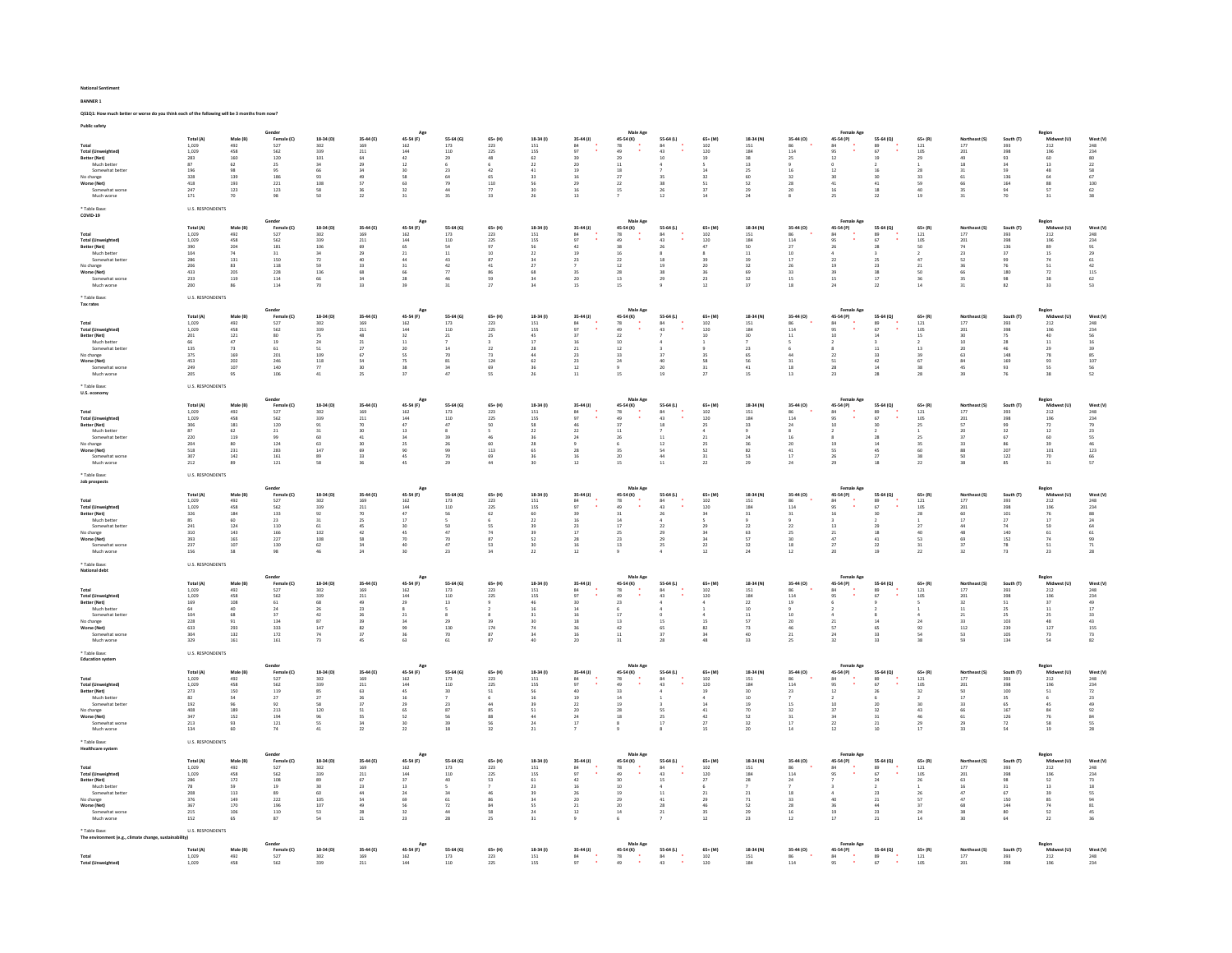| Public safety                                                                                                                                                    |                                                                                                                                               |                                                                                               |                                                                                                                                            |                                                                                      |                                                                                                             |                                                                                                                  |                                                                                                              |                                                                                   |                                                                                                                    |                                                                                                    |                                                                                                         |                                                                                                                                |                                                                                                                                             |                                                                                          |                                                                                                          |                                                                                                                                 |                                                                                                                                                         |                                                                                             |                                                                                                                             |                                                                                      |                                                                                                                                                                                 |                                                                                                 |
|------------------------------------------------------------------------------------------------------------------------------------------------------------------|-----------------------------------------------------------------------------------------------------------------------------------------------|-----------------------------------------------------------------------------------------------|--------------------------------------------------------------------------------------------------------------------------------------------|--------------------------------------------------------------------------------------|-------------------------------------------------------------------------------------------------------------|------------------------------------------------------------------------------------------------------------------|--------------------------------------------------------------------------------------------------------------|-----------------------------------------------------------------------------------|--------------------------------------------------------------------------------------------------------------------|----------------------------------------------------------------------------------------------------|---------------------------------------------------------------------------------------------------------|--------------------------------------------------------------------------------------------------------------------------------|---------------------------------------------------------------------------------------------------------------------------------------------|------------------------------------------------------------------------------------------|----------------------------------------------------------------------------------------------------------|---------------------------------------------------------------------------------------------------------------------------------|---------------------------------------------------------------------------------------------------------------------------------------------------------|---------------------------------------------------------------------------------------------|-----------------------------------------------------------------------------------------------------------------------------|--------------------------------------------------------------------------------------|---------------------------------------------------------------------------------------------------------------------------------------------------------------------------------|-------------------------------------------------------------------------------------------------|
| <b>Total (Unweighted)</b><br>Better (Net)<br>Much bette<br>Somewhat bette<br>No change<br>Worse (Net)<br>Somewha<br>Much worse                                   | Total (A)<br>1,029<br>1.029<br>283<br>$^{\rm 87}$<br>196<br>$\frac{328}{418}$<br>$\bf 247$<br>171                                             | Male (B)<br>492<br>458<br>160<br>$62\,$<br>98<br>139<br>193<br>$123\,$<br>70                  | Female (C)<br>527<br>562<br>120<br>25<br>95<br>$\frac{186}{221}$<br>$123\,$<br>98                                                          | 18-34 (D)<br>302<br>339<br>101<br>34<br>66<br>$\frac{93}{108}$<br>58<br>50           | 35-44 (E)<br>$\frac{169}{211}$<br>$\overline{64}$<br>29<br>34<br>$\frac{49}{57}$<br>36<br>22                | 45-54 (F)<br>$\frac{162}{144}$<br>42<br>$12\,$<br>30<br>58<br>63<br>$_{32}$<br>31                                | 55-64 (G)<br>$\frac{173}{110}$<br>29<br>23<br>79<br>44<br>35                                                 | $65 + (H)$<br>223<br>225<br>48<br>6<br>42<br>65<br>110<br>$_{\rm 77}$<br>33       | 18-34 (f)<br>$151$<br>$155$<br>$62$<br>$_{22}$<br>41<br>30                                                         | 35-44 (J)<br>$\frac{84}{97}$<br>39<br>$\overline{20}$<br>19<br>29<br>16<br>13 <sup>°</sup>         | 45-54 (K)<br>$78$<br>$49$<br>29<br>$11\,$<br>$18\,$<br>22<br>15                                         | 55-64 (L)<br>$\begin{array}{c} 84 \\ 43 \\ 10 \end{array}$<br>35<br>38<br>26<br>12                                             | $65+ (M)$<br>$102\,$<br>120<br>19<br>14<br>$\begin{array}{c} 32 \\ 51 \end{array}$<br>37<br>14                                              | 18-34 (N)<br>$\bf 151$<br>184<br>38<br>13<br>25<br>60<br>52<br>29<br>24                  | 35-44 (0)<br>86<br>114<br>25<br>16<br>28<br>20                                                           | 45-54 (P)<br>$\overline{12}$<br>$12\,$<br>$\begin{array}{c} 30 \\ 41 \end{array}$<br>$16\,$<br>25                               | 55-64 (Q)<br>$\begin{array}{c} 89 \\ 67 \end{array}$<br>19<br>16<br>$\begin{array}{c} 30 \\ 41 \end{array}$<br>$^{\rm 18}$<br>22                        | $65 + (R)$<br>$121\,$<br>105<br>29<br>28<br>59<br>40<br>19                                  | Northeast (S)<br>$\frac{177}{201}$<br>18<br>31<br>66<br>31                                                                  | South (T)<br>393<br>398<br>93<br>34<br>59<br>136<br>164<br>94<br>70                  | Region<br>Midwest (U)<br>212<br>196<br>60<br>$13\,$<br>48<br>$\begin{array}{c} 64 \\ 88 \end{array}$<br>${\sf 57}$<br>31                                                        | West (V)<br>248<br>234<br>22<br>80<br>22<br>58<br>67<br>100<br>62<br>38                         |
| * Table Base<br>COVID-19                                                                                                                                         | <b>U.S. RESPONDENTS</b>                                                                                                                       |                                                                                               |                                                                                                                                            |                                                                                      |                                                                                                             |                                                                                                                  |                                                                                                              |                                                                                   |                                                                                                                    |                                                                                                    |                                                                                                         |                                                                                                                                |                                                                                                                                             |                                                                                          |                                                                                                          |                                                                                                                                 |                                                                                                                                                         |                                                                                             |                                                                                                                             |                                                                                      |                                                                                                                                                                                 |                                                                                                 |
| Total<br><b>Total (Unweighted)</b><br>Better (Net)<br>Much better<br>Somewhat b<br>No change<br>Worse (Net)<br>Somewhat worse<br>Much worse<br><b>Table Base</b> | Total (A)<br>$\begin{array}{c} 1,029 \\ 1,029 \end{array}$<br>$\frac{390}{104}$<br>286<br>206<br>433<br>233<br>200<br><b>U.S. RESPONDENTS</b> | Male (B)<br>492<br>458<br>$\bf 204$<br>74<br>$131$<br>83<br>205<br>119<br>86                  | Gender<br>ender<br>Female (C)<br>527<br>562<br>181<br>31<br>150<br>118<br>$_{\rm 228}$<br>114<br>114                                       | 18-34 (D)<br>302<br>339<br>106<br>34<br>$\overline{72}$<br>59<br>136<br>66<br>70     | 35-44 (E)<br>169<br>$^{211}$<br>69<br>29<br>40<br>33<br>68<br>24<br>33                                      | Ago<br>45-54 (F)<br>$\frac{162}{144}$<br>21<br>$_{\rm 44}$<br>31<br>66<br>28<br>39                               | 55-64 (G)<br>$\begin{array}{c} 173 \\ 110 \end{array}$<br>54<br>11<br>43<br>42<br>77<br>46<br>31             | $65+ (H)$<br>223<br>225<br>10<br>$\overline{\mathbf{S}7}$<br>41<br>86<br>59<br>27 | 18-34 (1)<br>$\begin{array}{c} 151 \\ 155 \end{array}$<br>$\frac{56}{22}$<br>27<br>24                              | 35-44 (J)<br>$\begin{array}{c} 84 \\ 97 \end{array}$<br>$42\,$<br>19<br>23<br>$20 -$<br>15         | Male Age<br>45-54 (K)<br>$78$<br>$49$<br>$38$<br>$16$<br>$\overline{22}$<br>12<br>28<br>13<br>15        | 55-64 (L)<br>$84$<br>$43$<br>$26$<br>$8$<br>19<br>38<br>29                                                                     | $65+ (M)$<br>$\begin{array}{c} 102 \\ 120 \end{array}$<br>20<br>23<br>12                                                                    | 18-34 (N)<br>$\frac{151}{184}$<br>11<br>39<br>32<br>69<br>32<br>37                       | 35-44 (0)<br>86<br>114<br>$\boldsymbol{27}$<br>10<br>$17\,$<br>26<br>33<br>15<br>18                      | 45-54 (P)<br>$^{84}$<br>$\frac{1}{95}$<br>26<br>$\overline{22}$<br>19<br>39<br>15<br>24                                         | 55-64 (Q)<br>$\begin{array}{c} 89 \\ 67 \end{array}$<br>28<br>23<br>38<br>17<br>22                                                                      | $65 + (R)$<br>$\begin{array}{c} 121 \\ 105 \end{array}$<br>SO<br>47<br>21<br>36<br>14       | Northeast (S)<br>177<br>201<br>$^{\rm 74}$<br>23<br>52<br>36<br>35<br>31                                                    | South (T)<br>393<br>398<br>136<br>136<br>99<br>76<br>180<br>98<br>82                 | Region<br>Midwest (U)<br>212<br>196<br>89<br>15<br>74<br>74<br>51<br>$\overline{72}$<br>$_{38}$<br>33                                                                           | West (V)<br>248<br>234<br>29<br>29<br>61<br>29<br>42<br>42<br>42<br>52<br>53                    |
|                                                                                                                                                                  |                                                                                                                                               |                                                                                               | Gender                                                                                                                                     |                                                                                      |                                                                                                             | Age                                                                                                              |                                                                                                              |                                                                                   |                                                                                                                    |                                                                                                    | Male Age                                                                                                |                                                                                                                                |                                                                                                                                             |                                                                                          |                                                                                                          | Female Ago                                                                                                                      |                                                                                                                                                         |                                                                                             |                                                                                                                             |                                                                                      |                                                                                                                                                                                 |                                                                                                 |
| Total<br><b>Total (Unweighted</b><br>Better (Net)<br>Much bette<br>Somewhat bette<br>No change<br>Worse (Net)<br>Somewhat worse<br>Much worse                    | Total (A)<br>1.029<br>1,029<br>$\frac{201}{66}$<br>135<br>375<br>453<br>249<br>205                                                            | Male (B)<br>492<br>458<br>$\begin{array}{c} 121 \\ 47 \end{array}$<br>73<br>169<br>202<br>107 | Female (C)<br>527<br>562<br>80<br>19<br>61<br>201<br>246<br>140<br>106                                                                     | 18-34 (D)<br>302<br>339<br>$75$<br>$24$<br>51<br>109<br>$^{\rm 118}$<br>77<br>$41\,$ | 35-44 (E)<br>169<br>$\mathbf{211}$<br>$\begin{array}{c} 48 \\ 21 \end{array}$<br>27<br>67<br>54<br>30<br>25 | 45-54 (F)<br>$\begin{array}{c} 162 \\ 144 \end{array}$<br>32<br>20<br>ss.<br>75<br>38<br>37                      | 55-64 (G)<br>$\begin{array}{c} 173 \\ 110 \end{array}$<br>$\ensuremath{\mathsf{21}}$<br>14<br>70<br>81<br>34 | $65+ (H)$<br>223<br>225<br>$\frac{25}{3}$<br>22<br>$\overline{73}$<br>124<br>69   | 18-34 (1)<br>$\frac{151}{155}$<br>$\frac{45}{17}$<br>28<br>62                                                      | 35-44 (J)<br>$\begin{array}{c} 84 \\ 97 \end{array}$<br>37<br>$\bf{21}$<br>$_{\rm 23}$<br>23<br>12 | 45-54 (K)<br>78<br>49<br>$\begin{array}{c} 22 \\ 10 \end{array}$<br>$12\,$<br>33<br>24                  | 55-64 (L)<br>84<br>43<br>37<br>$\begin{array}{c} 40 \\ 20 \end{array}$<br>19                                                   | $65+ (M)$<br>$\begin{array}{c} 102 \\ 120 \end{array}$<br>10<br>58<br>31                                                                    | 18-34 (N)<br>151<br>184<br>30 <sub>1</sub><br>23<br>65<br>56<br>$41\,$<br>15             | 35-44 (0)<br>86<br>114<br>$11\,$<br>44<br>$_{\rm 31}$<br>18<br>$13\,$                                    | 45-54 (P)<br>84<br>95<br>10<br>$\overline{\bf 22}$<br>$\begin{array}{c} 51 \\ 28 \end{array}$<br>$23\,$                         | 55-64 (Q)<br>$\begin{array}{c} 89 \\ 67 \end{array}$<br>14<br>$\begin{array}{c} 11 \\ 33 \end{array}$<br>$\begin{array}{c} 42 \\ 14 \end{array}$        | $65 + (R)$<br>$\begin{array}{c} 121 \\ 105 \end{array}$<br>15<br>13<br>39<br>67<br>38<br>28 | Northeast (S)<br>$\begin{array}{c} 177 \\ 201 \end{array}$<br>$\begin{array}{c} 30 \\ 10 \end{array}$<br>20<br>$63\,$<br>45 | South (T)<br>393<br>398<br>75<br>46<br>148<br>169<br>93                              | Region<br>Midwa<br>212<br>196<br>40<br>11<br>20<br>$\begin{array}{c} 29 \\ 78 \end{array}$<br>93<br>55<br>38                                                                    | West (V<br>248<br>234<br>56<br>56<br>59<br>85<br>107<br>56<br>52                                |
| ble Base<br>U.S. economy                                                                                                                                         | <b>U.S. RESPONDENTS</b>                                                                                                                       |                                                                                               |                                                                                                                                            |                                                                                      |                                                                                                             |                                                                                                                  |                                                                                                              |                                                                                   |                                                                                                                    |                                                                                                    |                                                                                                         |                                                                                                                                |                                                                                                                                             |                                                                                          |                                                                                                          |                                                                                                                                 |                                                                                                                                                         |                                                                                             |                                                                                                                             |                                                                                      |                                                                                                                                                                                 |                                                                                                 |
| Total<br><b>Total (Unweighted)</b><br>Better (Net)<br>Much better<br>Somewhat bette<br>No change<br>Worse (Net)<br>Somewhat<br>Much worse                        | <b>Total (A)</b><br>1,029<br>1.029<br>306<br>87<br>220<br>$\frac{204}{518}$<br>307<br>212                                                     | Male (B)<br>492<br>458<br>$\overline{181}$<br>62<br>119<br>231<br>$142\,$<br>89               | Female (C)<br>527<br>562<br>120<br>$\bf{21}$<br>99<br>124<br>283<br>161<br>121                                                             | 18-34 (D)<br>302<br>339<br>91<br>31<br>60<br>$\frac{63}{147}$<br>89<br>58            | 35-44 (E)<br>169<br>211<br>70<br>30<br>41<br>$rac{30}{69}$<br>33<br>36                                      | 45-54 (F)<br>162<br>144<br>$47\,$<br>13<br>34<br>$rac{25}{90}$<br>45<br>45                                       | 55-64 (G)<br>173<br>110<br>47<br>39<br>$rac{26}{99}$<br>70<br>29                                             | $65 + (H)$<br>223<br>225<br>50<br>46<br>$60$<br>113<br>44                         | 18-34 (1)<br>151<br>155<br>58<br>$\bf{22}$<br>36<br>28<br>65                                                       | 35-44 (J)<br>$^{\rm 84}$<br>97<br>46<br>$\bf{22}$<br>24<br>28<br>12                                | 45-54 (K)<br>78<br>$\begin{array}{c} 49 \\ 37 \end{array}$<br>$11\,$<br>26<br>35<br>20<br>15            | 55-64 (L)<br>$\begin{array}{c} 84 \\ 43 \\ 18 \end{array}$<br>11<br>54<br>$\bf 44$<br>11                                       | $65 + (M)$<br>$102\,$<br>120<br>25<br>21<br>$\frac{25}{52}$<br>31<br>22                                                                     | 18-34 (N)<br>151<br>184<br>33<br>24<br>$\frac{36}{82}$<br>53<br>29                       | 35-44 (0)<br>86<br>114<br>24<br>16<br>$\begin{array}{c} 20 \\ 41 \end{array}$<br>$17\,$<br>24            | 45-54 (P)<br>84<br>95<br>10<br>19<br>55<br>26<br>29                                                                             | 55-64 (Q)<br>89<br>67<br>30<br>28<br>45<br>27<br>18                                                                                                     | $65 + (R)$<br>$121\,$<br>105<br>25<br>25<br>35<br>60<br>22                                  | Northeast (S)<br>$\begin{array}{c} 177 \\ 201 \\ 57 \end{array}$<br>20<br>37<br>88<br>SO<br>38                              | South (T)<br>393<br>398<br>99<br>32<br>67<br>86<br>207<br>122<br>85                  | Region<br>Midwest (U)<br>$_{\rm 212}$<br>196<br>72<br>12<br>60<br>$39$<br>$101$<br>$70\,$<br>31                                                                                 | West (V<br>248<br>234<br>79<br>23<br>55<br>46<br>123<br>66<br>57                                |
| * Table Rase<br>Job prospects                                                                                                                                    | <b>U.S. RESPONDENTS</b>                                                                                                                       |                                                                                               |                                                                                                                                            |                                                                                      |                                                                                                             |                                                                                                                  |                                                                                                              |                                                                                   |                                                                                                                    |                                                                                                    |                                                                                                         |                                                                                                                                |                                                                                                                                             |                                                                                          |                                                                                                          |                                                                                                                                 |                                                                                                                                                         |                                                                                             |                                                                                                                             |                                                                                      |                                                                                                                                                                                 |                                                                                                 |
| Total<br><b>Total (Unweighted)</b><br>Better (Net)<br>Much better<br>Somewhat be<br>No change<br>Worse (Net)<br>Somewhat we<br>Much worse                        | Total (A)<br>$\begin{array}{c} 1,029 \\ 1,029 \end{array}$<br>326<br>85<br>$^{241}$<br>310<br>393<br>237<br>156                               | Male (B)<br>$492$<br>$458$<br>$\bf 184$<br>60<br>124<br>143<br>$165\,$<br>107                 | Gender<br>Female (C)<br>$527$<br>$562$<br>$122$<br>$\begin{array}{c} 133 \\ 23 \end{array}$<br>110<br>166<br>227<br>130<br>$\overline{58}$ | 18-34 (D)<br>302<br>339<br>92<br>31<br>102<br>$_{\rm 108}$<br>$\frac{62}{46}$        | 35-44 (E)<br>$\frac{169}{211}$<br>$70$<br>25<br>$\frac{45}{42}$<br>58<br>$\frac{34}{24}$                    | Ap<br>45-54 (F)<br>$\frac{162}{144}$<br>$47\,$<br>17<br>45<br>70<br>$\frac{40}{30}$                              | 55-64 (G)<br>$\frac{173}{110}$<br>${\sf s6}$<br>47<br>70<br>47                                               | $65 + (H)$<br>223<br>225<br>62<br>ĥ.<br>74<br>87<br>53<br>34                      | 18-34 (1)<br>$\begin{array}{c} 151 \\ 155 \end{array}$<br>60<br>22<br>39<br>52                                     | $35-44$ (J)<br>84<br>97<br>16<br>17<br>28<br>16                                                    | Male Ag<br>45-54 (K)<br>78<br>49<br>14<br>17<br>25<br>$_{\rm 23}$<br>13                                 | 55-64 (L)<br>84<br>43<br>$\frac{26}{4}$<br>$_{22}$<br>29<br>29<br>$_4^{25}$                                                    | $65+ (M)$<br>$\begin{array}{c} 102 \\ 120 \end{array}$<br>$_{\rm 34}$<br>34<br>$\overline{34}$<br>$\begin{array}{c} 22 \\ 12 \end{array}$   | 18-34 (N)<br>$\frac{151}{184}$<br>$_{\rm 31}$<br>$\overline{22}$<br>63<br>57<br>32       | 35-44 (0)<br>86<br>114<br>$\bf{22}$<br>25<br>30<br>$\begin{array}{c} 18 \\ 12 \end{array}$               | Female Age<br>45-54 (P)<br>84<br>95<br>13<br>$\begin{array}{c} 21 \\ 47 \end{array}$<br>$\begin{array}{c} 27 \\ 20 \end{array}$ | 55-64 (Q)<br>89<br>67<br>$\begin{array}{c} 18 \\ 41 \end{array}$<br>$\begin{array}{c} 22 \\ 19 \end{array}$                                             | $65+ (R)$<br>121<br>105<br>$_{28}$<br>$\mathbf{1}$<br>40<br>53<br>31                        | Northeast (S)<br>177<br>201<br>$\frac{60}{17}$<br>48<br>$69\,$<br>37                                                        | South (T)<br>393<br>398<br>101<br>27<br>74<br>140<br>152<br>78<br>73                 | Region<br>Midwest (U)<br>$212$<br>$196$<br>$\frac{76}{17}$<br>59<br>$\begin{array}{c} 61 \\ 74 \end{array}$<br>$\frac{51}{23}$                                                  | West (V)<br>248<br>234<br>234<br>28<br>24<br>64<br>61<br>99<br>71<br>28                         |
| <b>Table Base</b><br>National debt                                                                                                                               | <b>U.S. RESPONDENTS</b>                                                                                                                       |                                                                                               |                                                                                                                                            |                                                                                      |                                                                                                             |                                                                                                                  |                                                                                                              |                                                                                   |                                                                                                                    |                                                                                                    |                                                                                                         |                                                                                                                                |                                                                                                                                             |                                                                                          |                                                                                                          |                                                                                                                                 |                                                                                                                                                         |                                                                                             |                                                                                                                             |                                                                                      |                                                                                                                                                                                 |                                                                                                 |
| Total<br><b>Total (Unweighted)</b><br>Better (Net)<br>Much bette<br>Somewhat bett<br>No change<br>Worse (Net)<br>Somewhat worse<br>Much worse                    | Total (A)<br>1.029<br>1,029<br>169<br>64<br>104<br>228<br>633<br>304<br>329                                                                   | Male (B)<br>492<br>458<br>108<br>68<br>91<br>293<br>132<br>161                                | Gender<br>Fremale (C)<br>527<br>562<br>54<br>61<br>24<br>37<br>134<br>333<br>172<br>161                                                    | 18-34 (D)<br>302<br>339<br>$\frac{68}{26}$<br>42<br>87<br>$147\,$<br>74<br>73        | 35-44 (E)<br>169<br>$_{\rm 211}$<br>$^{49}_{23}$<br>26<br>$\overline{39}$<br>$^{\rm 82}$<br>37<br>45        | Age<br>45-54 (F)<br>162<br>144<br>$_{\rm 29}^{29}$<br>21<br>$_{\rm 34}$<br>99<br>36<br>63                        | 55-64 (G)<br>173<br>110<br>13<br>29<br>130<br>70<br>61                                                       | $65 + (H)$<br>223<br>225<br>39<br>$_{\rm 174}$<br>87<br>87                        | 18-34 (1)<br>151<br>155<br>$\begin{array}{c} 46 \\ 16 \end{array}$<br>31<br>30<br>$^{\rm 74}$<br>34                | 35-44 (J)<br>$\begin{array}{c} 84 \\ 97 \end{array}$<br>16<br>18<br>36<br>$16\,$                   | Male Age<br>45-54 (K)<br>78<br>49<br>$^{23}_{\ 6}$<br>17<br>13<br>42<br>$11\,$                          | 55-64 (L)<br>84<br>43<br>15<br>65<br>37<br>28                                                                                  | $65+ (M)$<br>102<br>$120\,$<br>15<br>$^{\rm 82}$<br>34<br>48                                                                                | 18-34 (N)<br>151<br>184<br>22<br>$\overline{10}$<br>$11\,$<br>57<br>$73\,$<br>40<br>33   | 35-44 (0)<br>86<br>114<br>$\begin{array}{c} 19 \\ 9 \end{array}$<br>$10$<br>$20\,$<br>$46\,$<br>21<br>25 | Female Ago<br>45-54 (P)<br>84<br>$\frac{1}{95}$<br>$21\,$<br>57<br>24<br>32                                                     | 55-64 (Q)<br>89<br>67<br>14<br>65<br>33<br>33                                                                                                           | $65 + (R)$<br>121<br>105<br>24<br>92<br>54                                                  | Northe<br>$177$<br>$201\,$<br>$\frac{32}{11}$<br>21<br>33<br>$112\,$<br>53                                                  | South (T)<br>393<br>398<br>51<br>25<br>$25\,$<br>103<br>239<br>105<br>134            | Region<br>$Midw$<br>$212$<br>$196$<br>$37$<br>$11$<br>$25$<br>$\frac{25}{48}$<br>$127\,$<br>73<br>54                                                                            | West (V<br>$\begin{array}{r} 248 \\ 234 \\ 49 \\ 17 \\ 33 \\ 43 \\ 155 \\ 73 \end{array}$<br>82 |
| * Table Base<br><b>Education syster</b>                                                                                                                          | <b>U.S. RESPONDENTS</b>                                                                                                                       |                                                                                               |                                                                                                                                            |                                                                                      |                                                                                                             |                                                                                                                  |                                                                                                              |                                                                                   |                                                                                                                    |                                                                                                    |                                                                                                         |                                                                                                                                |                                                                                                                                             |                                                                                          |                                                                                                          |                                                                                                                                 |                                                                                                                                                         |                                                                                             |                                                                                                                             |                                                                                      |                                                                                                                                                                                 |                                                                                                 |
| Total<br><b>Total (Unweighted)</b><br>Better (Net)<br>Much better<br>Somewhat bette<br>No change<br>Worse (Net)<br>Much worse                                    | Total (A)<br>1,029<br>1.029<br>273<br>$^{\rm 82}$<br>192<br>408<br>347<br>213<br>134                                                          | Male (B)<br>492<br>458<br>150<br>54<br>189<br>152<br>60                                       | Gender<br>Female (C)<br>527<br>562<br>119<br>$\frac{27}{92}$<br>213<br>194<br>$121$<br>74                                                  | 18-34 (D)<br>302<br>339<br>85<br>$\boldsymbol{27}$<br>58<br>120<br>96<br>41          | 35-44 (E)<br>169<br>211<br>63<br>$\frac{26}{37}$<br>51<br><sub>SS</sub><br>34<br>22                         | Age<br>45-54 (F)<br>$\begin{array}{c} 162 \\ 144 \end{array}$<br>45<br>$16\,$<br>29<br>55<br>52<br>30<br>22      | 55-64 (G)<br>$173\,$<br>110<br>30<br>23<br>$\overline{37}$<br>56<br>18                                       | $65 + (H)$<br>223<br>225<br>51<br>44<br>85<br>88<br>32                            | 18-34 (f)<br>$151\,$<br>155<br>16<br>51                                                                            | 35-44 (J)<br>$\frac{84}{97}$<br>19<br>22<br>24                                                     | Male Age<br>45-54 (K)<br>78<br>49<br>33<br>$^{14}$<br>19<br>28<br>$18\,$                                | 55-64 (L)<br>84<br>43<br>25<br>17                                                                                              | $65 + (M)$<br>$102\,$<br>120<br>19<br>14<br>$41\,$<br>42<br>$27$<br>15                                                                      | 18-34 (N)<br>$\bf 151$<br>184<br>30<br>10<br>19<br>52<br>32<br>20                        | 35-44 (0)<br>86<br>$114\,$<br>23<br>15<br>$\overline{32}$<br>31<br>$17$<br>14                            | <b>Female Age</b><br>45-54 (P)<br>$84$<br>95<br>12<br>10<br>$\overline{37}$<br>34<br>$\bf{22}$<br>12                            | 55-64 (Q)<br>$89$<br>67<br>20<br>$\overline{32}$<br>$\begin{array}{c} 31 \\ 21 \end{array}$                                                             | $65 + (R)$<br>$121\,$<br>105<br>32<br>30<br>43<br>46<br>29<br>17                            | Northeast (S)<br>$177\,$<br>201<br>50<br>$17\,$<br>33<br>61<br>33                                                           | South (T)<br>393<br>398<br>100<br>35<br>65<br>167<br>126<br>$\scriptstyle{72}$<br>54 | $\begin{array}{c} \mathsf{Region} \\ \mathsf{Midwest}\left(\mathsf{U}\right) \\ 212 \\ 196 \\ 51 \end{array}$<br>45<br>$^{84}$<br>76<br>$\begin{array}{c} 58 \\ 19 \end{array}$ | West (V<br>248<br>234<br>72<br>23<br>49<br>92<br>84<br>55<br>28                                 |
| * Table Rase<br>Healthcare syster                                                                                                                                | <b>U.S. RESPONDENTS</b>                                                                                                                       |                                                                                               |                                                                                                                                            |                                                                                      |                                                                                                             |                                                                                                                  |                                                                                                              |                                                                                   |                                                                                                                    |                                                                                                    |                                                                                                         |                                                                                                                                |                                                                                                                                             |                                                                                          |                                                                                                          |                                                                                                                                 |                                                                                                                                                         |                                                                                             |                                                                                                                             |                                                                                      |                                                                                                                                                                                 |                                                                                                 |
| Total<br><b>Total (Unweighted)</b><br>Better (Net)<br>Much better<br>Somewhat be<br>No change<br>Worse (Net)<br>Much worse                                       | Total (A)<br>1,029<br>1,029<br>$\frac{286}{78}$<br>208<br>376<br>367<br>215<br>152                                                            | Male (B)<br>492<br>458<br>$172\,$<br>59<br>$113\,$<br>149<br>170<br>106                       | Gender<br>Female (C)<br>527<br>562<br>108<br>19<br>89<br>222<br>196<br>110<br>87                                                           | 18-34 (D)<br>$302\,$<br>339<br>30<br>60<br>105<br>107<br>53<br>54                    | 35-44 (E)<br>$\frac{169}{211}$<br>67<br>23<br>$\overline{a}$<br>54<br>49<br>$\frac{28}{21}$                 | 45-54 (F)<br>$\frac{162}{144}$<br>37<br>13<br>$_{\rm 24}$<br>69<br>56<br>$\begin{array}{c} 32 \\ 23 \end{array}$ | 55-64 (G)<br>$\begin{array}{c} 173 \\ 110 \end{array}$<br>40<br>$\sim$<br>34<br>61<br>$\overline{72}$<br>44  | $65 + (H)$<br>223<br>225<br>86<br>$\mathbf{84}$<br>$\frac{58}{25}$                | 18-34 (f)<br>$\begin{array}{c} 151 \\ 155 \end{array}$<br>61<br>23<br>$\overline{39}$<br>34<br>SS<br>$rac{24}{31}$ | 35-44 (J)<br>84<br>97<br>42<br>16<br>$\overline{26}$<br>20<br>$21\,$<br>$12\,$                     | Male Ag<br>45-54 (K)<br>78<br>49<br>30<br>10<br>19<br>$\begin{array}{c} 29 \\ 20 \end{array}$<br>$14\,$ | 55-64 (L)<br>$\begin{array}{c} 84 \\ 43 \end{array}$<br>$15\,$<br>$\ddot{a}$<br>$11\,$<br>$41\,$<br>$\bf 28$<br>$\frac{21}{1}$ | $65+ (M)$<br>$\begin{array}{c} 102 \\ 120 \end{array}$<br>$\sqrt{27}$<br>$21\,$<br>$rac{29}{46}$<br>$\begin{array}{c} 35 \\ 12 \end{array}$ | 18-34 (N)<br>$\frac{151}{184}$<br>28<br>$_{\rm 21}$<br>$71\,$<br>$52\,$<br>$rac{29}{23}$ | 35-44 (0)<br>86<br>114<br>$18\,$<br>33<br>28<br>$\begin{array}{c} 16 \\ 12 \end{array}$                  | 45-54 (P)<br>$^{\rm 84}$<br>95<br>40<br>36<br>$\frac{19}{17}$                                                                   | 55-64 (Q)<br>$\begin{array}{c} 89 \\ 67 \end{array}$<br>$\overline{2}$<br>$\overline{23}$<br>$\frac{21}{44}$<br>$\begin{array}{c} 23 \\ 21 \end{array}$ | $65+ (R)$<br>121<br>105<br>26<br>57<br>37<br>$\frac{24}{14}$                                | Northeast (S)<br>177<br>201<br>63<br>16<br>47<br>68                                                                         | South (T)<br>393<br>398<br>98<br>31<br>67<br>150<br>144<br>80<br>64                  | Region<br>Midwest (U)<br>212<br>196<br>52<br><br>$\frac{13}{39}$<br>$\frac{85}{74}$<br>$\frac{52}{22}$                                                                          | West (V<br>248<br>234<br>73<br>73<br>18<br>55<br>94<br>81<br><i>47</i><br>$\frac{45}{36}$       |
| Table Base:                                                                                                                                                      | <b>U.S. RESPONDENTS</b>                                                                                                                       |                                                                                               |                                                                                                                                            |                                                                                      |                                                                                                             |                                                                                                                  |                                                                                                              |                                                                                   |                                                                                                                    |                                                                                                    |                                                                                                         |                                                                                                                                |                                                                                                                                             |                                                                                          |                                                                                                          |                                                                                                                                 |                                                                                                                                                         |                                                                                             |                                                                                                                             |                                                                                      |                                                                                                                                                                                 |                                                                                                 |
| Total                                                                                                                                                            | Total (A)<br>1.029<br>1.029                                                                                                                   | Male (B)<br>492<br>458                                                                        | Gender<br>Female (C)<br>527<br>562                                                                                                         | 18-34 (D)<br>302<br>339                                                              | 35-44 (E)<br>169<br>211                                                                                     | Age<br>45-54 (F)<br>162<br>144                                                                                   | 55-64 (G)<br>173<br>110                                                                                      | $65+ (H)$<br>223<br>225                                                           | 18-34 (1)<br>151<br>155                                                                                            | 35-44 (J)<br>84                                                                                    | Male Age<br>45-54 (K)<br>78                                                                             | 55-64 (L)<br>84<br>43                                                                                                          | 65+ (M)<br>102<br>120                                                                                                                       | 18-34 (N)<br>151<br>184                                                                  | 35-44 (0)<br>86<br>114                                                                                   | <b>Female Age</b><br>45-54 (P)<br>84<br>95                                                                                      | 55-64 (Q)<br>$89$<br>67                                                                                                                                 | $65 + (R)$<br>121<br>105                                                                    | Northeast (S)<br>177<br>201                                                                                                 | South (T)<br>393<br>398                                                              | Region<br>$Midw$<br>$212$<br>$196$                                                                                                                                              |                                                                                                 |

National Sentiment

BANNER 1

QS1Q1: How much better or worse do you think each of the following will be 3 months from now?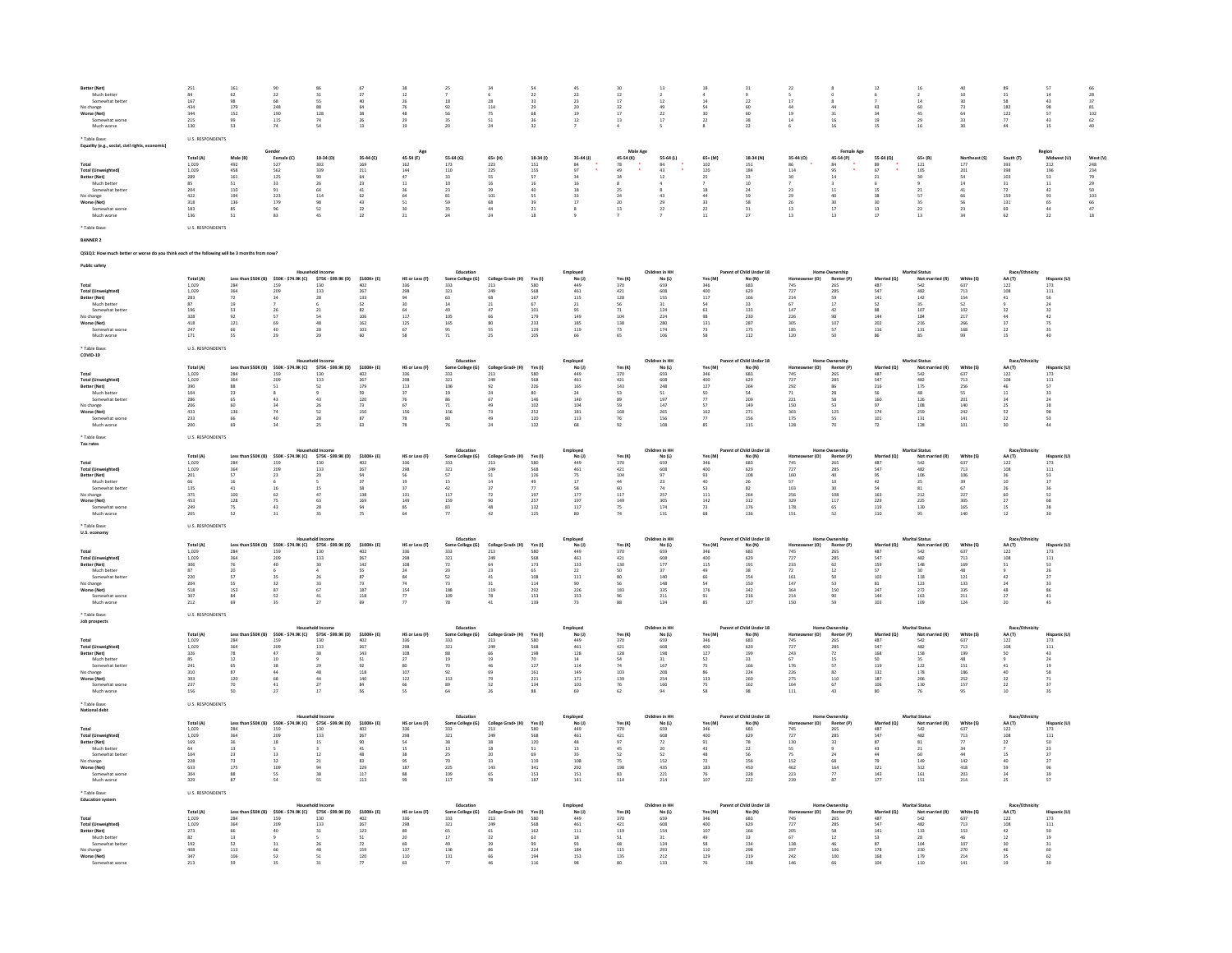| Better (Net)                                     | 251                                           | $161\,$                                                             |                         |                                                                                |                         |                                           | 25                                      |                           |                       |                      |                                           |                            |                                           |                                         |                                                 |                                           |                                                   |                                           |                                           |                                         |                                                                                  |                                                     |
|--------------------------------------------------|-----------------------------------------------|---------------------------------------------------------------------|-------------------------|--------------------------------------------------------------------------------|-------------------------|-------------------------------------------|-----------------------------------------|---------------------------|-----------------------|----------------------|-------------------------------------------|----------------------------|-------------------------------------------|-----------------------------------------|-------------------------------------------------|-------------------------------------------|---------------------------------------------------|-------------------------------------------|-------------------------------------------|-----------------------------------------|----------------------------------------------------------------------------------|-----------------------------------------------------|
| Much better<br>Somewhat be                       | 84<br>167                                     | 62                                                                  | 22<br>68                | 31                                                                             | 27<br>4n                | 12                                        | $^{\rm 18}$                             |                           | 22<br>$\overline{33}$ | 22<br>$_{\rm 23}$    | 12<br>$17\,$                              | $^{\rm 12}$                | 14                                        | $\mathbf{22}$                           | $\overline{17}$                                 |                                           |                                                   | $14$                                      | 10<br>30                                  | 31<br>$\overline{\mathbf{s}}$           | 14<br>43                                                                         | $\begin{array}{r} 66 \\ 28 \\ 37 \\ 81 \end{array}$ |
| No change                                        | 434                                           | 179                                                                 | 248                     | 88                                                                             | 64                      | 76                                        | 92                                      | 114                       | 29                    | 20                   | 32                                        | 49                         | 54                                        | 60                                      | 44                                              | 44                                        | 43                                                | 60                                        | 73                                        | 182                                     | 98                                                                               |                                                     |
| Worse (Net)<br>Somewhat worse                    | 344<br>215                                    | 152<br>99                                                           | 190<br>$115$            | 128<br>74                                                                      | 38<br>26                | 48<br>29                                  | 56<br>35                                | 51                        | 68                    | 12                   | 17<br>$13\,$                              | 22<br>17                   | 20<br>$\bf{22}$                           | 60<br>38                                | 19<br>14                                        | 31<br>16                                  | 34<br>19                                          | 45<br>29                                  | 64<br>33                                  | 122<br>$77\,$                           | 57<br>43                                                                         | $\frac{102}{62}$                                    |
| Much worse                                       | 130                                           | 53                                                                  | 74                      | 54                                                                             | 13 <sup>°</sup>         | 19                                        | 20                                      | 24                        | 32                    |                      |                                           |                            |                                           | 22                                      |                                                 | 16                                        | 15                                                | 16                                        |                                           | 44                                      | 15                                                                               | $\Delta \Omega$                                     |
| Table Base:                                      | <b>U.S. RESPONDENTS</b>                       |                                                                     |                         |                                                                                |                         |                                           |                                         |                           |                       |                      |                                           |                            |                                           |                                         |                                                 |                                           |                                                   |                                           |                                           |                                         |                                                                                  |                                                     |
| Equality (e.g., social, civil rights, ed         |                                               |                                                                     | Gender                  |                                                                                |                         | Age                                       |                                         |                           |                       |                      | Male Age                                  |                            |                                           |                                         |                                                 | <b>Female Age</b>                         |                                                   |                                           |                                           |                                         |                                                                                  |                                                     |
|                                                  | Total (A)<br>1,029                            | Male (R)<br>492                                                     | Female (C)<br>$527$     | 18-34 (D)<br>302                                                               | 35-44 (F)<br>169        | 45-54 (F)<br>$162\,$                      | 55.64 (6)<br>173                        | $65 + (H)$<br>223         | 18-34 (1)<br>151      | 35-44 (J)            | 45-54 (K)                                 | 55-64 (L)                  | $65 + (M)$<br>$102\,$                     | 18-34 (N)<br>151                        | 35-44 (0)                                       | 45-54 (P)<br>$^{\rm 84}$                  | 55-64 (Q)                                         | $65 + (R)$<br>$\frac{1}{121}$             | Northeast (S) $177$                       | South (T)<br>393<br>398                 | $\begin{array}{c}\n\text{Region} \\ \text{Midw} \\ 212\n\end{array}$<br>est (LI) | West (V)                                            |
| <b>Total (Unweighted)</b>                        | 1.029                                         | 458                                                                 | 562                     | 339                                                                            | 211                     | 144                                       | 110                                     | 225                       | 155                   | $\frac{84}{97}$      | 78<br>49                                  | $84$<br>$43$               | 120                                       | 184                                     | 86<br>114                                       | 95                                        | $\begin{array}{c} 89 \\ 67 \end{array}$           | 105                                       | 201                                       |                                         | 196                                                                              | $248$<br>$234$                                      |
| Better (Net)<br>Much better                      | $\frac{289}{85}$                              | 161<br>51                                                           | $\frac{125}{33}$        | $\begin{array}{c} 90 \\ 26 \end{array}$                                        | $\frac{64}{23}$         | 11                                        | 33<br>10                                |                           | 16                    |                      |                                           |                            |                                           | 10                                      |                                                 |                                           |                                                   |                                           | $\frac{54}{14}$                           | 31                                      | $\begin{array}{c} 53 \\ 11 \end{array}$                                          |                                                     |
| Somewhat better                                  | 204                                           | 110                                                                 | 91                      | 64                                                                             | 41                      | 36                                        | 23                                      | 39                        | 40                    | 18                   | 25                                        |                            | 18                                        | 24                                      | 22                                              | 11                                        | 15                                                | 21                                        | 41                                        | 72                                      | 42                                                                               |                                                     |
| No change<br>Worse (Net)                         | 422<br>318                                    | 194<br>136                                                          | $\overline{223}$<br>179 | $_{\rm 114}$<br>98                                                             | 62<br>43                | 51                                        | $^{\rm 81}$<br>59                       | 101<br>68                 | 39                    | 17                   | $^{24}$<br>20                             | 43<br>29                   | 33                                        | 59<br>58                                | 26                                              | 30                                        | 38<br>30                                          | 57<br>35                                  | 66<br>56                                  | 159<br>131                              | 93<br>65                                                                         | $79$<br>$79$<br>$50$<br>$103$<br>$66$<br>$47$       |
| Much worse                                       | 136                                           | 51                                                                  | 82                      |                                                                                | $\mathcal{D}$           | 21                                        | 24                                      | 24                        |                       |                      | 13                                        | $\bf{22}$                  |                                           | 27                                      | 13                                              | $17\,$<br>13                              | $\frac{1}{13}$                                    | 13                                        |                                           | 62                                      | $\frac{44}{22}$                                                                  |                                                     |
|                                                  |                                               |                                                                     |                         |                                                                                |                         |                                           |                                         |                           |                       |                      |                                           |                            |                                           |                                         |                                                 |                                           |                                                   |                                           |                                           |                                         |                                                                                  |                                                     |
| <b>Table Base</b>                                | <b>U.S. RESPONDENTS</b>                       |                                                                     |                         |                                                                                |                         |                                           |                                         |                           |                       |                      |                                           |                            |                                           |                                         |                                                 |                                           |                                                   |                                           |                                           |                                         |                                                                                  |                                                     |
|                                                  |                                               |                                                                     |                         |                                                                                |                         |                                           |                                         |                           |                       |                      |                                           |                            |                                           |                                         |                                                 |                                           |                                                   |                                           |                                           |                                         |                                                                                  |                                                     |
|                                                  |                                               | vorse do you think each of the following will be 3 months from now? |                         |                                                                                |                         |                                           |                                         |                           |                       |                      |                                           |                            |                                           |                                         |                                                 |                                           |                                                   |                                           |                                           |                                         |                                                                                  |                                                     |
|                                                  |                                               |                                                                     |                         |                                                                                |                         |                                           |                                         |                           |                       |                      |                                           |                            |                                           |                                         |                                                 |                                           |                                                   |                                           |                                           |                                         |                                                                                  |                                                     |
|                                                  |                                               |                                                                     |                         |                                                                                |                         |                                           | Education                               |                           |                       | Employed             |                                           | Children in HH             |                                           | Parent of Child Under 18                |                                                 | <b>Home Ownership</b>                     |                                                   | <b>Marital Status</b>                     |                                           | Race/Eth                                |                                                                                  |                                                     |
|                                                  | Total (A)                                     |                                                                     |                         | Less than \$50K (B) \$50K - \$74.9K (C) \$75K - \$99.9K (D)                    | \$100K+ (E)             | HS or Less (F)                            | Some College (G)                        | College Grad+ (H)<br>213  | Yes (I)               | No(1)                | Yes (K)                                   | No(L)                      | Yes (M)                                   | No (N)                                  | r (0)                                           | Renter (P)                                | Married (Q)                                       | Not married (R)                           | White (S)                                 | AA (T)                                  | <b>Hispanic (U)</b>                                                              |                                                     |
| <b>Total (Unweighted)</b><br>Better (Net)        | 1,029<br>1,029<br>283                         | 284<br>364<br>72                                                    | 159<br>209<br>24        | $\frac{130}{133}$<br>28                                                        | 402<br>267<br>133       | 336<br>298<br>$q_d$                       | 333<br>321<br>63                        | 249<br>68                 | 580<br>568<br>167     | 449<br>461<br>115    | $\frac{370}{421}$<br>128                  | $659$<br>$608$<br>155      | 346<br>400<br>117                         | $683$<br>$629$<br>166                   | $\frac{745}{727}$<br>214                        | $265$<br>$285$<br>$\mathbf{c}_\mathbf{Q}$ | 487<br>547<br>141                                 | $542$<br>$482$<br>142                     | 637<br>713<br>154                         | 122<br>108<br>41                        | $\begin{array}{c} 173 \\ 111 \end{array}$<br>56                                  |                                                     |
| Much better                                      | $\overline{37}$                               |                                                                     |                         |                                                                                | $\overline{52}$         | 30                                        | $\frac{1}{14}$                          |                           | 67                    | $_{\rm 21}$          |                                           | 31                         |                                           | 33                                      |                                                 | $\overline{17}$                           | $\overline{52}$                                   | 35                                        |                                           |                                         |                                                                                  |                                                     |
| Somewhat bette                                   | 196<br>328                                    | 53                                                                  |                         | 21                                                                             | 82<br>106               | 64<br>117                                 | 49<br>$\frac{105}{2}$                   | 47                        | 101<br>179            | 95<br>149            | $\begin{array}{c} 71 \\ 104 \end{array}$  | 124<br>224                 | 63                                        | 133<br>230                              | 147<br>226                                      | 42<br>98                                  | 88<br>144                                         | 107<br>184                                | 102<br>217                                | 32                                      | 32                                                                               |                                                     |
| No change<br>Worse (Net)                         | 418                                           | 121                                                                 | 69                      | 48                                                                             | 162                     | 125                                       | 165                                     | 80                        | 233                   | 185                  | 138                                       | 280                        | 131                                       | 287                                     | 305                                             | 107                                       | 202                                               | 216                                       | 266                                       | 37                                      | 75                                                                               |                                                     |
| Much worse                                       | 247<br>171                                    | 55                                                                  | 29                      | 20                                                                             | 103<br>60               | 67<br>58                                  | 71                                      | 25                        | 129<br>105            | $119\,$<br>66        | $\overline{73}$<br>65                     | 174<br>106                 | 58                                        | $175\,$<br>112                          | 185<br>120                                      | ${\sf s}$<br>50                           | $116\,$<br>86                                     | $131$<br>85                               | $168\,$<br>99                             | 22<br>15                                | $\frac{35}{40}$                                                                  |                                                     |
|                                                  |                                               |                                                                     |                         |                                                                                |                         |                                           |                                         |                           |                       |                      |                                           |                            |                                           |                                         |                                                 |                                           |                                                   |                                           |                                           |                                         |                                                                                  |                                                     |
| * Table Base<br>COVID-19                         | <b>U.S. RESPONDENTS</b>                       |                                                                     |                         |                                                                                |                         |                                           |                                         |                           |                       |                      |                                           |                            |                                           |                                         |                                                 |                                           |                                                   |                                           |                                           |                                         |                                                                                  |                                                     |
|                                                  |                                               |                                                                     |                         | sehold Incom                                                                   |                         |                                           | Education                               |                           |                       | Employed<br>No (J)   |                                           | Children in HH             |                                           | Parent of Child Under 18                |                                                 | Home Ownership                            |                                                   | <b>Marital Status</b>                     |                                           | Race/Ethn                               |                                                                                  |                                                     |
| Total                                            | Total (A)                                     |                                                                     |                         | Less than \$50K (B) \$50K - \$74.9K (C) \$75K - \$99.9K (D) \$100K+ (E)<br>130 |                         | HS or Less (F)<br>336                     | Some College (G)                        | College Grad+ (H)         | Yes (I)<br>580        |                      | Yes (K)                                   | No(L)                      | Yes (M)<br>346                            | No (N)                                  | er (O)<br>Home<br>745                           | Renter (P)                                | Married (Q)                                       | Not married (R)<br>542<br>482             | White (S)<br>637                          | AA (T)<br>$122\,$                       | Hispanic (U)                                                                     |                                                     |
| <b>Total (Unweighted)</b><br><b>Retter (Net)</b> | $\begin{array}{c} 1,029 \\ 1,029 \end{array}$ | 284<br>364<br>88                                                    | 159<br>209<br>51        | 133                                                                            | $\frac{402}{267}$       | 298                                       | 333<br>321                              | $\frac{213}{249}$<br>92   | 568                   | 449<br>461           | 370<br>421                                | 659<br>608                 | 400                                       | $683$<br>$629$                          | 727                                             | 265<br>285<br>86                          | 487<br>547                                        |                                           | 713<br>256                                | 108<br>46                               | $\begin{array}{c} 173 \\ 111 \end{array}$<br>57                                  |                                                     |
| Much better                                      | 390<br>104                                    | $\overline{23}$                                                     |                         | 52                                                                             | 179<br>59               | 113                                       | 106<br>19                               |                           | 226<br>80             | 165                  | 143                                       | 248<br>$\frac{51}{197}$    | 127                                       | $\frac{264}{54}$                        | $\begin{array}{c} 292 \\ 71 \\ 221 \end{array}$ | $_{28}$                                   | ${\begin{array}{c} 216 \\ 56 \\ 160 \end{array}}$ | 175                                       | ss                                        |                                         |                                                                                  |                                                     |
| Somewhat better                                  | 286<br>206                                    | 65<br>60                                                            | 43<br>24                | 43<br>26                                                                       | 120<br>73               | 76<br>67                                  | 86<br>71                                | 49                        | 146<br>102            | 140<br>104           | 89<br>59                                  | 147                        | $\overline{\boldsymbol{\eta}}$<br>57      | 209<br>149                              | 150                                             | 58<br>52                                  | 97                                                | 126<br>108                                | 201<br>140                                | 34<br>25                                | 24<br>18                                                                         |                                                     |
| No change<br>Worse (Net)                         | 433                                           | 136                                                                 | 74                      | $\overline{52}$                                                                | 150                     | 156                                       | 156                                     |                           | $\bf 252$             | $\bf 181$            | 168                                       | 265                        | 162                                       | 271                                     | $\frac{1}{303}$                                 | 125                                       | 174                                               | 259                                       | $\bf 242$                                 | 52                                      | 98                                                                               |                                                     |
| Somewhat worse<br>Much worse                     | 233<br>200                                    | 66                                                                  | 40                      | 28                                                                             | 87<br>63                | 78<br>78                                  | 80                                      | 49                        | 120<br>132            | 113                  | 76                                        | 156<br>108                 | $\boldsymbol{\pi}$<br>85                  | 156<br>115                              | 175<br>128                                      | 52<br>70                                  | 101<br>72                                         | 131<br>128                                | 141<br>101                                | $\mathcal{D}$<br>30                     | 53                                                                               |                                                     |
|                                                  |                                               |                                                                     |                         |                                                                                |                         |                                           |                                         |                           |                       |                      |                                           |                            |                                           |                                         |                                                 |                                           |                                                   |                                           |                                           |                                         |                                                                                  |                                                     |
| * Table Base<br>Tax rates                        | <b>U.S. RESPONDENTS</b>                       |                                                                     |                         |                                                                                |                         |                                           |                                         |                           |                       |                      |                                           |                            |                                           |                                         |                                                 |                                           |                                                   |                                           |                                           |                                         |                                                                                  |                                                     |
|                                                  |                                               |                                                                     |                         | <b>Household Income</b>                                                        |                         |                                           | Education                               |                           |                       | Employed             |                                           | Children in HH             |                                           | Parent of Child Under 18                |                                                 | Home Ownership                            |                                                   | <b>Marital Status</b>                     |                                           | Race/Ethnicity                          |                                                                                  |                                                     |
| Total                                            | Total (A<br>1.029                             | 284                                                                 | 159                     | Less than \$50K (B) \$50K - \$74.9K (C) \$75K - \$99.9K (D)<br>130             | $$100K + (E)$<br>402    | HS or Less (F)<br>336                     | Some College (G)<br>333                 | College Grad+ (H)<br>213  | Yes (I)<br>580        | No(1)<br>449         | Yes $(K)$<br>370                          | No(L)<br>659               | Yes (M)<br>346                            | No $(N)$<br>683                         | er (O)                                          | Renter (P)<br>265                         | Married (Q)<br>487                                | Not married (R)<br>542                    | White (S)<br>637                          | AA (T)<br>122                           | Hispanic (U)<br>173                                                              |                                                     |
| Total (Unweighted)                               | 1,029                                         | 364                                                                 | 209                     | 133                                                                            | 267                     | 298                                       | $\frac{321}{57}$                        | 249                       | 568                   | $461\,$              | $\sqrt{421}$                              | 608                        | 400                                       | 629                                     | $\frac{745}{727}$                               | 285                                       | ${\sf s47}$                                       | 482                                       | 713                                       | 108                                     | $_{\rm 111}$                                                                     |                                                     |
| Better (Net)<br>Much better                      | 201<br>66                                     | 57                                                                  | 23                      | 20                                                                             | 94<br>$\overline{37}$   | 56                                        |                                         | 51                        | 126                   | 75<br>17             | 104<br>44                                 | 97<br>$\bf 23$             | 93<br>40                                  | 108                                     | 160<br>57                                       | 40<br>$10$                                | 95                                                | 106<br>25                                 | 106                                       | 36<br>10 <sup>10</sup>                  | 53                                                                               |                                                     |
| Somewhat bette                                   | 135                                           | $\begin{array}{c} 16 \\ 41 \end{array}$                             | 16                      | 15                                                                             | 58                      | $\begin{array}{c} 19 \\ 37 \end{array}$   | $\begin{array}{c} 15 \\ 42 \end{array}$ |                           | $\frac{49}{77}$       |                      | 60                                        | $74\,$                     | 53                                        | $\begin{array}{c} 26 \\ 82 \end{array}$ | 103                                             | 30                                        | $42$<br>54                                        | $\bf 81$                                  | $\begin{array}{c} 39 \\ 67 \end{array}$   | 26                                      |                                                                                  |                                                     |
| No change<br>Worse (Net)                         | 375<br>453                                    | $\begin{array}{c} 100 \\ 128 \end{array}$                           | 62                      | 47<br>63                                                                       | 138<br>169              | $\begin{array}{c} 131 \\ 149 \end{array}$ | $\frac{117}{159}$                       | $^{72}_{90}$              | 197<br>257            | $\frac{177}{197}$    | $\begin{array}{c} 117 \\ 149 \end{array}$ | 257<br>305<br>174          | $\begin{array}{c} 111 \\ 142 \end{array}$ | 264<br>312                              | 256<br>329                                      | $\frac{108}{117}$                         | $\frac{163}{229}$                                 | 212<br>225                                | $\frac{227}{305}$                         | $rac{60}{27}$                           | 52<br>68                                                                         |                                                     |
| Somewhat worse<br>Much worse                     | 249<br>205                                    | 75<br>52                                                            | 43<br>31                | 28                                                                             | 94<br>$\overline{1}$    | 85<br>64                                  | 83<br>$\overline{1}$                    | 48<br>42                  | 132<br>125            | 117                  | 75<br>74                                  | 131                        | 73<br>68                                  | 176<br>136                              | 178<br>151                                      | 65<br>52                                  | 119<br>110                                        | 130<br>$Q_{\rm R}$                        | 165<br>140                                | 15<br>12 <sup>°</sup>                   | 38<br>30                                                                         |                                                     |
|                                                  |                                               |                                                                     |                         |                                                                                |                         |                                           |                                         |                           |                       |                      |                                           |                            |                                           |                                         |                                                 |                                           |                                                   |                                           |                                           |                                         |                                                                                  |                                                     |
| * Table Rase:                                    | <b>ILS RESPONDENTS</b>                        |                                                                     |                         |                                                                                |                         |                                           |                                         |                           |                       |                      |                                           |                            |                                           |                                         |                                                 |                                           |                                                   |                                           |                                           |                                         |                                                                                  |                                                     |
| U.S. economy                                     |                                               |                                                                     |                         | Household Income                                                               |                         |                                           | Education                               |                           |                       | Employed             |                                           | Children in HH             |                                           | Parent of Child Under 18                |                                                 | Home Ownership                            |                                                   | <b>Marital Status</b>                     |                                           | Race/Ethnicity                          |                                                                                  |                                                     |
| Total                                            | Total (A)<br>1,029                            | Less than \$50K (B)<br>284                                          | 159                     | \$50K - \$74.9K (C) \$75K - \$99.9K (D)<br>130                                 | $$100K+ (E)$<br>402     | HS or Less (F)<br>336                     | Some College (G)<br>333                 | College Grad+ (H)<br>213  | Yes (I)<br>580        | $No (1)$<br>$449$    | Yes (K)<br>370                            | $No (L)$<br>659            | Yes (M)                                   | No(N)<br>683                            | r(0)<br>Home<br>745                             | Renter (P)<br>265                         | Married (Q)<br>487                                | Not married (R)<br>542                    | White $(S)$<br>$637$                      | $AA(T)$<br>122                          | Hispanic (U)<br>$173$                                                            |                                                     |
| Total (Unweighted)                               | 1.029                                         | 364                                                                 | 209                     | 133                                                                            | 267                     | 298                                       | 321                                     | 249                       | 568                   | 461                  | 421                                       | 608                        | ann                                       | 629                                     | 727                                             | 285                                       | 547                                               | 482                                       | 713                                       | 108                                     | 111                                                                              |                                                     |
| Better (Net)<br>Much bette                       | 306<br>87                                     | 76<br>20                                                            |                         | 30<br>$\Delta$                                                                 | 142<br>55               | 108<br>24                                 | $\frac{1}{72}$<br>20                    | 23                        | 173<br>65             | 133<br>22            | 130<br>50                                 | $\frac{177}{277}$<br>37    | $115\,$<br>49                             | $_{\rm 191}$<br>38                      | 233<br>72                                       | $\overline{62}$<br>12                     | $159$<br>$57$                                     | $^{\rm 148}$<br>30 <sub>2</sub>           | 169<br>48                                 | 51                                      | 53<br>26                                                                         |                                                     |
| Somewhat bette                                   | 220                                           |                                                                     |                         |                                                                                | $\overline{\mathbf{s}}$ |                                           | $\overline{\mathsf{S2}}$                |                           | 108                   | 111                  |                                           | 140                        | 66                                        | 154                                     | 161                                             |                                           | 102                                               |                                           | $\bf{121}$                                |                                         |                                                                                  |                                                     |
| No change<br>Worse (Net)                         | 204<br>518                                    | 55<br>153                                                           | 32<br>87                | 33<br>67                                                                       | 73<br>187               | 74<br>$154\,$                             | 73<br>188                               | 31<br>119                 | 114<br>292            | 90<br>226            | 56<br>183                                 | 148<br>335                 | 54<br>$176\,$                             | 150<br>342                              | 147                                             | 53<br>150                                 | 81<br>247                                         | 123<br>$\bf 272$                          | 133<br>335                                | 24<br>48                                | 33<br>86                                                                         |                                                     |
| Somewhat worse                                   | 307                                           | 84                                                                  | 52<br>25                | $41\,$<br>27                                                                   | 118<br>69               | 77                                        | 109<br>78                               | 78<br>41                  | 153<br>139            | 153                  | $\begin{array}{c} 96 \\ 88 \end{array}$   | 211                        | 91<br>$_{85}$                             | 216<br>127                              | $\frac{364}{214}$<br>150                        | 90<br>$\mathbf{c}_\mathbf{Q}$             | 144                                               | 163                                       | 211                                       | $\boldsymbol{27}$<br>$20 -$             | 41                                                                               |                                                     |
| Much worse                                       | 212                                           | 69                                                                  |                         |                                                                                |                         | 77                                        |                                         |                           |                       | 73                   |                                           | 124                        |                                           |                                         |                                                 |                                           | 103                                               | 109                                       | 124                                       |                                         | 45                                                                               |                                                     |
| Table Base:<br>Job prospects                     | <b>U.S. RESPONDENTS</b>                       |                                                                     |                         |                                                                                |                         |                                           |                                         |                           |                       |                      |                                           |                            |                                           |                                         |                                                 |                                           |                                                   |                                           |                                           |                                         |                                                                                  |                                                     |
|                                                  |                                               |                                                                     |                         | Household Income                                                               |                         |                                           | Education                               |                           |                       | Employed             |                                           | Children in HH             |                                           | Parent of Child Under 18                |                                                 | <b>Home Ownership</b>                     |                                                   | <b>Marital Status</b>                     |                                           | Race/Ethnicity                          |                                                                                  |                                                     |
| Total                                            | Total (A)<br>1,029                            | 284                                                                 | 159                     | Less than \$50K (B) \$50K - \$74.9K (C) \$75K - \$99.9K (D)<br>130             | \$100K+ (E)<br>402      | HS or Less (F)<br>336                     | Some College (G)<br>333                 | College Grad+ (H)<br>213  | Yes (I)<br>580        | $No (J)$<br>449      | <b>Yes (K)</b><br>370                     | $No (L)$<br>659            | Yes (M)<br>346                            | $N_{0} (N)$<br>683                      | (O)                                             | $\frac{Renter(P)}{265}$                   | Married (Q)<br>487                                | Not married (R)<br>542                    | White (S)<br>637                          | AA (T)<br>$rac{1}{122}$                 | Hispanic (U)<br>$\frac{173}{2}$                                                  |                                                     |
| <b>Total (Unweighted)</b>                        | 1.029                                         | 364                                                                 | 209                     | 133                                                                            | 267                     | 298                                       | 321                                     | 249                       | 568                   | 461                  | 421                                       | 608                        | 400                                       | 629                                     | $745$<br>$727$                                  | 285                                       | 547                                               | 482                                       | 713                                       | 108                                     | 111                                                                              |                                                     |
| Better (Net)<br>Much better                      | $\frac{326}{85}$                              | $\begin{array}{c} 78 \\ 12 \end{array}$                             | 10                      | $\frac{38}{9}$                                                                 | $\frac{143}{51}$        | $\frac{108}{27}$                          | 88<br>19                                |                           | 198<br>70             | $_{\rm 128}$<br>$14$ | $\frac{128}{54}$                          | $\frac{198}{31}$           | $\frac{127}{52}$                          | 199<br>33                               | $243$<br>$67$                                   | $72\,$<br>15                              | $\frac{168}{50}$                                  | 158<br>35                                 | $\frac{199}{48}$                          | $\frac{50}{9}$                          | $\begin{array}{c} 43 \\ 24 \end{array}$                                          |                                                     |
| Somewhat hett                                    | 241                                           | 65                                                                  | $^{28}$                 |                                                                                | 92                      | 80                                        | $\overline{20}$                         |                           | 127                   | 114                  | ${\frac{74}{103}}$                        | 167                        | 75<br>86                                  | 166                                     | 176                                             | 57                                        | 119                                               | 122                                       | 151                                       | 41                                      | 19                                                                               |                                                     |
| No change<br>Worse (Net)                         | 310<br>393                                    | 87<br>120                                                           | 68                      | 48<br>44                                                                       | $_{\bf 118}$<br>140     | 107<br>122                                | 92<br>153                               | 79                        | 161<br>221            | 149<br>171           | 139                                       | 208<br>254                 | 133                                       | $^{224}$<br>260                         | 226<br>275                                      | $^{\rm 82}$<br>110                        | 132<br>187                                        | 178<br>206                                | $186\,$<br>252                            | 40<br>32                                | 58                                                                               |                                                     |
| Somewhat worse<br>Much worse                     | 237<br>156                                    | 70<br>50                                                            | $41\,$<br>27            | $\overline{27}$<br>17                                                          | 84<br>SS.               | 66<br>55                                  | 89<br>64                                | 26                        | 134<br>88             | $103\,$<br>69        | 76<br>62                                  | 160<br>94                  | $\frac{75}{58}$                           | 162<br>98                               | 111                                             | $67\,$<br>43                              | 106<br>80                                         | 130<br>76                                 | 157<br>95                                 | $\mathbf{^{22}}$<br>10                  | $\frac{71}{37}$<br>35                                                            |                                                     |
|                                                  |                                               |                                                                     |                         |                                                                                |                         |                                           |                                         |                           |                       |                      |                                           |                            |                                           |                                         |                                                 |                                           |                                                   |                                           |                                           |                                         |                                                                                  |                                                     |
| * Table Base:<br><b>National debt</b>            | <b>U.S. RESPONDENTS</b>                       |                                                                     |                         |                                                                                |                         |                                           |                                         |                           |                       |                      |                                           |                            |                                           |                                         |                                                 |                                           |                                                   |                                           |                                           |                                         |                                                                                  |                                                     |
|                                                  | Total (A)                                     |                                                                     |                         | Less than \$50K (B) \$50K - \$74.9K (C) \$75K - \$99.9K (D) \$100K+ (E)        |                         | HS or Less (F)                            | Education<br>Some College (G)           | College Grad+ (H) Yes (I) |                       | Employed<br>No(1)    | Yes (K)                                   | Children in HH<br>No (L)   | Yes (M)                                   | Parent of Child Under 18<br>No (N)      | er (O)<br>Home                                  | Renter (P)                                | Married (Q)                                       | <b>Marital Status</b><br>Not married (R)  | White (S)                                 | Race/Etl<br>AA (T)                      | Hispanic (U)                                                                     |                                                     |
| Total                                            | 1,029                                         | 284                                                                 | 159                     |                                                                                | 402                     | 336                                       | 333                                     | $\bf 213$                 | 580                   | 449                  | 370                                       | 659                        | 346                                       | 683                                     |                                                 | 265                                       | 487                                               | 542                                       | 637                                       | 122                                     | $173\,$                                                                          |                                                     |
| <b>Total (Unweighted)</b>                        | 1,029                                         | 364<br>36                                                           | 209<br>18               | 133<br>15                                                                      | 267<br>90               | 298<br>54                                 | 321<br>28                               | 249<br>28                 | 568<br>120            | 461<br>48            | 421<br>97                                 | 608                        | 400<br>91                                 | 629<br>78                               | $745$<br>$727$<br>130                           | 285<br>33                                 | 547<br>87                                         | 482<br>81                                 | 713                                       | 108<br>$\overline{22}$                  | 111<br>50                                                                        |                                                     |
| Better (Net)<br>Much bette                       | $\frac{169}{64}$                              | 13                                                                  |                         |                                                                                | $_{\rm 41}$             | 15                                        | $13\,$                                  |                           | 51                    | 13                   | 45                                        | $\scriptstyle\rm 72$<br>20 |                                           | $\overline{22}$                         | 55                                              |                                           | 43                                                | $21\,$                                    |                                           |                                         | 23                                                                               |                                                     |
| Somewhat bette                                   | 104                                           | 23                                                                  | 13                      | 12                                                                             | 48                      | 38                                        | 25                                      | 20 <sub>0</sub>           | 69                    | $25 -$               | 52                                        | 52                         | 48                                        | SS                                      | 75                                              | 24                                        | 44                                                | 60                                        | 44                                        | 15                                      | 27                                                                               |                                                     |
| No change<br>Worse (Net)                         | 228<br>633                                    | $\frac{73}{175}$                                                    | 32<br>109               | $\frac{21}{94}$                                                                | $\frac{83}{229}$        | 95<br>187                                 | 70<br>225                               | $\frac{33}{143}$          | 119<br>341            | $\frac{108}{292}$    | 75<br>198                                 | 152<br>435                 | $\frac{72}{183}$                          | 156<br>450                              | $152$<br>$462$                                  | $\begin{array}{c} 68 \\ 164 \end{array}$  | 79<br>321                                         | 149<br>312                                | $\begin{array}{c} 142 \\ 418 \end{array}$ | $\begin{array}{c} 40 \\ 59 \end{array}$ | 96                                                                               |                                                     |
| Somewhat worse<br>Much worse                     | 304<br>329                                    | 88<br>87                                                            | ss.                     | 38<br>55                                                                       | 117<br>113              | $^{\rm 88}$<br>99                         | 109<br>$\frac{1}{117}$                  | 65<br>78                  | 153<br>187            | 151<br>141           | $\begin{array}{c} 83 \\ 114 \end{array}$  | $\frac{221}{214}$          | 76<br>107                                 | 228<br>222                              | 223<br>239                                      | 77<br>$\frac{1}{87}$                      | $\begin{array}{c} 143 \\ 177 \end{array}$         | $\begin{array}{c} 161 \\ 151 \end{array}$ | 203<br>214                                | 34<br>25                                | 39<br>57                                                                         |                                                     |
|                                                  |                                               |                                                                     |                         |                                                                                |                         |                                           |                                         |                           |                       |                      |                                           |                            |                                           |                                         |                                                 |                                           |                                                   |                                           |                                           |                                         |                                                                                  |                                                     |
| Table Base<br><b>Education system</b>            | <b>U.S. RESPONDENTS</b>                       |                                                                     |                         |                                                                                |                         |                                           |                                         |                           |                       |                      |                                           |                            |                                           |                                         |                                                 |                                           |                                                   |                                           |                                           |                                         |                                                                                  |                                                     |
|                                                  |                                               |                                                                     |                         | Less than \$50K (B) \$50K - \$74.9K (C) \$75K - \$99.9K (D)                    | \$100K+ (E)             |                                           | Education                               |                           |                       | Employee             |                                           | Children in HH             |                                           | Parent of Child Under 18                |                                                 | Home Ownership                            |                                                   | <b>Marital Statu</b>                      |                                           | Race/Etl                                |                                                                                  |                                                     |
| Total                                            | Total (A)<br>1.029                            | 284                                                                 | 159                     | 130                                                                            | 402                     | HS or Less (F)<br>336                     | Some College (G)<br>333                 | College Grad+ (H)<br>213  | Yes (I)<br>580        | $No (J)$<br>449      | Yes (K)<br>370                            | No (L)<br>659              | Yes (M)<br>346                            | No (N)<br>683                           | er (O)<br>Home<br>745                           | Renter (P)<br>265                         | Married (O)<br>487                                | Not married (R)<br>542                    | White (S)<br>637                          | AA (T)<br>122                           | Hispanic (U)<br>173                                                              |                                                     |
| Total (Unw<br>Better (Net)                       | 1,029<br>273                                  | 364<br>66                                                           | 209<br>40               | 133<br>31                                                                      | 267<br>123              | 298<br>89                                 | 321<br>65                               | 249<br>61                 | 568<br>162            | $461\,$<br>111       | $421\,$<br>119                            | 608<br>154                 | 400<br>107                                | 629<br>166                              | 727<br>205                                      | 285<br>58                                 | 547<br>141                                        | 482<br>133                                | 713<br>153                                | 108<br>42                               | 111<br>50                                                                        |                                                     |
| Much better                                      | 82                                            | $\overline{13}$                                                     |                         |                                                                                | 51                      | 20                                        | 17                                      |                           | 63                    |                      | 51                                        | $_{\rm 31}$                | 49                                        | 33                                      | $67\,$                                          | $12\,$                                    | $\begin{array}{c} 53 \\ 87 \end{array}$           | $^{\rm 28}$                               |                                           | 12                                      |                                                                                  |                                                     |
| Somewhat bette                                   | 192                                           | 52                                                                  | 31<br>бá                | 26<br>48                                                                       | 72<br>159               | 69<br>137                                 | 49                                      | 39                        | 99<br>224             | 93<br>184            | 68                                        | 124                        | 58                                        | 134                                     | 138                                             | 46                                        |                                                   | 104<br>230                                | 107                                       | 30                                      | 31                                                                               |                                                     |
| No change<br>Worse (Net)                         | 408<br>347                                    | $113\,$<br>106                                                      | 52                      | 51                                                                             | 120                     | 110                                       | $\frac{136}{131}$                       | 66                        | 194                   | 153                  | 115<br>135                                | 293<br>212                 | $110\,$<br>129                            | 298<br>219                              | $\frac{297}{242}$                               | $\frac{106}{100}$                         | $\begin{array}{c} 178 \\ 168 \end{array}$         | 179                                       | $\frac{270}{214}$                         | 35                                      |                                                                                  |                                                     |
|                                                  | 213                                           | 59                                                                  |                         |                                                                                | 77                      | 63                                        |                                         |                           | 116                   |                      |                                           | 133                        |                                           | 138                                     | 146                                             | 66                                        | 104                                               | 110                                       | 141                                       |                                         |                                                                                  |                                                     |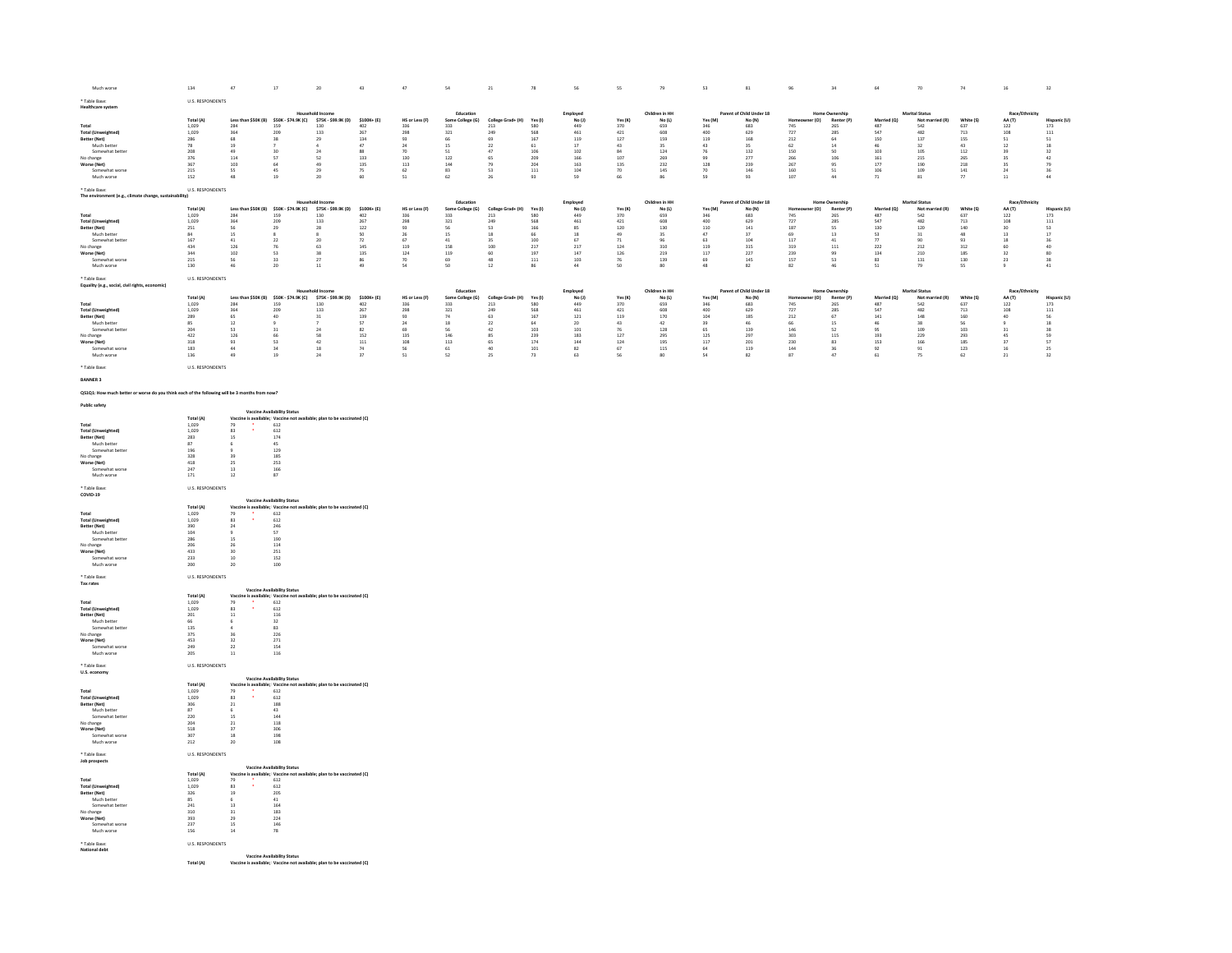|                                                                                               | 134                                                                         | 47                        | 17                                                                                                                   | 20                                      | 43                                              | 47                                              | 54                                              | 21                                                | 78                                               | 56                                                                            | 55                                                                                     | 79                                                      | 53                                             | 81                                       | 96                                       | 34                                             | 64                                              | 70                                               | 74                                       | 16                                                  | 32                                        |
|-----------------------------------------------------------------------------------------------|-----------------------------------------------------------------------------|---------------------------|----------------------------------------------------------------------------------------------------------------------|-----------------------------------------|-------------------------------------------------|-------------------------------------------------|-------------------------------------------------|---------------------------------------------------|--------------------------------------------------|-------------------------------------------------------------------------------|----------------------------------------------------------------------------------------|---------------------------------------------------------|------------------------------------------------|------------------------------------------|------------------------------------------|------------------------------------------------|-------------------------------------------------|--------------------------------------------------|------------------------------------------|-----------------------------------------------------|-------------------------------------------|
| * Table Base:<br><b>Healthcare system</b>                                                     | U.S. RESPONDENTS                                                            |                           |                                                                                                                      |                                         |                                                 |                                                 |                                                 |                                                   |                                                  |                                                                               |                                                                                        |                                                         |                                                |                                          |                                          |                                                |                                                 |                                                  |                                          |                                                     |                                           |
|                                                                                               |                                                                             |                           |                                                                                                                      |                                         |                                                 |                                                 | Education                                       |                                                   |                                                  |                                                                               |                                                                                        | Children in HH                                          |                                                | Parent of Child Under 18                 |                                          | <b>Home Ownership</b>                          |                                                 | <b>Marital Status</b>                            |                                          | Race/Et                                             |                                           |
|                                                                                               | Total (A)                                                                   |                           | Less than \$50K (B) \$50K - \$74.9K (C) \$75K - \$99.9K (D) \$100K+ (E)                                              |                                         |                                                 | HS or Less (F)                                  | Some College (G)                                | College Grad+ (H) Yes (I)                         |                                                  | Employed<br>No $\begin{smallmatrix} 0 \ 1 \end{smallmatrix}$ 149<br>461       | Yes (K)                                                                                | No(L)                                                   | Yes (M)                                        | No (N)<br>683<br>629                     | er (O)<br><b>Hom</b>                     | Renter (P)                                     | Married (O)                                     | Not married (R)                                  | White (S)                                | AA (T)                                              | Hispanic (U)                              |
| Total<br>Total (Unweighted)                                                                   | $1,029$<br>$1,029$                                                          | 284<br>364                | 159<br>209<br>38                                                                                                     | $\frac{130}{133}$                       | $\frac{402}{267}$                               | 336<br>298                                      | $333$<br>$321$                                  | 213<br>249                                        | 580<br>568<br>167                                |                                                                               | $\begin{array}{r} 370 \\ 421 \\ 127 \\ 43 \\ 84 \\ 107 \\ 135 \\ 70 \\ 66 \end{array}$ | $659$<br>$608$                                          | 346<br>400<br>119                              |                                          | 745<br>727                               | $\begin{array}{c} 265 \\ 285 \end{array}$      | $487$<br>547                                    | $542$<br>$482$                                   | $\frac{637}{713}$                        | $\frac{122}{108}$                                   | $\begin{array}{c} 173 \\ 111 \end{array}$ |
| Better (Net)<br>Much better                                                                   | 286<br>78<br>208<br>376<br>367                                              | 68<br>$19\,$              |                                                                                                                      | $\begin{array}{c} 29 \\ 4 \end{array}$  | 134<br>$47\,$                                   | 93<br>$_{\rm 24}$                               | $\begin{array}{c} 66 \\ 15 \\ 51 \end{array}$   | 69<br>$\mathbf{22}$                               | $61\,$                                           | 119<br>$17\,$                                                                 |                                                                                        | 159<br>35                                               | $43\,$                                         | 168<br>$35\,$                            | 212<br>$62\,$                            | 64<br>$_{\rm 14}$                              | $\begin{array}{c} 150 \\ 46 \\ 103 \end{array}$ | 137<br>$32\,$                                    | 155<br>43                                | $\begin{array}{c} 51 \\ 12 \end{array}$             | 51<br>$^{\rm 18}$                         |
| Somewhat better                                                                               |                                                                             | 49                        | 30                                                                                                                   | 24                                      | 88                                              | 70                                              |                                                 | 47                                                | 106                                              | 102                                                                           |                                                                                        | 124                                                     | 76                                             | 132                                      | 150                                      | 50                                             |                                                 | 105                                              | 112                                      | 39                                                  | 32                                        |
| No change                                                                                     |                                                                             | 114                       | 57<br>64                                                                                                             | 52                                      | $133\,$                                         | $\begin{array}{c} 130 \\ 113 \\ 62 \end{array}$ | $122\,$                                         | $65\,$                                            | $\frac{209}{204}$                                | $\frac{166}{163}$                                                             |                                                                                        | $269$<br>$232$                                          | $\frac{99}{128}$                               | $\frac{277}{239}$                        | 266<br>267                               | 106                                            | $\frac{161}{177}$                               | $_{\rm 215}$                                     | $\frac{265}{218}$                        | $\overline{\mathbf{35}}$                            |                                           |
| Worse (Net)<br>Somewhat worse                                                                 | 215                                                                         | 103<br>55                 | 45                                                                                                                   | $\begin{array}{c} 49 \\ 29 \end{array}$ | 135                                             |                                                 | 144                                             | 79<br>53                                          | $111\,$                                          | $104\,$                                                                       |                                                                                        | $14\mathrm{S}$                                          |                                                |                                          | 160                                      | 95<br>51                                       | $106\,$                                         | $\begin{array}{c} 190 \\ 109 \end{array}$        |                                          | $\begin{array}{c} 35 \\ 24 \\ 11 \end{array}$       | 79<br>36<br>44                            |
| Much worse                                                                                    | 152                                                                         | 48                        | 19                                                                                                                   | 20                                      | 75<br>60                                        | 51                                              | $\begin{array}{c} 83 \\ 62 \end{array}$         | 26                                                | 93                                               | 59                                                                            |                                                                                        | 86                                                      | $\begin{array}{c} 70 \\ 59 \end{array}$        | 146<br>93                                | 107                                      | $44\,$                                         | $71\,$                                          | 81                                               | $\begin{array}{c} 141 \\ 77 \end{array}$ |                                                     |                                           |
| * Table Base:                                                                                 | U.S. RESPONDENTS                                                            |                           |                                                                                                                      |                                         |                                                 |                                                 |                                                 |                                                   |                                                  |                                                                               |                                                                                        |                                                         |                                                |                                          |                                          |                                                |                                                 |                                                  |                                          |                                                     |                                           |
| The environment (e.g., climate change, sustainability)                                        |                                                                             |                           |                                                                                                                      |                                         |                                                 |                                                 |                                                 |                                                   |                                                  |                                                                               |                                                                                        |                                                         |                                                |                                          |                                          |                                                |                                                 |                                                  |                                          |                                                     |                                           |
|                                                                                               | Total (A)                                                                   |                           | Less than \$50K (B) \$50K - \$74.9K (C) \$75K - \$99.9K (D) \$100K+ (E)                                              | chold Income                            |                                                 | HS or Less (F)                                  | Education<br>Some College (G)                   | College Grad+ (H) Yes (I)                         |                                                  | $\begin{array}{c} \text{Employee} \\ \text{No (J)} \\ 449 \\ 461 \end{array}$ | Yes (K)                                                                                | Children in HH                                          | Yes (M)                                        | Parent of Child Under 18                 | Home<br>er (O)                           | Home Ownership<br>Renter (P)                   | Married (O)                                     | <b>Marital Status</b>                            | White (S)                                | Race/Eth<br>AA (T)                                  |                                           |
| Total<br>Total (Unweighted)                                                                   | $1,029$<br>$1,029$                                                          | 284<br>364                | 159<br>209                                                                                                           | $\frac{130}{133}$                       | $\frac{402}{267}$                               | 336<br>298                                      | 333<br>321                                      | $\frac{213}{249}$                                 | 580<br>568                                       |                                                                               | $\frac{370}{421}$                                                                      | No (L)<br>659<br>608                                    | $\frac{346}{400}$                              | No (N)<br>683<br>629                     | 745<br>727                               | 265<br>285                                     | 487<br>547                                      | Not married (R)<br>542<br>482                    | $\frac{637}{713}$                        | $\begin{array}{c} 122 \\ 108 \end{array}$           | Hispanic (U)<br>173<br>111                |
|                                                                                               |                                                                             |                           |                                                                                                                      |                                         |                                                 |                                                 |                                                 |                                                   |                                                  |                                                                               |                                                                                        |                                                         |                                                |                                          |                                          |                                                |                                                 |                                                  |                                          |                                                     |                                           |
| Better (Net)<br>Much better                                                                   |                                                                             | $\frac{56}{15}$           | $_{\rm 29}^{29}$                                                                                                     | $_{\rm 28}^{28}$                        | $\begin{array}{r} 122 \\ 50 \\ 72 \end{array}$  | 93<br>26<br>67                                  | $\begin{array}{c} 56 \\ 15 \\ 41 \end{array}$   | $\begin{array}{c} 53 \\ 18 \end{array}$           | $\begin{array}{c} 166 \\ 66 \end{array}$         | $\begin{array}{c} 85 \\ 18 \end{array}$                                       |                                                                                        |                                                         | $\begin{array}{c} 110 \\ 47 \\ 63 \end{array}$ | $\begin{array}{c} 141 \\ 37 \end{array}$ | $\begin{array}{c} 187 \\ 69 \end{array}$ | $\begin{array}{c} 55 \\ 13 \end{array}$        | 130<br>53<br>77                                 | $\frac{120}{31}$                                 | 140<br>48<br>93                          | $\begin{array}{c} 30 \\ 13 \end{array}$             | $\frac{53}{17}$                           |
| Somewhat better<br>No change                                                                  |                                                                             | 41<br>126                 | 22                                                                                                                   | 20                                      |                                                 |                                                 | 158                                             | 35<br>$100\,$                                     | 100                                              | 67                                                                            |                                                                                        | $\frac{130}{35}$<br>$\frac{35}{310}$                    |                                                | 104                                      | 117                                      | 41<br>$_{\rm 111}$                             |                                                 | 90<br>$\overline{212}$                           |                                          |                                                     | 36<br>$40$                                |
| Worse (Net)                                                                                   | $\begin{array}{r} 251 \\ 84 \\ 167 \\ 434 \\ 344 \\ 215 \\ 130 \end{array}$ | 102                       | $\begin{array}{c} 76 \\ 53 \end{array}$                                                                              | 43<br>63<br>38<br>27<br>11              | $\frac{145}{135}$                               | 119<br>124<br>70<br>54                          |                                                 |                                                   | $\frac{217}{197}$                                | $\frac{217}{147}$                                                             | $\begin{array}{r} 120 \\ 49 \\ 71 \\ 124 \\ 126 \\ 76 \\ 50 \end{array}$               |                                                         | $\frac{119}{117}$                              | $315$<br>$227$                           | $\frac{319}{239}$                        |                                                | ,,<br>222<br>134<br>83<br>51                    | 210                                              | 312<br>312<br>185<br>130<br>55           | $\begin{array}{c} 18 \\ 60 \\ 32 \\ 23 \end{array}$ | 80                                        |
| Somewhat worse<br>Much worse                                                                  |                                                                             | 56<br>46                  | 33                                                                                                                   |                                         | 86<br>49                                        |                                                 | 119<br>69<br>50                                 | $\begin{array}{c} 60 \\ 48 \end{array}$<br>$12\,$ | $^{\rm 111}$                                     | $103\,$<br>$44$                                                               |                                                                                        | $\frac{219}{139}$<br>80                                 | $\begin{array}{c} 69 \\ 48 \end{array}$        | 145<br>82                                | 157<br>82                                | 99<br>53<br>46                                 |                                                 | $_{\rm 131}$                                     |                                          | $\overline{9}$                                      | $_{\rm 38}$<br>41                         |
|                                                                                               |                                                                             |                           | 20                                                                                                                   |                                         |                                                 |                                                 |                                                 |                                                   | 86                                               |                                                                               |                                                                                        |                                                         |                                                |                                          |                                          |                                                |                                                 | 79                                               |                                          |                                                     |                                           |
| * Table Base:<br>Equality (e.g., social, civil rights, economic)                              | U.S. RESPONDENTS                                                            |                           |                                                                                                                      |                                         |                                                 |                                                 |                                                 |                                                   |                                                  |                                                                               |                                                                                        |                                                         |                                                |                                          |                                          |                                                |                                                 |                                                  |                                          |                                                     |                                           |
|                                                                                               |                                                                             |                           |                                                                                                                      |                                         |                                                 |                                                 | Education                                       |                                                   |                                                  | Employed<br>No (J)                                                            |                                                                                        | Children in HH                                          |                                                | Parent of Child Under 18                 |                                          | Home Ownership                                 |                                                 | <b>Marital Status</b>                            |                                          | Race/Eth                                            |                                           |
| Total                                                                                         | Total (A)                                                                   |                           | Less than \$50K (B) \$50K - \$74.9K (C) \$75K - \$99.9K (D) \$100K+ (E)<br>284 159 130 402<br>364 209 133 267        |                                         |                                                 | HS or Less (F)                                  | Some College (G)<br>333                         | College Grad+ (H) Yes (I)                         |                                                  |                                                                               | Yes(K)                                                                                 | No(L)                                                   | Yes (M)                                        | No (N)                                   | Home<br>er (0)                           | Renter (P)                                     | Married (Q)                                     | Not married (R)<br>542<br>482                    | White (S)                                | AA (T)                                              | Hispanic (U)                              |
| <b>Total (Unweighted)</b>                                                                     | $1,029$<br>$1,029$                                                          |                           |                                                                                                                      |                                         |                                                 | 336<br>298                                      | 321                                             | $\frac{213}{249}$                                 | 580<br>568                                       | $\frac{449}{461}$                                                             |                                                                                        | 659<br>608                                              |                                                | 683<br>629                               | 745<br>727                               | 265<br>285                                     | 487<br>547                                      |                                                  | $\frac{637}{713}$                        | $122\,$<br>108                                      | $\begin{array}{c} 173 \\ 111 \end{array}$ |
| Better (Net)<br>Much better                                                                   |                                                                             | 65                        | 40                                                                                                                   | $^{\mathbf{31}}$                        | 139<br>57                                       | $\begin{array}{c} 93 \\ 24 \end{array}$         | $\frac{74}{18}$                                 | $\frac{63}{22}$                                   | $\frac{167}{64}$                                 | $\frac{121}{20}$                                                              |                                                                                        | $\frac{170}{42}$                                        | 346<br>400<br>104<br>39                        | 185<br>46                                |                                          | 67                                             |                                                 | $\begin{array}{c} 148 \\ 38 \end{array}$         | 160<br>56                                | $40\,$                                              | $\begin{array}{c} 56 \\ 18 \end{array}$   |
| Somewhat better                                                                               | 289<br>85<br>204<br>422<br>318                                              | $\overline{12}$<br>$53 -$ | 21                                                                                                                   | 24                                      |                                                 |                                                 |                                                 | 42                                                |                                                  |                                                                               | $\begin{array}{r} 370 \\ 421 \\ 119 \\ 43 \\ 76 \\ 127 \\ 124 \\ 67 \\ 56 \end{array}$ |                                                         |                                                |                                          | 212<br>66<br>146<br>303<br>230           | $\overline{15}$                                | 141<br>46<br>95<br>193<br>153                   |                                                  | 103                                      |                                                     |                                           |
| No change<br>Worse (Net)                                                                      |                                                                             | $126\,$                   | $66$<br>53                                                                                                           | $\frac{58}{42}$                         | $\begin{array}{c} 82 \\ 152 \\ 111 \end{array}$ |                                                 | $\begin{array}{c} 56 \\ 146 \\ 113 \end{array}$ | $\begin{array}{c} 85 \\ 65 \end{array}$           | $\begin{array}{r} 103 \\ 239 \\ 174 \end{array}$ | $\begin{array}{c} 101 \\ 183 \\ 144 \end{array}$                              |                                                                                        | $\begin{array}{c} 128 \\ 295 \\ 195 \\ 115 \end{array}$ | 65<br>125<br>117                               |                                          |                                          | $\begin{array}{c} 52 \\ 115 \\ 83 \end{array}$ |                                                 | $\begin{array}{c} 109 \\ 229 \\ 166 \end{array}$ |                                          | $\begin{array}{r} 31 \\ 45 \\ 37 \end{array}$       | 38<br>59<br>57                            |
|                                                                                               |                                                                             | 93<br>44                  |                                                                                                                      |                                         |                                                 |                                                 |                                                 |                                                   |                                                  |                                                                               |                                                                                        |                                                         |                                                |                                          |                                          |                                                |                                                 |                                                  |                                          |                                                     |                                           |
| Somewhat worse<br>Much worse                                                                  | $\begin{array}{c} 183 \\ 136 \end{array}$                                   | 49                        | $\begin{array}{c} 34 \\ 19 \end{array}$                                                                              | $\begin{array}{c} 18 \\ 24 \end{array}$ | $\frac{74}{37}$                                 | 49<br>135<br>108<br>56<br>51                    | $\begin{array}{c} 61 \\ 52 \end{array}$         | $\begin{array}{c} 40 \\ 25 \end{array}$           | $\frac{101}{73}$                                 | $\begin{array}{c} 82 \\ 63 \end{array}$                                       |                                                                                        | 80                                                      | $\frac{64}{54}$                                | 139<br>297<br>201<br>119<br>82           | $\frac{144}{87}$                         | $\frac{36}{47}$                                | $\begin{array}{c} 92 \\ 61 \end{array}$         | $\frac{91}{75}$                                  | 293<br>293<br>185<br>123<br>62           | $\begin{array}{c} 16 \\ 21 \end{array}$             | $\frac{25}{32}$                           |
| * Table Base:                                                                                 | U.S. RESPONDENTS                                                            |                           |                                                                                                                      |                                         |                                                 |                                                 |                                                 |                                                   |                                                  |                                                                               |                                                                                        |                                                         |                                                |                                          |                                          |                                                |                                                 |                                                  |                                          |                                                     |                                           |
|                                                                                               |                                                                             |                           |                                                                                                                      |                                         |                                                 |                                                 |                                                 |                                                   |                                                  |                                                                               |                                                                                        |                                                         |                                                |                                          |                                          |                                                |                                                 |                                                  |                                          |                                                     |                                           |
| <b>BANNER 3</b>                                                                               |                                                                             |                           |                                                                                                                      |                                         |                                                 |                                                 |                                                 |                                                   |                                                  |                                                                               |                                                                                        |                                                         |                                                |                                          |                                          |                                                |                                                 |                                                  |                                          |                                                     |                                           |
| QS1Q1: How much better or worse do you think each of the following will be 3 months from now? |                                                                             |                           |                                                                                                                      |                                         |                                                 |                                                 |                                                 |                                                   |                                                  |                                                                               |                                                                                        |                                                         |                                                |                                          |                                          |                                                |                                                 |                                                  |                                          |                                                     |                                           |
| <b>Public safety</b>                                                                          |                                                                             |                           |                                                                                                                      |                                         |                                                 |                                                 |                                                 |                                                   |                                                  |                                                                               |                                                                                        |                                                         |                                                |                                          |                                          |                                                |                                                 |                                                  |                                          |                                                     |                                           |
|                                                                                               |                                                                             |                           | <b>Vaccine Availability Status</b>                                                                                   |                                         |                                                 |                                                 |                                                 |                                                   |                                                  |                                                                               |                                                                                        |                                                         |                                                |                                          |                                          |                                                |                                                 |                                                  |                                          |                                                     |                                           |
|                                                                                               | Total (A)                                                                   |                           | Vaccine is available; Vaccine not available; plan to be vaccinated (C)                                               |                                         |                                                 |                                                 |                                                 |                                                   |                                                  |                                                                               |                                                                                        |                                                         |                                                |                                          |                                          |                                                |                                                 |                                                  |                                          |                                                     |                                           |
| $_{\rm Total}$<br><b>Total (Unweighted)</b>                                                   | 1,029<br>1.029                                                              | 79<br>83                  |                                                                                                                      |                                         |                                                 |                                                 |                                                 |                                                   |                                                  |                                                                               |                                                                                        |                                                         |                                                |                                          |                                          |                                                |                                                 |                                                  |                                          |                                                     |                                           |
| Better (Net)                                                                                  |                                                                             | ${\bf 15}$                |                                                                                                                      |                                         |                                                 |                                                 |                                                 |                                                   |                                                  |                                                                               |                                                                                        |                                                         |                                                |                                          |                                          |                                                |                                                 |                                                  |                                          |                                                     |                                           |
| Much better<br>Somewhat better                                                                |                                                                             | 6                         | $\begin{array}{r} 612 \\ 612 \\ 174 \\ 45 \\ 129 \\ 185 \end{array}$                                                 |                                         |                                                 |                                                 |                                                 |                                                   |                                                  |                                                                               |                                                                                        |                                                         |                                                |                                          |                                          |                                                |                                                 |                                                  |                                          |                                                     |                                           |
| No change                                                                                     | $\begin{array}{r} 283 \\ 87 \\ 196 \\ 328 \\ 418 \\ 247 \end{array}$        | 39                        |                                                                                                                      |                                         |                                                 |                                                 |                                                 |                                                   |                                                  |                                                                               |                                                                                        |                                                         |                                                |                                          |                                          |                                                |                                                 |                                                  |                                          |                                                     |                                           |
| Worse (Net)<br>Somewhat worse                                                                 |                                                                             | 25<br>$13\,$              | 253                                                                                                                  |                                         |                                                 |                                                 |                                                 |                                                   |                                                  |                                                                               |                                                                                        |                                                         |                                                |                                          |                                          |                                                |                                                 |                                                  |                                          |                                                     |                                           |
| Much worse                                                                                    | $171\,$                                                                     | 12                        | $\frac{166}{87}$                                                                                                     |                                         |                                                 |                                                 |                                                 |                                                   |                                                  |                                                                               |                                                                                        |                                                         |                                                |                                          |                                          |                                                |                                                 |                                                  |                                          |                                                     |                                           |
| * Table Base:                                                                                 | U.S. RESPONDENTS                                                            |                           |                                                                                                                      |                                         |                                                 |                                                 |                                                 |                                                   |                                                  |                                                                               |                                                                                        |                                                         |                                                |                                          |                                          |                                                |                                                 |                                                  |                                          |                                                     |                                           |
| COVID-19                                                                                      |                                                                             |                           |                                                                                                                      |                                         |                                                 |                                                 |                                                 |                                                   |                                                  |                                                                               |                                                                                        |                                                         |                                                |                                          |                                          |                                                |                                                 |                                                  |                                          |                                                     |                                           |
|                                                                                               | Total (A)                                                                   |                           | <b>Vaccine Availability Status</b><br>Vaccine is available; Vaccine not available; plan to be vaccinated (C)         |                                         |                                                 |                                                 |                                                 |                                                   |                                                  |                                                                               |                                                                                        |                                                         |                                                |                                          |                                          |                                                |                                                 |                                                  |                                          |                                                     |                                           |
| Total                                                                                         | 1,029                                                                       | ÷,<br>79                  | $612$<br>$612$                                                                                                       |                                         |                                                 |                                                 |                                                 |                                                   |                                                  |                                                                               |                                                                                        |                                                         |                                                |                                          |                                          |                                                |                                                 |                                                  |                                          |                                                     |                                           |
| <b>Total (Unweighted)</b><br>Better (Net)                                                     |                                                                             | 83                        |                                                                                                                      |                                         |                                                 |                                                 |                                                 |                                                   |                                                  |                                                                               |                                                                                        |                                                         |                                                |                                          |                                          |                                                |                                                 |                                                  |                                          |                                                     |                                           |
|                                                                                               |                                                                             | $\bf{^{24}}$              |                                                                                                                      |                                         |                                                 |                                                 |                                                 |                                                   |                                                  |                                                                               |                                                                                        |                                                         |                                                |                                          |                                          |                                                |                                                 |                                                  |                                          |                                                     |                                           |
| Much better                                                                                   |                                                                             | $^{\rm o}$                |                                                                                                                      |                                         |                                                 |                                                 |                                                 |                                                   |                                                  |                                                                               |                                                                                        |                                                         |                                                |                                          |                                          |                                                |                                                 |                                                  |                                          |                                                     |                                           |
| Somewhat better                                                                               |                                                                             | $15\,$                    | $\frac{246}{57}$                                                                                                     |                                         |                                                 |                                                 |                                                 |                                                   |                                                  |                                                                               |                                                                                        |                                                         |                                                |                                          |                                          |                                                |                                                 |                                                  |                                          |                                                     |                                           |
| No change                                                                                     |                                                                             | $\frac{26}{30}$           |                                                                                                                      |                                         |                                                 |                                                 |                                                 |                                                   |                                                  |                                                                               |                                                                                        |                                                         |                                                |                                          |                                          |                                                |                                                 |                                                  |                                          |                                                     |                                           |
| Worse (Net)<br>Somewhat worse                                                                 |                                                                             | $10\,$                    | --<br>190<br>114<br>251<br>152                                                                                       |                                         |                                                 |                                                 |                                                 |                                                   |                                                  |                                                                               |                                                                                        |                                                         |                                                |                                          |                                          |                                                |                                                 |                                                  |                                          |                                                     |                                           |
| Much worse                                                                                    | $1,029$<br>$390$<br>$104$<br>$286$<br>$206$<br>$433$<br>$233$<br>200        | 20                        | 100                                                                                                                  |                                         |                                                 |                                                 |                                                 |                                                   |                                                  |                                                                               |                                                                                        |                                                         |                                                |                                          |                                          |                                                |                                                 |                                                  |                                          |                                                     |                                           |
| * Table Base:                                                                                 | U.S. RESPONDENTS                                                            |                           |                                                                                                                      |                                         |                                                 |                                                 |                                                 |                                                   |                                                  |                                                                               |                                                                                        |                                                         |                                                |                                          |                                          |                                                |                                                 |                                                  |                                          |                                                     |                                           |
| Tax rates                                                                                     |                                                                             |                           |                                                                                                                      |                                         |                                                 |                                                 |                                                 |                                                   |                                                  |                                                                               |                                                                                        |                                                         |                                                |                                          |                                          |                                                |                                                 |                                                  |                                          |                                                     |                                           |
|                                                                                               |                                                                             |                           | <b>Vaccine Availability Status</b>                                                                                   |                                         |                                                 |                                                 |                                                 |                                                   |                                                  |                                                                               |                                                                                        |                                                         |                                                |                                          |                                          |                                                |                                                 |                                                  |                                          |                                                     |                                           |
| Total                                                                                         |                                                                             |                           |                                                                                                                      |                                         |                                                 |                                                 |                                                 |                                                   |                                                  |                                                                               |                                                                                        |                                                         |                                                |                                          |                                          |                                                |                                                 |                                                  |                                          |                                                     |                                           |
| <b>Total (Unweighted)</b><br>Better (Net)                                                     |                                                                             | 79<br>83<br>$\bf{11}$     | Vaccine is available; Vaccine not available; plan to be vaccinated (C)<br>$\frac{79}{2}$<br>83<br>612<br>612         |                                         |                                                 |                                                 |                                                 |                                                   |                                                  |                                                                               |                                                                                        |                                                         |                                                |                                          |                                          |                                                |                                                 |                                                  |                                          |                                                     |                                           |
| Much better                                                                                   |                                                                             | 6<br>$\Delta$             | $\begin{array}{c} 116 \\ 32 \end{array}$                                                                             |                                         |                                                 |                                                 |                                                 |                                                   |                                                  |                                                                               |                                                                                        |                                                         |                                                |                                          |                                          |                                                |                                                 |                                                  |                                          |                                                     |                                           |
| Somewhat bette<br>No change                                                                   |                                                                             | 36                        | $\frac{83}{226}$                                                                                                     |                                         |                                                 |                                                 |                                                 |                                                   |                                                  |                                                                               |                                                                                        |                                                         |                                                |                                          |                                          |                                                |                                                 |                                                  |                                          |                                                     |                                           |
|                                                                                               |                                                                             | 32                        |                                                                                                                      |                                         |                                                 |                                                 |                                                 |                                                   |                                                  |                                                                               |                                                                                        |                                                         |                                                |                                          |                                          |                                                |                                                 |                                                  |                                          |                                                     |                                           |
| Worse (Net)<br>Somewhat worse<br>Much worse                                                   | Total (A)<br>1,029<br>1,029<br>201<br>66<br>135<br>375<br>453<br>249<br>205 | $\overline{22}$<br>$11\,$ | $\frac{271}{154}$<br>116                                                                                             |                                         |                                                 |                                                 |                                                 |                                                   |                                                  |                                                                               |                                                                                        |                                                         |                                                |                                          |                                          |                                                |                                                 |                                                  |                                          |                                                     |                                           |
|                                                                                               |                                                                             |                           |                                                                                                                      |                                         |                                                 |                                                 |                                                 |                                                   |                                                  |                                                                               |                                                                                        |                                                         |                                                |                                          |                                          |                                                |                                                 |                                                  |                                          |                                                     |                                           |
| * Table Base:<br>U.S. economy                                                                 | U.S. RESPONDENTS                                                            |                           |                                                                                                                      |                                         |                                                 |                                                 |                                                 |                                                   |                                                  |                                                                               |                                                                                        |                                                         |                                                |                                          |                                          |                                                |                                                 |                                                  |                                          |                                                     |                                           |
|                                                                                               |                                                                             |                           | <b>Vaccine Availability Status</b>                                                                                   |                                         |                                                 |                                                 |                                                 |                                                   |                                                  |                                                                               |                                                                                        |                                                         |                                                |                                          |                                          |                                                |                                                 |                                                  |                                          |                                                     |                                           |
| Total                                                                                         |                                                                             |                           |                                                                                                                      |                                         |                                                 |                                                 |                                                 |                                                   |                                                  |                                                                               |                                                                                        |                                                         |                                                |                                          |                                          |                                                |                                                 |                                                  |                                          |                                                     |                                           |
| <b>Total (Unweighted)</b>                                                                     | $\begin{array}{c} \textbf{Total (A)} \\ 1,029 \end{array}$                  |                           | Vaccine is available; Vaccine not available; plan to be vaccinated (C)<br>$\frac{79}{2}$<br>83 612<br>$612$<br>$612$ |                                         |                                                 |                                                 |                                                 |                                                   |                                                  |                                                                               |                                                                                        |                                                         |                                                |                                          |                                          |                                                |                                                 |                                                  |                                          |                                                     |                                           |
| Better (Net)<br>Much better                                                                   |                                                                             |                           |                                                                                                                      |                                         |                                                 |                                                 |                                                 |                                                   |                                                  |                                                                               |                                                                                        |                                                         |                                                |                                          |                                          |                                                |                                                 |                                                  |                                          |                                                     |                                           |
| Somewhat better                                                                               | $\frac{1,029}{306}$                                                         | $\frac{21}{6}$            | $\frac{188}{43}$                                                                                                     |                                         |                                                 |                                                 |                                                 |                                                   |                                                  |                                                                               |                                                                                        |                                                         |                                                |                                          |                                          |                                                |                                                 |                                                  |                                          |                                                     |                                           |
| No change                                                                                     |                                                                             | $\frac{15}{21}$<br>37     | $\begin{array}{c} 144 \\ 118 \end{array}$                                                                            |                                         |                                                 |                                                 |                                                 |                                                   |                                                  |                                                                               |                                                                                        |                                                         |                                                |                                          |                                          |                                                |                                                 |                                                  |                                          |                                                     |                                           |
| Worse (Net)<br>Somewhat worse                                                                 | 220<br>204<br>518<br>307                                                    | 18                        | 306<br>198                                                                                                           |                                         |                                                 |                                                 |                                                 |                                                   |                                                  |                                                                               |                                                                                        |                                                         |                                                |                                          |                                          |                                                |                                                 |                                                  |                                          |                                                     |                                           |
| Much worse                                                                                    | 212                                                                         | 20                        | 108                                                                                                                  |                                         |                                                 |                                                 |                                                 |                                                   |                                                  |                                                                               |                                                                                        |                                                         |                                                |                                          |                                          |                                                |                                                 |                                                  |                                          |                                                     |                                           |
| * Table Base:                                                                                 | U.S. RESPONDENTS                                                            |                           |                                                                                                                      |                                         |                                                 |                                                 |                                                 |                                                   |                                                  |                                                                               |                                                                                        |                                                         |                                                |                                          |                                          |                                                |                                                 |                                                  |                                          |                                                     |                                           |
| Job prospects                                                                                 |                                                                             |                           |                                                                                                                      |                                         |                                                 |                                                 |                                                 |                                                   |                                                  |                                                                               |                                                                                        |                                                         |                                                |                                          |                                          |                                                |                                                 |                                                  |                                          |                                                     |                                           |
|                                                                                               |                                                                             |                           | <b>Vaccine Availability Status</b><br>Vaccine is available; Vaccine not available; plan to be vaccinated (C)         |                                         |                                                 |                                                 |                                                 |                                                   |                                                  |                                                                               |                                                                                        |                                                         |                                                |                                          |                                          |                                                |                                                 |                                                  |                                          |                                                     |                                           |
| $_{\rm Total}$                                                                                | $\begin{array}{c} \textbf{Total (A)} \\ 1,029 \end{array}$                  |                           |                                                                                                                      |                                         |                                                 |                                                 |                                                 |                                                   |                                                  |                                                                               |                                                                                        |                                                         |                                                |                                          |                                          |                                                |                                                 |                                                  |                                          |                                                     |                                           |
| <b>Total (Unweighted)</b>                                                                     |                                                                             | 79<br>83<br>÷             | $612$<br>$612$                                                                                                       |                                         |                                                 |                                                 |                                                 |                                                   |                                                  |                                                                               |                                                                                        |                                                         |                                                |                                          |                                          |                                                |                                                 |                                                  |                                          |                                                     |                                           |
| Better (Net)<br>Much better                                                                   |                                                                             | 19<br>6                   |                                                                                                                      |                                         |                                                 |                                                 |                                                 |                                                   |                                                  |                                                                               |                                                                                        |                                                         |                                                |                                          |                                          |                                                |                                                 |                                                  |                                          |                                                     |                                           |
| Somewhat bette                                                                                |                                                                             | $_{\rm 13}$               |                                                                                                                      |                                         |                                                 |                                                 |                                                 |                                                   |                                                  |                                                                               |                                                                                        |                                                         |                                                |                                          |                                          |                                                |                                                 |                                                  |                                          |                                                     |                                           |
| No change                                                                                     |                                                                             | 31<br>29                  | 205<br>41<br>41<br>164<br>183<br>224                                                                                 |                                         |                                                 |                                                 |                                                 |                                                   |                                                  |                                                                               |                                                                                        |                                                         |                                                |                                          |                                          |                                                |                                                 |                                                  |                                          |                                                     |                                           |
| wo change<br>Worse (Net)<br>Somewhat worse<br>Much worse                                      | $1,029$<br>$326$<br>$85$<br>$241$<br>$310$<br>$393$<br>$237$                | $15\,$<br>14              |                                                                                                                      |                                         |                                                 |                                                 |                                                 |                                                   |                                                  |                                                                               |                                                                                        |                                                         |                                                |                                          |                                          |                                                |                                                 |                                                  |                                          |                                                     |                                           |
|                                                                                               | 156                                                                         |                           | $\begin{array}{c} 11 \\ 146 \\ 78 \end{array}$                                                                       |                                         |                                                 |                                                 |                                                 |                                                   |                                                  |                                                                               |                                                                                        |                                                         |                                                |                                          |                                          |                                                |                                                 |                                                  |                                          |                                                     |                                           |
| * Table Base:                                                                                 | U.S. RESPONDENTS                                                            |                           |                                                                                                                      |                                         |                                                 |                                                 |                                                 |                                                   |                                                  |                                                                               |                                                                                        |                                                         |                                                |                                          |                                          |                                                |                                                 |                                                  |                                          |                                                     |                                           |
| National debt                                                                                 | Total (A)                                                                   |                           | <b>Vaccine Availability Status</b><br>Vaccine is available; Vaccine not available; plan to be vaccinated (C)         |                                         |                                                 |                                                 |                                                 |                                                   |                                                  |                                                                               |                                                                                        |                                                         |                                                |                                          |                                          |                                                |                                                 |                                                  |                                          |                                                     |                                           |